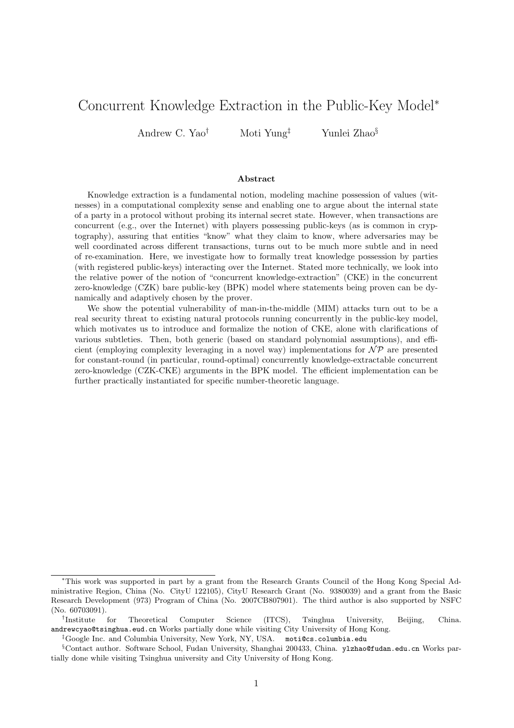# Concurrent Knowledge Extraction in the Public-Key Model<sup>∗</sup>

Andrew C. Yao<sup>†</sup> Moti Yung<sup>‡</sup> Yunlei Zhao<sup>§</sup>

#### Abstract

Knowledge extraction is a fundamental notion, modeling machine possession of values (witnesses) in a computational complexity sense and enabling one to argue about the internal state of a party in a protocol without probing its internal secret state. However, when transactions are concurrent (e.g., over the Internet) with players possessing public-keys (as is common in cryptography), assuring that entities "know" what they claim to know, where adversaries may be well coordinated across different transactions, turns out to be much more subtle and in need of re-examination. Here, we investigate how to formally treat knowledge possession by parties (with registered public-keys) interacting over the Internet. Stated more technically, we look into the relative power of the notion of "concurrent knowledge-extraction" (CKE) in the concurrent zero-knowledge (CZK) bare public-key (BPK) model where statements being proven can be dynamically and adaptively chosen by the prover.

We show the potential vulnerability of man-in-the-middle (MIM) attacks turn out to be a real security threat to existing natural protocols running concurrently in the public-key model, which motivates us to introduce and formalize the notion of CKE, alone with clarifications of various subtleties. Then, both generic (based on standard polynomial assumptions), and efficient (employing complexity leveraging in a novel way) implementations for  $\mathcal{NP}$  are presented for constant-round (in particular, round-optimal) concurrently knowledge-extractable concurrent zero-knowledge (CZK-CKE) arguments in the BPK model. The efficient implementation can be further practically instantiated for specific number-theoretic language.

<sup>∗</sup>This work was supported in part by a grant from the Research Grants Council of the Hong Kong Special Administrative Region, China (No. CityU 122105), CityU Research Grant (No. 9380039) and a grant from the Basic Research Development (973) Program of China (No. 2007CB807901). The third author is also supported by NSFC (No. 60703091).

<sup>†</sup> for Theoretical Computer Science (ITCS), Tsinghua University, Beijing, China. andrewcyao@tsinghua.eud.cn Works partially done while visiting City University of Hong Kong.

<sup>‡</sup>Google Inc. and Columbia University, New York, NY, USA. moti@cs.columbia.edu

<sup>§</sup>Contact author. Software School, Fudan University, Shanghai 200433, China. ylzhao@fudan.edu.cn Works partially done while visiting Tsinghua university and City University of Hong Kong.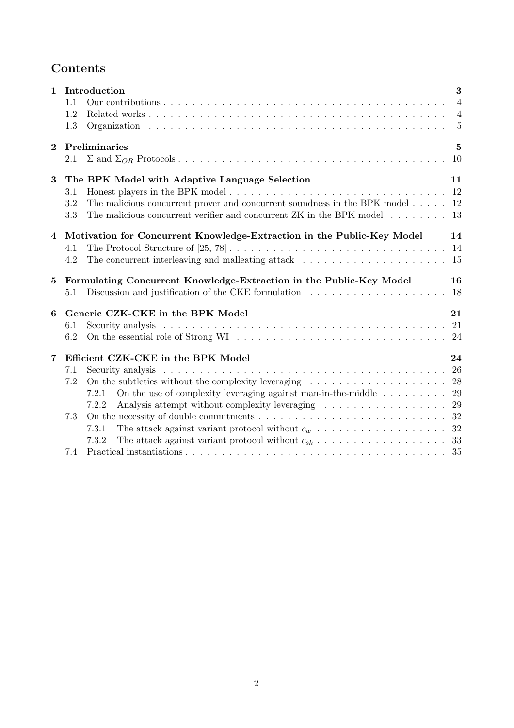# Contents

| $\mathbf{1}$   | 1.1<br>1.2<br>1.3 | Introduction                                                                                                                                                                                                                                                         | 3<br>$\overline{4}$<br>$\overline{4}$<br>$\overline{5}$ |
|----------------|-------------------|----------------------------------------------------------------------------------------------------------------------------------------------------------------------------------------------------------------------------------------------------------------------|---------------------------------------------------------|
| $\overline{2}$ | 2.1               | Preliminaries                                                                                                                                                                                                                                                        | $\bf{5}$<br>10                                          |
| 3              | 3.1<br>3.2<br>3.3 | The BPK Model with Adaptive Language Selection<br>The malicious concurrent prover and concurrent soundness in the BPK model<br>The malicious concurrent verifier and concurrent ZK in the BPK model $\ldots \ldots$                                                  | 11<br>12<br>12<br>13                                    |
| $\overline{4}$ | 4.1<br>4.2        | Motivation for Concurrent Knowledge-Extraction in the Public-Key Model<br>The concurrent interleaving and malleating attack $\ldots \ldots \ldots \ldots \ldots \ldots \ldots$                                                                                       | 14<br>14<br>15                                          |
|                |                   |                                                                                                                                                                                                                                                                      |                                                         |
| $5^{\circ}$    | 5.1               | Formulating Concurrent Knowledge-Extraction in the Public-Key Model<br>Discussion and justification of the CKE formulation $\ldots \ldots \ldots \ldots \ldots \ldots$                                                                                               | 16<br>18                                                |
| 6              | 6.1<br>6.2        | Generic CZK-CKE in the BPK Model                                                                                                                                                                                                                                     | 21                                                      |
| 7              | 7.1<br>7.2<br>7.3 | Efficient CZK-CKE in the BPK Model<br>On the subtleties without the complexity leveraging $\dots \dots \dots \dots \dots \dots \dots \dots$<br>On the use of complexity leveraging against man-in-the-middle $\dots \dots \dots$<br>7.2.1<br>7.2.2<br>7.3.1<br>7.3.2 | 24<br>26<br>29                                          |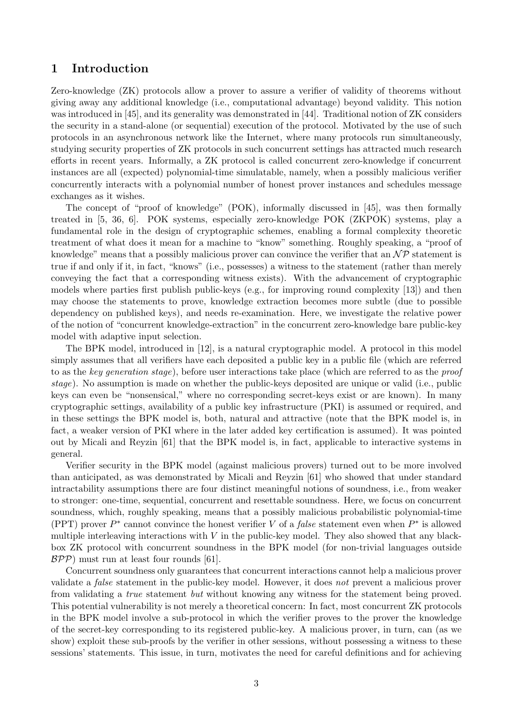### 1 Introduction

Zero-knowledge (ZK) protocols allow a prover to assure a verifier of validity of theorems without giving away any additional knowledge (i.e., computational advantage) beyond validity. This notion was introduced in [45], and its generality was demonstrated in [44]. Traditional notion of ZK considers the security in a stand-alone (or sequential) execution of the protocol. Motivated by the use of such protocols in an asynchronous network like the Internet, where many protocols run simultaneously, studying security properties of ZK protocols in such concurrent settings has attracted much research efforts in recent years. Informally, a ZK protocol is called concurrent zero-knowledge if concurrent instances are all (expected) polynomial-time simulatable, namely, when a possibly malicious verifier concurrently interacts with a polynomial number of honest prover instances and schedules message exchanges as it wishes.

The concept of "proof of knowledge" (POK), informally discussed in [45], was then formally treated in [5, 36, 6]. POK systems, especially zero-knowledge POK (ZKPOK) systems, play a fundamental role in the design of cryptographic schemes, enabling a formal complexity theoretic treatment of what does it mean for a machine to "know" something. Roughly speaking, a "proof of knowledge" means that a possibly malicious prover can convince the verifier that an  $\mathcal{NP}$  statement is true if and only if it, in fact, "knows" (i.e., possesses) a witness to the statement (rather than merely conveying the fact that a corresponding witness exists). With the advancement of cryptographic models where parties first publish public-keys (e.g., for improving round complexity [13]) and then may choose the statements to prove, knowledge extraction becomes more subtle (due to possible dependency on published keys), and needs re-examination. Here, we investigate the relative power of the notion of "concurrent knowledge-extraction" in the concurrent zero-knowledge bare public-key model with adaptive input selection.

The BPK model, introduced in [12], is a natural cryptographic model. A protocol in this model simply assumes that all verifiers have each deposited a public key in a public file (which are referred to as the key generation stage), before user interactions take place (which are referred to as the proof stage). No assumption is made on whether the public-keys deposited are unique or valid (i.e., public keys can even be "nonsensical," where no corresponding secret-keys exist or are known). In many cryptographic settings, availability of a public key infrastructure (PKI) is assumed or required, and in these settings the BPK model is, both, natural and attractive (note that the BPK model is, in fact, a weaker version of PKI where in the later added key certification is assumed). It was pointed out by Micali and Reyzin [61] that the BPK model is, in fact, applicable to interactive systems in general.

Verifier security in the BPK model (against malicious provers) turned out to be more involved than anticipated, as was demonstrated by Micali and Reyzin [61] who showed that under standard intractability assumptions there are four distinct meaningful notions of soundness, i.e., from weaker to stronger: one-time, sequential, concurrent and resettable soundness. Here, we focus on concurrent soundness, which, roughly speaking, means that a possibly malicious probabilistic polynomial-time (PPT) prover  $P^*$  cannot convince the honest verifier V of a *false* statement even when  $P^*$  is allowed multiple interleaving interactions with  $V$  in the public-key model. They also showed that any blackbox ZK protocol with concurrent soundness in the BPK model (for non-trivial languages outside  $\mathcal{BPP}$ ) must run at least four rounds [61].

Concurrent soundness only guarantees that concurrent interactions cannot help a malicious prover validate a false statement in the public-key model. However, it does not prevent a malicious prover from validating a true statement but without knowing any witness for the statement being proved. This potential vulnerability is not merely a theoretical concern: In fact, most concurrent ZK protocols in the BPK model involve a sub-protocol in which the verifier proves to the prover the knowledge of the secret-key corresponding to its registered public-key. A malicious prover, in turn, can (as we show) exploit these sub-proofs by the verifier in other sessions, without possessing a witness to these sessions' statements. This issue, in turn, motivates the need for careful definitions and for achieving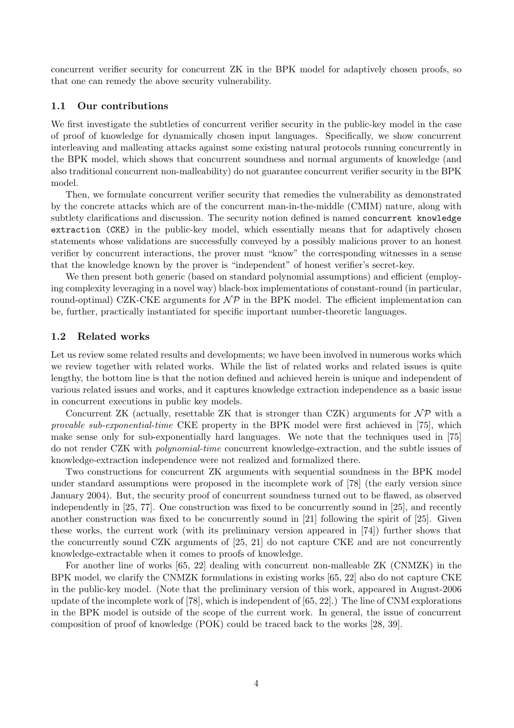concurrent verifier security for concurrent ZK in the BPK model for adaptively chosen proofs, so that one can remedy the above security vulnerability.

### 1.1 Our contributions

We first investigate the subtleties of concurrent verifier security in the public-key model in the case of proof of knowledge for dynamically chosen input languages. Specifically, we show concurrent interleaving and malleating attacks against some existing natural protocols running concurrently in the BPK model, which shows that concurrent soundness and normal arguments of knowledge (and also traditional concurrent non-malleability) do not guarantee concurrent verifier security in the BPK model.

Then, we formulate concurrent verifier security that remedies the vulnerability as demonstrated by the concrete attacks which are of the concurrent man-in-the-middle (CMIM) nature, along with subtlety clarifications and discussion. The security notion defined is named concurrent knowledge extraction (CKE) in the public-key model, which essentially means that for adaptively chosen statements whose validations are successfully conveyed by a possibly malicious prover to an honest verifier by concurrent interactions, the prover must "know" the corresponding witnesses in a sense that the knowledge known by the prover is "independent" of honest verifier's secret-key.

We then present both generic (based on standard polynomial assumptions) and efficient (employing complexity leveraging in a novel way) black-box implementations of constant-round (in particular, round-optimal) CZK-CKE arguments for  $\mathcal{NP}$  in the BPK model. The efficient implementation can be, further, practically instantiated for specific important number-theoretic languages.

### 1.2 Related works

Let us review some related results and developments; we have been involved in numerous works which we review together with related works. While the list of related works and related issues is quite lengthy, the bottom line is that the notion defined and achieved herein is unique and independent of various related issues and works, and it captures knowledge extraction independence as a basic issue in concurrent executions in public key models.

Concurrent ZK (actually, resettable ZK that is stronger than CZK) arguments for  $\mathcal{NP}$  with a provable sub-exponential-time CKE property in the BPK model were first achieved in [75], which make sense only for sub-exponentially hard languages. We note that the techniques used in [75] do not render CZK with *polynomial-time* concurrent knowledge-extraction, and the subtle issues of knowledge-extraction independence were not realized and formalized there.

Two constructions for concurrent ZK arguments with sequential soundness in the BPK model under standard assumptions were proposed in the incomplete work of [78] (the early version since January 2004). But, the security proof of concurrent soundness turned out to be flawed, as observed independently in [25, 77]. One construction was fixed to be concurrently sound in [25], and recently another construction was fixed to be concurrently sound in [21] following the spirit of [25]. Given these works, the current work (with its preliminary version appeared in [74]) further shows that the concurrently sound CZK arguments of [25, 21] do not capture CKE and are not concurrently knowledge-extractable when it comes to proofs of knowledge.

For another line of works [65, 22] dealing with concurrent non-malleable ZK (CNMZK) in the BPK model, we clarify the CNMZK formulations in existing works [65, 22] also do not capture CKE in the public-key model. (Note that the preliminary version of this work, appeared in August-2006 update of the incomplete work of [78], which is independent of [65, 22].) The line of CNM explorations in the BPK model is outside of the scope of the current work. In general, the issue of concurrent composition of proof of knowledge (POK) could be traced back to the works [28, 39].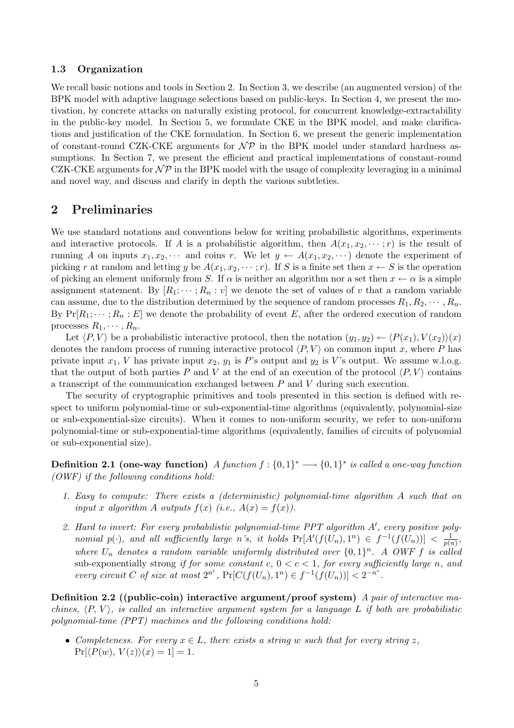### 1.3 Organization

We recall basic notions and tools in Section 2. In Section 3, we describe (an augmented version) of the BPK model with adaptive language selections based on public-keys. In Section 4, we present the motivation, by concrete attacks on naturally existing protocol, for concurrent knowledge-extractability in the public-key model. In Section 5, we formulate CKE in the BPK model, and make clarifications and justification of the CKE formulation. In Section 6, we present the generic implementation of constant-round CZK-CKE arguments for  $\mathcal{NP}$  in the BPK model under standard hardness assumptions. In Section 7, we present the efficient and practical implementations of constant-round CZK-CKE arguments for  $\mathcal{NP}$  in the BPK model with the usage of complexity leveraging in a minimal and novel way, and discuss and clarify in depth the various subtleties.

### 2 Preliminaries

We use standard notations and conventions below for writing probabilistic algorithms, experiments and interactive protocols. If A is a probabilistic algorithm, then  $A(x_1, x_2, \dots; r)$  is the result of running A on inputs  $x_1, x_2, \cdots$  and coins r. We let  $y \leftarrow A(x_1, x_2, \cdots)$  denote the experiment of picking r at random and letting y be  $A(x_1, x_2, \dots; r)$ . If S is a finite set then  $x \leftarrow S$  is the operation of picking an element uniformly from S. If  $\alpha$  is neither an algorithm nor a set then  $x \leftarrow \alpha$  is a simple assignment statement. By  $[R_1; \dots; R_n : v]$  we denote the set of values of v that a random variable can assume, due to the distribution determined by the sequence of random processes  $R_1, R_2, \cdots, R_n$ . By  $Pr[R_1; \dots; R_n : E]$  we denote the probability of event E, after the ordered execution of random processes  $R_1, \cdots, R_n$ .

Let  $\langle P, V \rangle$  be a probabilistic interactive protocol, then the notation  $(y_1, y_2) \leftarrow \langle P(x_1), V(x_2) \rangle (x)$ denotes the random process of running interactive protocol  $\langle P, V \rangle$  on common input x, where P has private input  $x_1$ , V has private input  $x_2$ ,  $y_1$  is P's output and  $y_2$  is V's output. We assume w.l.o.g. that the output of both parties P and V at the end of an execution of the protocol  $\langle P, V \rangle$  contains a transcript of the communication exchanged between  $P$  and  $V$  during such execution.

The security of cryptographic primitives and tools presented in this section is defined with respect to uniform polynomial-time or sub-exponential-time algorithms (equivalently, polynomial-size or sub-exponential-size circuits). When it comes to non-uniform security, we refer to non-uniform polynomial-time or sub-exponential-time algorithms (equivalently, families of circuits of polynomial or sub-exponential size).

**Definition 2.1 (one-way function)** A function  $f: \{0,1\}^* \longrightarrow \{0,1\}^*$  is called a one-way function (OWF) if the following conditions hold:

- 1. Easy to compute: There exists a (deterministic) polynomial-time algorithm A such that on input x algorithm A outputs  $f(x)$  (i.e.,  $A(x) = f(x)$ ).
- 2. Hard to invert: For every probabilistic polynomial-time  $PPT$  algorithm  $A'$ , every positive polynomial  $p(\cdot)$ , and all sufficiently large n's, it holds  $Pr[A'(f(U_n), 1^n) \in f^{-1}(f(U_n))] < \frac{1}{p(n)}$  $\frac{1}{p(n)},$ where  $U_n$  denotes a random variable uniformly distributed over  $\{0,1\}^n$ . A OWF f is called sub-exponentially strong if for some constant c,  $0 < c < 1$ , for every sufficiently large n, and every circuit C of size at most  $2^{n^c}$ ,  $Pr[C(f(U_n), 1^n) \in f^{-1}(f(U_n))] < 2^{-n^c}$ .

Definition 2.2 ((public-coin) interactive argument/proof system) A pair of interactive machines,  $\langle P, V \rangle$ , is called an interactive argument system for a language L if both are probabilistic polynomial-time (PPT) machines and the following conditions hold:

• Completeness. For every  $x \in L$ , there exists a string w such that for every string z.  $Pr[\langle P(w), V(z) \rangle (x) = 1] = 1.$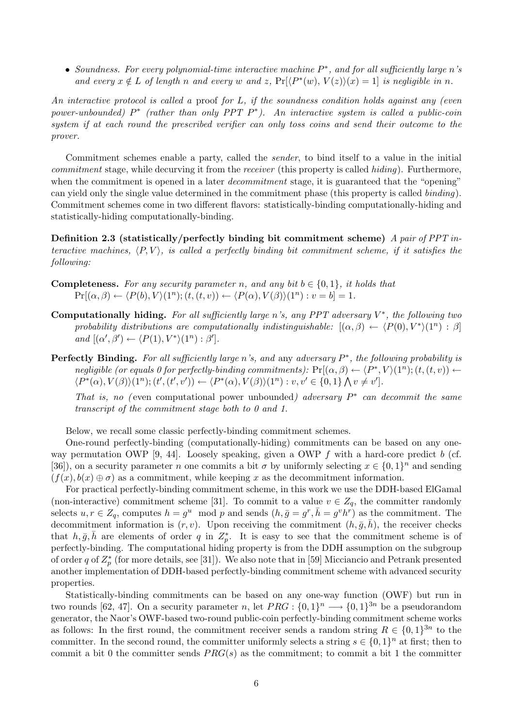• Soundness. For every polynomial-time interactive machine P ∗ , and for all sufficiently large n's and every  $x \notin L$  of length n and every w and z,  $Pr[ \langle P^*(w), V(z) \rangle | x) = 1 ]$  is negligible in n.

An interactive protocol is called a proof for L, if the soundness condition holds against any (even power-unbounded)  $P^*$  (rather than only PPT  $P^*$ ). An interactive system is called a public-coin system if at each round the prescribed verifier can only toss coins and send their outcome to the prover.

Commitment schemes enable a party, called the sender, to bind itself to a value in the initial commitment stage, while decurving it from the *receiver* (this property is called *hiding*). Furthermore, when the commitment is opened in a later *decommitment* stage, it is guaranteed that the "opening" can yield only the single value determined in the commitment phase (this property is called binding). Commitment schemes come in two different flavors: statistically-binding computationally-hiding and statistically-hiding computationally-binding.

Definition 2.3 (statistically/perfectly binding bit commitment scheme) A pair of PPT interactive machines,  $\langle P, V \rangle$ , is called a perfectly binding bit commitment scheme, if it satisfies the following:

- **Completeness.** For any security parameter n, and any bit  $b \in \{0, 1\}$ , it holds that  $\Pr[(\alpha, \beta) \leftarrow \langle P(b), V \rangle (1^n); (t, (t, v)) \leftarrow \langle P(\alpha), V(\beta) \rangle (1^n): v = b] = 1.$
- Computationally hiding. For all sufficiently large n's, any PPT adversary  $V^*$ , the following two probability distributions are computationally indistinguishable:  $[(\alpha, \beta) \leftarrow (P(0), V^*)(1^n) : \beta]$ and  $[(\alpha', \beta') \leftarrow \langle P(1), V^* \rangle (1^n) : \beta']$ .
- **Perfectly Binding.** For all sufficiently large n's, and any adversary  $P^*$ , the following probability is negligible (or equals 0 for perfectly-binding commitments):  $\Pr[(\alpha, \beta) \leftarrow \langle P^*, V \rangle (1^n); (t, (t, v)) \leftarrow$  $\langle P^*(\alpha), V(\beta) \rangle (1^n); (t', (t', v')) \leftarrow \langle P^*(\alpha), V(\beta) \rangle (1^n): v, v' \in \{0, 1\} \bigwedge v \neq v'.$

That is, no (even computational power unbounded) adversary  $P^*$  can decommit the same transcript of the commitment stage both to 0 and 1.

Below, we recall some classic perfectly-binding commitment schemes.

One-round perfectly-binding (computationally-hiding) commitments can be based on any oneway permutation OWP [9, 44]. Loosely speaking, given a OWP  $f$  with a hard-core predict b (cf. [36]), on a security parameter *n* one commits a bit  $\sigma$  by uniformly selecting  $x \in \{0,1\}^n$  and sending  $(f(x), b(x) \oplus \sigma)$  as a commitment, while keeping x as the decommitment information.

For practical perfectly-binding commitment scheme, in this work we use the DDH-based ElGamal (non-interactive) commitment scheme [31]. To commit to a value  $v \in Z_q$ , the committer randomly selects  $u, r \in Z_q$ , computes  $h = g^u \mod p$  and sends  $(h, \bar{g} = g^r, \bar{h} = g^v h^r)$  as the commitment. The decommitment information is  $(r, v)$ . Upon receiving the commitment  $(h, \bar{g}, \bar{h})$ , the receiver checks that  $h, \bar{g}, \bar{h}$  are elements of order q in  $Z_p^*$ . It is easy to see that the commitment scheme is of perfectly-binding. The computational hiding property is from the DDH assumption on the subgroup of order q of  $Z_p^*$  (for more details, see [31]). We also note that in [59] Micciancio and Petrank presented another implementation of DDH-based perfectly-binding commitment scheme with advanced security properties.

Statistically-binding commitments can be based on any one-way function (OWF) but run in two rounds [62, 47]. On a security parameter n, let  $PRG: \{0,1\}^n \longrightarrow \{0,1\}^{3n}$  be a pseudorandom generator, the Naor's OWF-based two-round public-coin perfectly-binding commitment scheme works as follows: In the first round, the commitment receiver sends a random string  $R \in \{0,1\}^{3n}$  to the committer. In the second round, the committer uniformly selects a string  $s \in \{0,1\}^n$  at first; then to commit a bit 0 the committer sends  $PRG(s)$  as the commitment; to commit a bit 1 the committer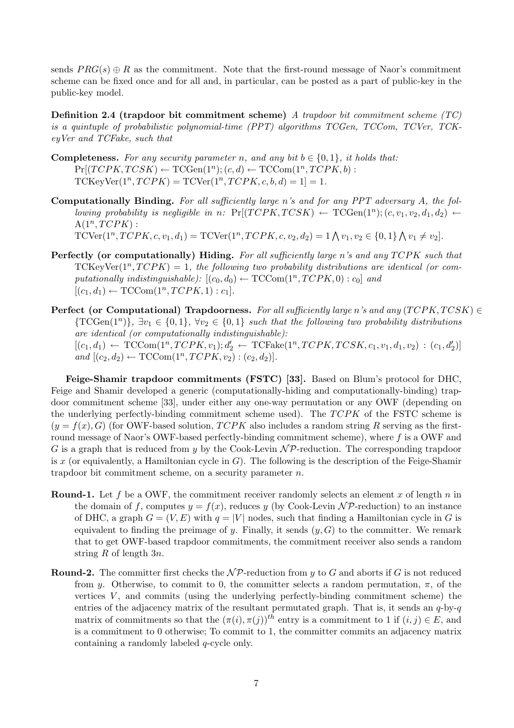sends  $PRG(s) \oplus R$  as the commitment. Note that the first-round message of Naor's commitment scheme can be fixed once and for all and, in particular, can be posted as a part of public-key in the public-key model.

**Definition 2.4 (trapdoor bit commitment scheme)** A trapdoor bit commitment scheme  $(TC)$ is a quintuple of probabilistic polynomial-time (PPT) algorithms TCGen, TCCom, TCVer, TCKeyVer and TCFake, such that

- **Completeness.** For any security parameter n, and any bit  $b \in \{0, 1\}$ , it holds that:  $Pr[(TCPK, TCSK) \leftarrow TCGen(1^n); (c, d) \leftarrow TCCom(1^n, TCPK, b):$  $TCKeyVer(1<sup>n</sup>, *TCPK*) = TCVer(1<sup>n</sup>, *TCPK*, c, b, d) = 1 = 1.$
- Computationally Binding. For all sufficiently large n's and for any PPT adversary A, the following probability is negligible in n:  $\Pr[(TCPK, TCSK) \leftarrow TCGen(1^n); (c, v_1, v_2, d_1, d_2) \leftarrow$  $A(1^n, TCPK)$ :  $TCVer(1^n, TCPK, c, v_1, d_1) = TCVer(1^n, TCPK, c, v_2, d_2) = 1 \bigwedge v_1, v_2 \in \{0, 1\}$  $\mathbf{v}$  $v_1 \neq v_2$ .
- Perfectly (or computationally) Hiding. For all sufficiently large n's and any  $TCPK$  such that  $TCKeyVer(1<sup>n</sup>, TCPK) = 1$ , the following two probability distributions are identical (or computationally indistinguishable):  $[(c_0, d_0) \leftarrow \text{TCCom}(1^n, TCPK, 0) : c_0]$  and  $[(c_1, d_1) \leftarrow \text{TCCom}(1^n, TCPK, 1) : c_1].$
- Perfect (or Computational) Trapdoorness. For all sufficiently large n's and any  $(TCPK, TCSK) \in$  ${\rm TCGen}(1^n)$ ,  $\exists v_1 \in \{0,1\}$ ,  $\forall v_2 \in \{0,1\}$  such that the following two probability distributions are identical (or computationally indistinguishable):  $[(c_1, d_1) \leftarrow \text{TCCom}(1^n, TCPK, v_1); d'_2 \leftarrow \text{TCFake}(1^n, TCPK, TCSK, c_1, v_1, d_1, v_2) : (c_1, d'_2)]$ and  $[(c_2, d_2) \leftarrow TCCom(1^n, TCPK, v_2) : (c_2, d_2)].$

Feige-Shamir trapdoor commitments (FSTC) [33]. Based on Blum's protocol for DHC, Feige and Shamir developed a generic (computationally-hiding and computationally-binding) trapdoor commitment scheme [33], under either any one-way permutation or any OWF (depending on the underlying perfectly-binding commitment scheme used). The  $TCPK$  of the FSTC scheme is  $(y = f(x), G)$  (for OWF-based solution,  $TCPK$  also includes a random string R serving as the firstround message of Naor's OWF-based perfectly-binding commitment scheme), where f is a OWF and G is a graph that is reduced from y by the Cook-Levin  $\mathcal{NP}$ -reduction. The corresponding trapdoor is x (or equivalently, a Hamiltonian cycle in  $G$ ). The following is the description of the Feige-Shamir trapdoor bit commitment scheme, on a security parameter n.

- **Round-1.** Let f be a OWF, the commitment receiver randomly selects an element x of length n in the domain of f, computes  $y = f(x)$ , reduces y (by Cook-Levin NP-reduction) to an instance of DHC, a graph  $G = (V, E)$  with  $q = |V|$  nodes, such that finding a Hamiltonian cycle in G is equivalent to finding the preimage of y. Finally, it sends  $(y, G)$  to the committer. We remark that to get OWF-based trapdoor commitments, the commitment receiver also sends a random string R of length  $3n$ .
- **Round-2.** The committer first checks the  $\mathcal{NP}$ -reduction from y to G and aborts if G is not reduced from y. Otherwise, to commit to 0, the committer selects a random permutation,  $\pi$ , of the vertices  $V$ , and commits (using the underlying perfectly-binding commitment scheme) the entries of the adjacency matrix of the resultant permutated graph. That is, it sends an  $q$ -by- $q$ matrix of commitments so that the  $(\pi(i), \pi(j))$ <sup>th</sup> entry is a commitment to 1 if  $(i, j) \in E$ , and is a commitment to 0 otherwise; To commit to 1, the committer commits an adjacency matrix containing a randomly labeled q-cycle only.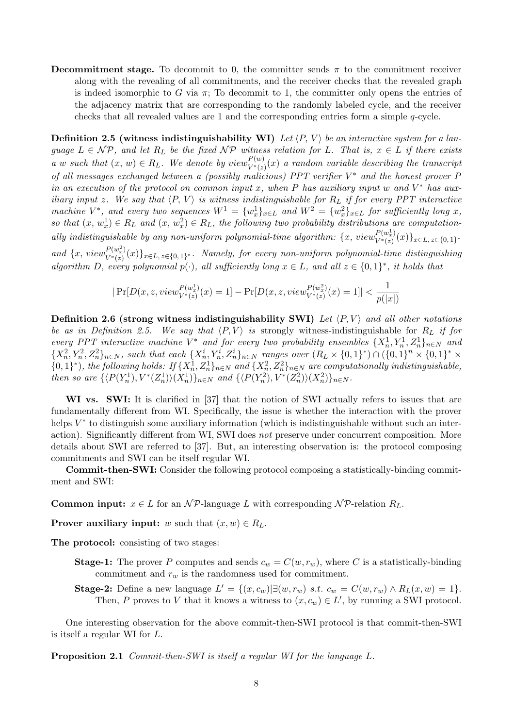**Decommitment stage.** To decommit to 0, the committer sends  $\pi$  to the commitment receiver along with the revealing of all commitments, and the receiver checks that the revealed graph is indeed isomorphic to G via  $\pi$ ; To decommit to 1, the committer only opens the entries of the adjacency matrix that are corresponding to the randomly labeled cycle, and the receiver checks that all revealed values are 1 and the corresponding entries form a simple q-cycle.

**Definition 2.5 (witness indistinguishability WI)** Let  $\langle P, V \rangle$  be an interactive system for a language  $L \in \mathcal{NP}$ , and let  $R_L$  be the fixed  $\mathcal{NP}$  witness relation for L. That is,  $x \in L$  if there exists a w such that  $(x, w) \in R_L$ . We denote by  $view_{V^*(z)}^{P(w)}(x)$  a random variable describing the transcript of all messages exchanged between a (possibly malicious) PPT verifier  $V^*$  and the honest prover P in an execution of the protocol on common input x, when P has auxiliary input w and  $V^*$  has auxiliary input z. We say that  $\langle P, V \rangle$  is witness indistinguishable for  $R_L$  if for every PPT interactive machine  $V^*$ , and every two sequences  $W^1 = \{w_x^1\}_{x \in L}$  and  $W^2 = \{w_x^2\}_{x \in L}$  for sufficiently long x, so that  $(x, w_x^1) \in R_L$  and  $(x, w_x^2) \in R_L$ , the following two probability distributions are computationally indistinguishable by any non-uniform polynomial-time algorithm:  $\{x, view^{P(w_x^1)}_{V^*(x)}\}$  $V^{(w_x^+)}(x)\}_{x\in L,\,z\in\{0,\,1\}^*}$ and  $\{x, view_{V^*(x)}^{P(w_x^2)}\}$ 

 $\{V^{*}(w_{x}^{-}) (x)\}_{x\in L,\,z\in\{0,\,1\}^{\ast}}$ . Namely, for every non-uniform polynomial-time distinguishing algorithm D, every polynomial  $p(\cdot)$ , all sufficiently long  $x \in L$ , and all  $z \in \{0,1\}^*$ , it holds that

$$
|\Pr[D(x, z, view_{V^*(z)}^{P(w_x^1)}(x) = 1] - \Pr[D(x, z, view_{V^*(z)}^{P(w_x^2)}(x) = 1]| < \frac{1}{p(|x|)}
$$

Definition 2.6 (strong witness indistinguishability SWI) Let  $\langle P, V \rangle$  and all other notations be as in Definition 2.5. We say that  $\langle P, V \rangle$  is strongly witness-indistinguishable for  $R_L$  if for every PPT interactive machine  $V^*$  and for every two probability ensembles  $\{X_n^1, Y_n^1, Z_n^1\}_{n\in\mathbb{N}}$  and  ${X_n^2, Y_n^2, Z_n^2}_{n \in \mathbb{N}}$ , such that each  ${X_n^i, Y_n^i, Z_n^i}_{n \in \mathbb{N}}$  ranges over  $(R_L \times {0, 1}^*) \cap ({0, 1}^n \times {0, 1}^* \times$  $\{0,1\}^*$ ), the following holds: If  $\{X_n^1, Z_n^1\}_{n\in\mathbb{N}}$  and  $\{X_n^2, Z_n^2\}_{n\in\mathbb{N}}$  are computationally indistinguishable, then so are  $\{ \langle P(Y_n^1), V^*(Z_n^1) \rangle (X_n^1) \}_{n \in \mathbb{N}}$  and  $\{ \langle P(Y_n^2), V^*(Z_n^2) \rangle (X_n^2) \}_{n \in \mathbb{N}}$ .

WI vs. SWI: It is clarified in [37] that the notion of SWI actually refers to issues that are fundamentally different from WI. Specifically, the issue is whether the interaction with the prover helps  $V^*$  to distinguish some auxiliary information (which is indistinguishable without such an interaction). Significantly different from WI, SWI does not preserve under concurrent composition. More details about SWI are referred to [37]. But, an interesting observation is: the protocol composing commitments and SWI can be itself regular WI.

Commit-then-SWI: Consider the following protocol composing a statistically-binding commitment and SWI:

**Common input:**  $x \in L$  for an  $\mathcal{NP}$ -language L with corresponding  $\mathcal{NP}$ -relation  $R_L$ .

**Prover auxiliary input:** w such that  $(x, w) \in R_L$ .

The protocol: consisting of two stages:

- **Stage-1:** The prover P computes and sends  $c_w = C(w, r_w)$ , where C is a statistically-binding commitment and  $r_w$  is the randomness used for commitment.
- Stage-2: Define a new language  $L' = \{(x, c_w) | \exists (w, r_w) \ s.t. \ c_w = C(w, r_w) \land R_L(x, w) = 1\}.$ Then, P proves to V that it knows a witness to  $(x, c_w) \in L'$ , by running a SWI protocol.

One interesting observation for the above commit-then-SWI protocol is that commit-then-SWI is itself a regular WI for L.

Proposition 2.1 Commit-then-SWI is itself a regular WI for the language L.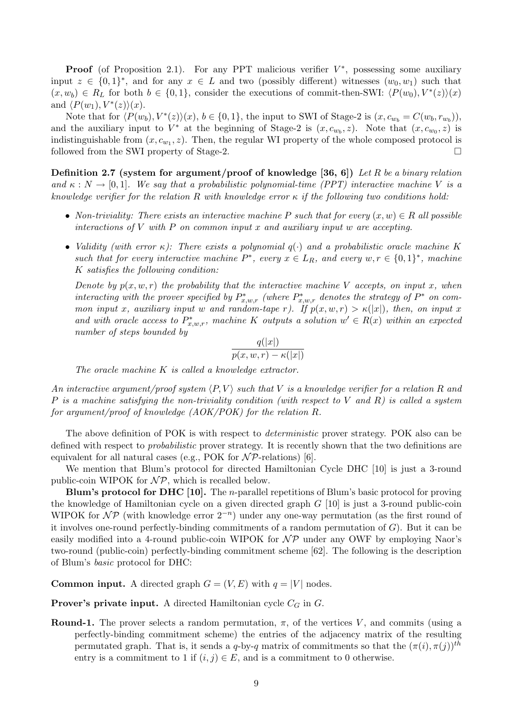**Proof** (of Proposition 2.1). For any PPT malicious verifier  $V^*$ , possessing some auxiliary input  $z \in \{0,1\}^*$ , and for any  $x \in L$  and two (possibly different) witnesses  $(w_0, w_1)$  such that  $(x, w_b) \in R_L$  for both  $b \in \{0, 1\}$ , consider the executions of commit-then-SWI:  $\langle P(w_0), V^*(z) \rangle (x)$ and  $\langle P(w_1), V^*(z) \rangle (x)$ .

Note that for  $\langle P(w_b), V^*(z) \rangle (x), b \in \{0, 1\}$ , the input to SWI of Stage-2 is  $(x, c_{w_b} = C(w_b, r_{w_b}))$ , and the auxiliary input to  $V^*$  at the beginning of Stage-2 is  $(x, c_{w_b}, z)$ . Note that  $(x, c_{w_0}, z)$  is indistinguishable from  $(x, c_{w_1}, z)$ . Then, the regular WI property of the whole composed protocol is followed from the SWI property of Stage-2.

**Definition 2.7** (system for argument/proof of knowledge [36, 6]) Let R be a binary relation and  $\kappa : N \to [0,1]$ . We say that a probabilistic polynomial-time (PPT) interactive machine V is a knowledge verifier for the relation R with knowledge error  $\kappa$  if the following two conditions hold:

- Non-triviality: There exists an interactive machine P such that for every  $(x, w) \in R$  all possible interactions of  $V$  with  $P$  on common input  $x$  and auxiliary input  $w$  are accepting.
- Validity (with error  $\kappa$ ): There exists a polynomial  $q(\cdot)$  and a probabilistic oracle machine K such that for every interactive machine  $P^*$ , every  $x \in L_R$ , and every  $w, r \in \{0,1\}^*$ , machine K satisfies the following condition:

Denote by  $p(x, w, r)$  the probability that the interactive machine V accepts, on input x, when interacting with the prover specified by  $P_{x,w,r}^*$  (where  $P_{x,w,r}^*$  denotes the strategy of  $P^*$  on common input x, auxiliary input w and random-tape r). If  $p(x, w, r) > \kappa(|x|)$ , then, on input x and with oracle access to  $P_{x,w,r}^*$ , machine K outputs a solution  $w' \in R(x)$  within an expected number of steps bounded by

$$
\frac{q(|x|)}{p(x,w,r) - \kappa(|x|)}
$$

The oracle machine K is called a knowledge extractor.

An interactive argument/proof system  $\langle P, V \rangle$  such that V is a knowledge verifier for a relation R and P is a machine satisfying the non-triviality condition (with respect to V and R) is called a system for argument/proof of knowledge (AOK/POK) for the relation R.

The above definition of POK is with respect to *deterministic* prover strategy. POK also can be defined with respect to *probabilistic* prover strategy. It is recently shown that the two definitions are equivalent for all natural cases (e.g., POK for  $N\mathcal{P}\text{-relations}$ ) [6].

We mention that Blum's protocol for directed Hamiltonian Cycle DHC [10] is just a 3-round public-coin WIPOK for  $\mathcal{NP}$ , which is recalled below.

**Blum's protocol for DHC [10].** The *n*-parallel repetitions of Blum's basic protocol for proving the knowledge of Hamiltonian cycle on a given directed graph  $G$  [10] is just a 3-round public-coin WIPOK for  $\mathcal{NP}$  (with knowledge error  $2^{-n}$ ) under any one-way permutation (as the first round of it involves one-round perfectly-binding commitments of a random permutation of  $G$ ). But it can be easily modified into a 4-round public-coin WIPOK for  $N\mathcal{P}$  under any OWF by employing Naor's two-round (public-coin) perfectly-binding commitment scheme [62]. The following is the description of Blum's basic protocol for DHC:

**Common input.** A directed graph  $G = (V, E)$  with  $q = |V|$  nodes.

**Prover's private input.** A directed Hamiltonian cycle  $C_G$  in  $G$ .

**Round-1.** The prover selects a random permutation,  $\pi$ , of the vertices V, and commits (using a perfectly-binding commitment scheme) the entries of the adjacency matrix of the resulting permutated graph. That is, it sends a q-by-q matrix of commitments so that the  $(\pi(i), \pi(j))$ <sup>th</sup> entry is a commitment to 1 if  $(i, j) \in E$ , and is a commitment to 0 otherwise.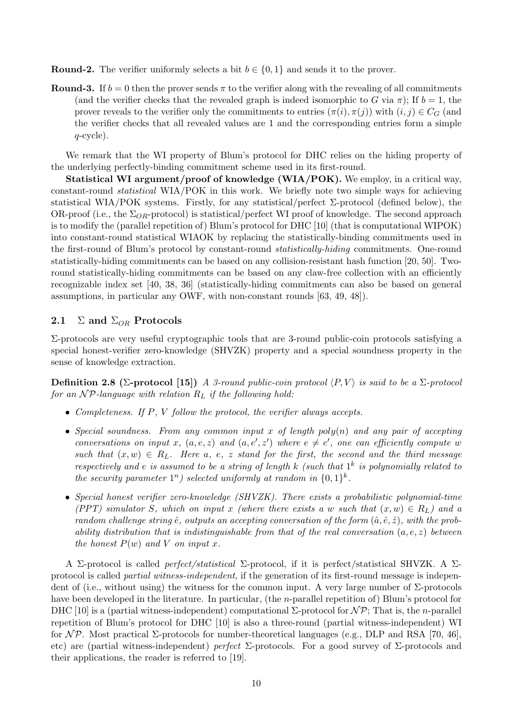**Round-2.** The verifier uniformly selects a bit  $b \in \{0, 1\}$  and sends it to the prover.

**Round-3.** If  $b = 0$  then the prover sends  $\pi$  to the verifier along with the revealing of all commitments (and the verifier checks that the revealed graph is indeed isomorphic to G via  $\pi$ ); If  $b = 1$ , the prover reveals to the verifier only the commitments to entries  $(\pi(i), \pi(j))$  with  $(i, j) \in C_G$  (and the verifier checks that all revealed values are 1 and the corresponding entries form a simple  $q$ -cycle).

We remark that the WI property of Blum's protocol for DHC relies on the hiding property of the underlying perfectly-binding commitment scheme used in its first-round.

Statistical WI argument/proof of knowledge (WIA/POK). We employ, in a critical way, constant-round statistical WIA/POK in this work. We briefly note two simple ways for achieving statistical WIA/POK systems. Firstly, for any statistical/perfect  $\Sigma$ -protocol (defined below), the OR-proof (i.e., the  $\Sigma_{OR}$ -protocol) is statistical/perfect WI proof of knowledge. The second approach is to modify the (parallel repetition of) Blum's protocol for DHC [10] (that is computational WIPOK) into constant-round statistical WIAOK by replacing the statistically-binding commitments used in the first-round of Blum's protocol by constant-round statistically-hiding commitments. One-round statistically-hiding commitments can be based on any collision-resistant hash function [20, 50]. Tworound statistically-hiding commitments can be based on any claw-free collection with an efficiently recognizable index set [40, 38, 36] (statistically-hiding commitments can also be based on general assumptions, in particular any OWF, with non-constant rounds [63, 49, 48]).

### 2.1  $\Sigma$  and  $\Sigma_{OR}$  Protocols

Σ-protocols are very useful cryptographic tools that are 3-round public-coin protocols satisfying a special honest-verifier zero-knowledge (SHVZK) property and a special soundness property in the sense of knowledge extraction.

**Definition 2.8 (Σ-protocol [15])** A 3-round public-coin protocol  $\langle P, V \rangle$  is said to be a  $\Sigma$ -protocol for an  $\mathcal{NP}$ -language with relation  $R_L$  if the following hold:

- Completeness. If P, V follow the protocol, the verifier always accepts.
- Special soundness. From any common input x of length poly $(n)$  and any pair of accepting conversations on input x,  $(a, e, z)$  and  $(a, e', z')$  where  $e \neq e'$ , one can efficiently compute w such that  $(x, w) \in R_L$ . Here a, e, z stand for the first, the second and the third message respectively and e is assumed to be a string of length k (such that  $1^k$  is polynomially related to the security parameter  $1^n$ ) selected uniformly at random in  $\{0,1\}^k$ .
- Special honest verifier zero-knowledge (SHVZK). There exists a probabilistic polynomial-time (PPT) simulator S, which on input x (where there exists a w such that  $(x, w) \in R_L$ ) and a random challenge string  $\hat{e}$ , outputs an accepting conversation of the form  $(\hat{a}, \hat{e}, \hat{z})$ , with the probability distribution that is indistinguishable from that of the real conversation  $(a, e, z)$  between the honest  $P(w)$  and V on input x.

A Σ-protocol is called perfect/statistical Σ-protocol, if it is perfect/statistical SHVZK. A Σprotocol is called *partial witness-independent*, if the generation of its first-round message is independent of (i.e., without using) the witness for the common input. A very large number of Σ-protocols have been developed in the literature. In particular, (the *n*-parallel repetition of) Blum's protocol for DHC [10] is a (partial witness-independent) computational Σ-protocol for  $\mathcal{NP}$ ; That is, the *n*-parallel repetition of Blum's protocol for DHC [10] is also a three-round (partial witness-independent) WI for  $N\mathcal{P}$ . Most practical  $\Sigma$ -protocols for number-theoretical languages (e.g., DLP and RSA [70, 46], etc) are (partial witness-independent) perfect  $\Sigma$ -protocols. For a good survey of  $\Sigma$ -protocols and their applications, the reader is referred to [19].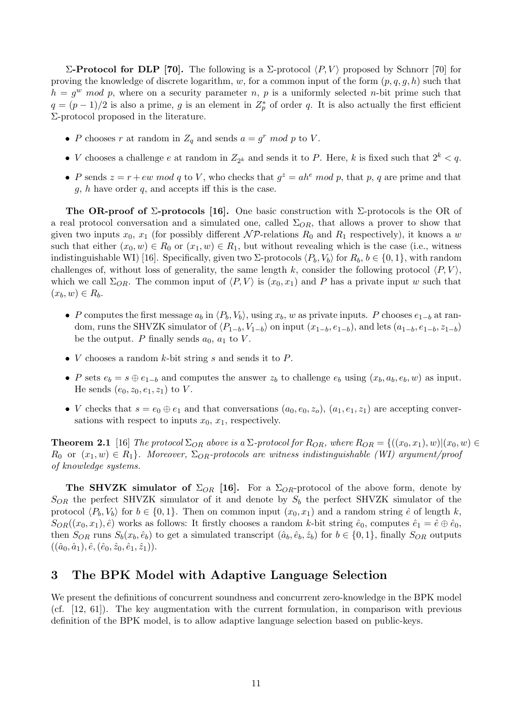Σ-Protocol for DLP [70]. The following is a Σ-protocol  $\langle P, V \rangle$  proposed by Schnorr [70] for proving the knowledge of discrete logarithm, w, for a common input of the form  $(p, q, g, h)$  such that  $h = g^w \mod p$ , where on a security parameter n, p is a uniformly selected n-bit prime such that  $q = (p-1)/2$  is also a prime, g is an element in  $Z_p^*$  of order q. It is also actually the first efficient Σ-protocol proposed in the literature.

- P chooses r at random in  $Z_q$  and sends  $a = g^r \mod p$  to V.
- *V* chooses a challenge *e* at random in  $Z_{2^k}$  and sends it to *P*. Here, *k* is fixed such that  $2^k < q$ .
- P sends  $z = r + ew \mod q$  to V, who checks that  $g^z = ah^e \mod p$ , that p, q are prime and that  $q, h$  have order  $q$ , and accepts iff this is the case.

The OR-proof of  $\Sigma$ -protocols [16]. One basic construction with  $\Sigma$ -protocols is the OR of a real protocol conversation and a simulated one, called  $\Sigma_{OR}$ , that allows a prover to show that given two inputs  $x_0, x_1$  (for possibly different  $\mathcal{NP}\text{-relations }R_0$  and  $R_1$  respectively), it knows a w such that either  $(x_0, w) \in R_0$  or  $(x_1, w) \in R_1$ , but without revealing which is the case (i.e., witness indistinguishable WI) [16]. Specifically, given two  $\Sigma$ -protocols  $\langle P_b, V_b \rangle$  for  $R_b, b \in \{0, 1\}$ , with random challenges of, without loss of generality, the same length k, consider the following protocol  $\langle P, V \rangle$ , which we call  $\Sigma_{OR}$ . The common input of  $\langle P, V \rangle$  is  $(x_0, x_1)$  and P has a private input w such that  $(x_b, w) \in R_b$ .

- P computes the first message  $a_b$  in  $\langle P_b, V_b \rangle$ , using  $x_b$ , w as private inputs. P chooses  $e_{1-b}$  at random, runs the SHVZK simulator of  $\langle P_{1-b}, V_{1-b} \rangle$  on input  $(x_{1-b}, e_{1-b})$ , and lets  $(a_{1-b}, e_{1-b}, z_{1-b})$ be the output. P finally sends  $a_0$ ,  $a_1$  to V.
- $V$  chooses a random  $k$ -bit string  $s$  and sends it to  $P$ .
- P sets  $e_b = s \oplus e_{1-b}$  and computes the answer  $z_b$  to challenge  $e_b$  using  $(x_b, a_b, e_b, w)$  as input. He sends  $(e_0, z_0, e_1, z_1)$  to V.
- V checks that  $s = e_0 \oplus e_1$  and that conversations  $(a_0, e_0, z_0)$ ,  $(a_1, e_1, z_1)$  are accepting conversations with respect to inputs  $x_0, x_1$ , respectively.

**Theorem 2.1** [16] The protocol  $\Sigma_{OR}$  above is a  $\Sigma$ -protocol for  $R_{OR}$ , where  $R_{OR} = \{((x_0, x_1), w) | (x_0, w) \in$  $R_0$  or  $(x_1, w) \in R_1$ . Moreover,  $\Sigma_{OR}$ -protocols are witness indistinguishable (WI) argument/proof of knowledge systems.

The SHVZK simulator of  $\Sigma_{OR}$  [16]. For a  $\Sigma_{OR}$ -protocol of the above form, denote by  $S_{OR}$  the perfect SHVZK simulator of it and denote by  $S_b$  the perfect SHVZK simulator of the protocol  $\langle P_b, V_b \rangle$  for  $b \in \{0, 1\}$ . Then on common input  $(x_0, x_1)$  and a random string  $\hat{e}$  of length k,  $S_{OR}((x_0, x_1), \hat{e})$  works as follows: It firstly chooses a random k-bit string  $\hat{e}_0$ , computes  $\hat{e}_1 = \hat{e} \oplus \hat{e}_0$ , then  $S_{OR}$  runs  $S_b(x_b, \hat{e}_b)$  to get a simulated transcript  $(\hat{a}_b, \hat{e}_b, \hat{z}_b)$  for  $b \in \{0, 1\}$ , finally  $S_{OR}$  outputs  $((\hat{a}_0, \hat{a}_1), \hat{e}, (\hat{e}_0, \hat{z}_0, \hat{e}_1, \hat{z}_1)).$ 

### 3 The BPK Model with Adaptive Language Selection

We present the definitions of concurrent soundness and concurrent zero-knowledge in the BPK model (cf. [12, 61]). The key augmentation with the current formulation, in comparison with previous definition of the BPK model, is to allow adaptive language selection based on public-keys.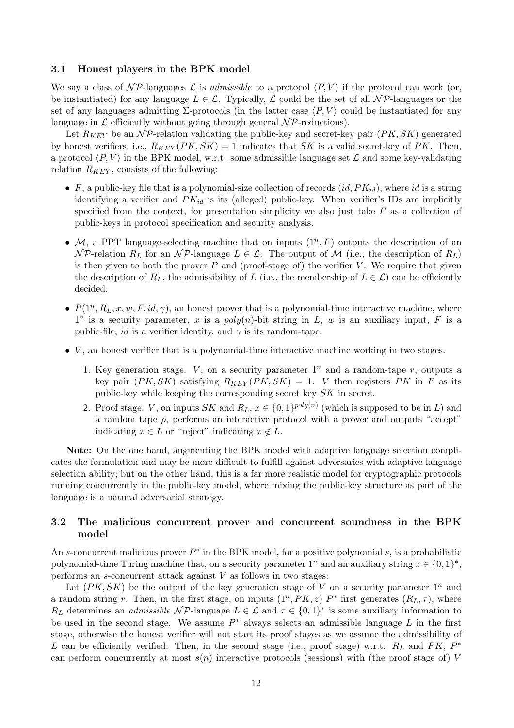### 3.1 Honest players in the BPK model

We say a class of  $\mathcal{NP}\text{-languages } \mathcal{L}$  is *admissible* to a protocol  $\langle P, V \rangle$  if the protocol can work (or, be instantiated) for any language  $L \in \mathcal{L}$ . Typically,  $\mathcal L$  could be the set of all  $\mathcal N\mathcal P$ -languages or the set of any languages admitting  $\Sigma$ -protocols (in the latter case  $\langle P, V \rangle$  could be instantiated for any language in  $\mathcal L$  efficiently without going through general  $\mathcal NP$ -reductions).

Let  $R_{KEY}$  be an  $\mathcal{NP}$ -relation validating the public-key and secret-key pair  $(PK, SK)$  generated by honest verifiers, i.e.,  $R_{KEY}(PK, SK) = 1$  indicates that SK is a valid secret-key of PK. Then, a protocol  $\langle P, V \rangle$  in the BPK model, w.r.t. some admissible language set  $\mathcal L$  and some key-validating relation  $R_{KEY}$ , consists of the following:

- F, a public-key file that is a polynomial-size collection of records  $(id, PK_{id})$ , where id is a string identifying a verifier and  $PK_{id}$  is its (alleged) public-key. When verifier's IDs are implicitly specified from the context, for presentation simplicity we also just take  $F$  as a collection of public-keys in protocol specification and security analysis.
- M, a PPT language-selecting machine that on inputs  $(1^n, F)$  outputs the description of an  $\mathcal{NP}$ -relation  $R_L$  for an  $\mathcal{NP}$ -language  $L \in \mathcal{L}$ . The output of M (i.e., the description of  $R_L$ ) is then given to both the prover  $P$  and (proof-stage of) the verifier  $V$ . We require that given the description of  $R_L$ , the admissibility of L (i.e., the membership of  $L \in \mathcal{L}$ ) can be efficiently decided.
- $P(1^n, R_L, x, w, F, id, \gamma)$ , an honest prover that is a polynomial-time interactive machine, where  $1^n$  is a security parameter, x is a poly(n)-bit string in L, w is an auxiliary input, F is a public-file, *id* is a verifier identity, and  $\gamma$  is its random-tape.
- $\bullet$  V, an honest verifier that is a polynomial-time interactive machine working in two stages.
	- 1. Key generation stage. V, on a security parameter  $1^n$  and a random-tape r, outputs a key pair  $(PK, SK)$  satisfying  $R_{KEY}(PK, SK) = 1$ . V then registers PK in F as its public-key while keeping the corresponding secret key SK in secret.
	- 2. Proof stage. V, on inputs SK and  $R_L$ ,  $x \in \{0,1\}^{poly(n)}$  (which is supposed to be in L) and a random tape  $\rho$ , performs an interactive protocol with a prover and outputs "accept" indicating  $x \in L$  or "reject" indicating  $x \notin L$ .

Note: On the one hand, augmenting the BPK model with adaptive language selection complicates the formulation and may be more difficult to fulfill against adversaries with adaptive language selection ability; but on the other hand, this is a far more realistic model for cryptographic protocols running concurrently in the public-key model, where mixing the public-key structure as part of the language is a natural adversarial strategy.

### 3.2 The malicious concurrent prover and concurrent soundness in the BPK model

An s-concurrent malicious prover  $P^*$  in the BPK model, for a positive polynomial s, is a probabilistic polynomial-time Turing machine that, on a security parameter  $1^n$  and an auxiliary string  $z \in \{0,1\}^*$ , performs an  $s$ -concurrent attack against  $V$  as follows in two stages:

Let  $(PK, SK)$  be the output of the key generation stage of V on a security parameter  $1^n$  and a random string r. Then, in the first stage, on inputs  $(1^n, PK, z)$   $P^*$  first generates  $(R_L, \tau)$ , where  $R_L$  determines an *admissible*  $\mathcal{NP}$ -language  $L \in \mathcal{L}$  and  $\tau \in \{0,1\}^*$  is some auxiliary information to be used in the second stage. We assume  $P^*$  always selects an admissible language L in the first stage, otherwise the honest verifier will not start its proof stages as we assume the admissibility of L can be efficiently verified. Then, in the second stage (i.e., proof stage) w.r.t.  $R_L$  and PK,  $P^*$ can perform concurrently at most  $s(n)$  interactive protocols (sessions) with (the proof stage of) V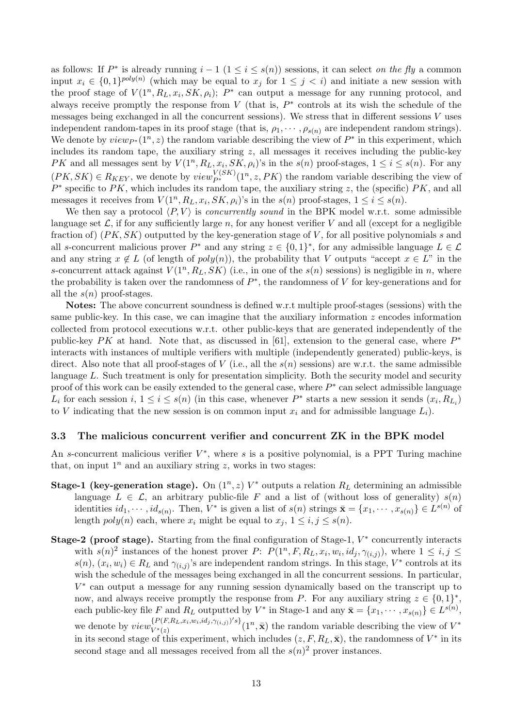as follows: If  $P^*$  is already running  $i-1$   $(1 \leq i \leq s(n))$  sessions, it can select on the fly a common input  $x_i \in \{0,1\}^{poly(n)}$  (which may be equal to  $x_j$  for  $1 \leq j \leq i$ ) and initiate a new session with the proof stage of  $V(1^n, R_L, x_i, SK, \rho_i);$   $P^*$  can output a message for any running protocol, and always receive promptly the response from  $V$  (that is,  $P^*$  controls at its wish the schedule of the messages being exchanged in all the concurrent sessions). We stress that in different sessions V uses independent random-tapes in its proof stage (that is,  $\rho_1, \dots, \rho_{s(n)}$  are independent random strings). We denote by  $view_{P^*}(1^n, z)$  the random variable describing the view of  $P^*$  in this experiment, which includes its random tape, the auxiliary string  $z$ , all messages it receives including the public-key PK and all messages sent by  $V(1^n, R_L, x_i, SK, \rho_i)$ 's in the  $s(n)$  proof-stages,  $1 \le i \le s(n)$ . For any  $(PK, SK) \in R_{KEY}$ , we denote by  $view_{P^*}^{V(SK)}(1^n, z, PK)$  the random variable describing the view of  $P^*$  specific to PK, which includes its random tape, the auxiliary string z, the (specific) PK, and all messages it receives from  $V(1^n, R_L, x_i, SK, \rho_i)$ 's in the  $s(n)$  proof-stages,  $1 \leq i \leq s(n)$ .

We then say a protocol  $\langle P, V \rangle$  is *concurrently sound* in the BPK model w.r.t. some admissible language set  $\mathcal{L}$ , if for any sufficiently large n, for any honest verifier V and all (except for a negligible fraction of)  $(PK, SK)$  outputted by the key-generation stage of V, for all positive polynomials s and all s-concurrent malicious prover  $P^*$  and any string  $z \in \{0,1\}^*$ , for any admissible language  $L \in \mathcal{L}$ and any string  $x \notin L$  (of length of  $poly(n)$ ), the probability that V outputs "accept  $x \in L$ " in the s-concurrent attack against  $V(1^n, R_L, SK)$  (i.e., in one of the  $s(n)$  sessions) is negligible in n, where the probability is taken over the randomness of  $P^*$ , the randomness of V for key-generations and for all the  $s(n)$  proof-stages.

Notes: The above concurrent soundness is defined w.r.t multiple proof-stages (sessions) with the same public-key. In this case, we can imagine that the auxiliary information  $z$  encodes information collected from protocol executions w.r.t. other public-keys that are generated independently of the public-key  $PK$  at hand. Note that, as discussed in [61], extension to the general case, where  $P^*$ interacts with instances of multiple verifiers with multiple (independently generated) public-keys, is direct. Also note that all proof-stages of V (i.e., all the  $s(n)$  sessions) are w.r.t. the same admissible language  $L$ . Such treatment is only for presentation simplicity. Both the security model and security proof of this work can be easily extended to the general case, where  $P^*$  can select admissible language  $L_i$  for each session  $i, 1 \leq i \leq s(n)$  (in this case, whenever  $P^*$  starts a new session it sends  $(x_i, R_{L_i})$ to V indicating that the new session is on common input  $x_i$  and for admissible language  $L_i$ ).

#### 3.3 The malicious concurrent verifier and concurrent ZK in the BPK model

An s-concurrent malicious verifier  $V^*$ , where s is a positive polynomial, is a PPT Turing machine that, on input  $1^n$  and an auxiliary string z, works in two stages:

- **Stage-1 (key-generation stage).** On  $(1^n, z)$   $V^*$  outputs a relation  $R_L$  determining an admissible language  $L \in \mathcal{L}$ , an arbitrary public-file F and a list of (without loss of generality)  $s(n)$ identities  $id_1, \dots, id_{s(n)}$ . Then,  $V^*$  is given a list of  $s(n)$  strings  $\bar{\mathbf{x}} = \{x_1, \dots, x_{s(n)}\} \in L^{s(n)}$  of length  $poly(n)$  each, where  $x_i$  might be equal to  $x_j$ ,  $1 \le i, j \le s(n)$ .
- Stage-2 (proof stage). Starting from the final configuration of Stage-1,  $V^*$  concurrently interacts with  $s(n)^2$  instances of the honest prover P:  $P(1^n, F, R_L, x_i, w_i, id_j, \gamma_{(i,j)})$ , where  $1 \leq i, j \leq j$  $s(n), (x_i, w_i) \in R_L$  and  $\gamma_{(i,j)}$ 's are independent random strings. In this stage,  $V^*$  controls at its wish the schedule of the messages being exchanged in all the concurrent sessions. In particular, V ∗ can output a message for any running session dynamically based on the transcript up to now, and always receive promptly the response from P. For any auxiliary string  $z \in \{0,1\}^*$ , each public-key file F and  $R_L$  outputted by  $V^*$  in Stage-1 and any  $\bar{\mathbf{x}} = \{x_1, \dots, x_{s(n)}\} \in L^{s(n)}$ , we denote by  $view_{V^*(x)}^{\{P(F,R_L,x_i,w_i,id_j,\gamma_{(i,j)})\}}$  $V^{*(F,K_L,x_i,w_i,a_j,\gamma_{(i,j)})'s}$  (1<sup>n</sup>,  $\bar{\mathbf{x}}$ ) the random variable describing the view of  $V^*$ in its second stage of this experiment, which includes  $(z, F, R_L, \bar{x})$ , the randomness of  $V^*$  in its second stage and all messages received from all the  $s(n)^2$  prover instances.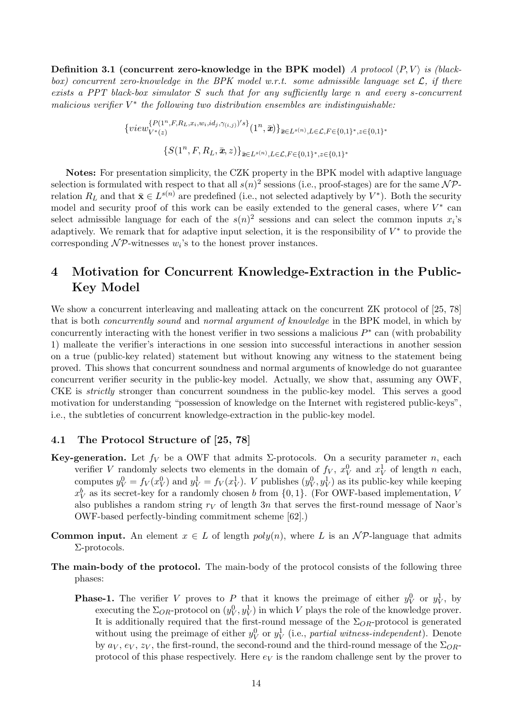Definition 3.1 (concurrent zero-knowledge in the BPK model) A protocol  $\langle P, V \rangle$  is (blackbox) concurrent zero-knowledge in the BPK model w.r.t. some admissible language set  $\mathcal{L}$ , if there exists a PPT black-box simulator S such that for any sufficiently large n and every s-concurrent malicious verifier  $V^*$  the following two distribution ensembles are indistinguishable:

$$
\{view_{V^*(z)}^{\{P(1^n,F,R_L,x_i,w_i,id_j,\gamma_{(i,j)})\}}(1^n,\bar{x})\}_{\bar{x}\in L^{s(n)},L\in\mathcal{L},F\in\{0,1\}^*,z\in\{0,1\}^*}
$$

$$
\{S(1^n,F,R_L,\bar{x},z)\}_{\bar{x}\in L^{s(n)},L\in\mathcal{L},F\in\{0,1\}^*,z\in\{0,1\}^*}
$$

Notes: For presentation simplicity, the CZK property in the BPK model with adaptive language selection is formulated with respect to that all  $s(n)^2$  sessions (i.e., proof-stages) are for the same  $\mathcal{NP}$ relation  $R_L$  and that  $\bar{\mathbf{x}} \in L^{s(n)}$  are predefined (i.e., not selected adaptively by  $V^*$ ). Both the security model and security proof of this work can be easily extended to the general cases, where  $V^*$  can select admissible language for each of the  $s(n)^2$  sessions and can select the common inputs  $x_i$ 's adaptively. We remark that for adaptive input selection, it is the responsibility of  $V^*$  to provide the corresponding  $\mathcal{NP}$ -witnesses  $w_i$ 's to the honest prover instances.

# 4 Motivation for Concurrent Knowledge-Extraction in the Public-Key Model

We show a concurrent interleaving and malleating attack on the concurrent ZK protocol of [25, 78] that is both concurrently sound and normal argument of knowledge in the BPK model, in which by concurrently interacting with the honest verifier in two sessions a malicious  $P^*$  can (with probability 1) malleate the verifier's interactions in one session into successful interactions in another session on a true (public-key related) statement but without knowing any witness to the statement being proved. This shows that concurrent soundness and normal arguments of knowledge do not guarantee concurrent verifier security in the public-key model. Actually, we show that, assuming any OWF, CKE is strictly stronger than concurrent soundness in the public-key model. This serves a good motivation for understanding "possession of knowledge on the Internet with registered public-keys", i.e., the subtleties of concurrent knowledge-extraction in the public-key model.

### 4.1 The Protocol Structure of [25, 78]

- **Key-generation.** Let  $f_V$  be a OWF that admits  $\Sigma$ -protocols. On a security parameter n, each verifier V randomly selects two elements in the domain of  $f_V$ ,  $x_V^0$  and  $x_V^1$  of length n each, computes  $y_V^0 = f_V(x_V^0)$  and  $y_V^1 = f_V(x_V^1)$ . V publishes  $(y_V^0, y_V^1)$  as its public-key while keeping  $x_V^b$  as its secret-key for a randomly chosen b from {0, 1}. (For OWF-based implementation, V also publishes a random string  $r_V$  of length 3n that serves the first-round message of Naor's OWF-based perfectly-binding commitment scheme [62].)
- **Common input.** An element  $x \in L$  of length  $poly(n)$ , where L is an  $N\mathcal{P}$ -language that admits Σ-protocols.
- The main-body of the protocol. The main-body of the protocol consists of the following three phases:
	- **Phase-1.** The verifier V proves to P that it knows the preimage of either  $y_V^0$  or  $y_V^1$ , by executing the  $\Sigma_{OR}$ -protocol on  $(y_V^0, y_V^1)$  in which V plays the role of the knowledge prover. It is additionally required that the first-round message of the  $\Sigma_{OR}$ -protocol is generated without using the preimage of either  $y_V^0$  or  $y_V^1$  (i.e., partial witness-independent). Denote by  $a_V, e_V, z_V$ , the first-round, the second-round and the third-round message of the  $\Sigma_{OR}$ protocol of this phase respectively. Here  $e_V$  is the random challenge sent by the prover to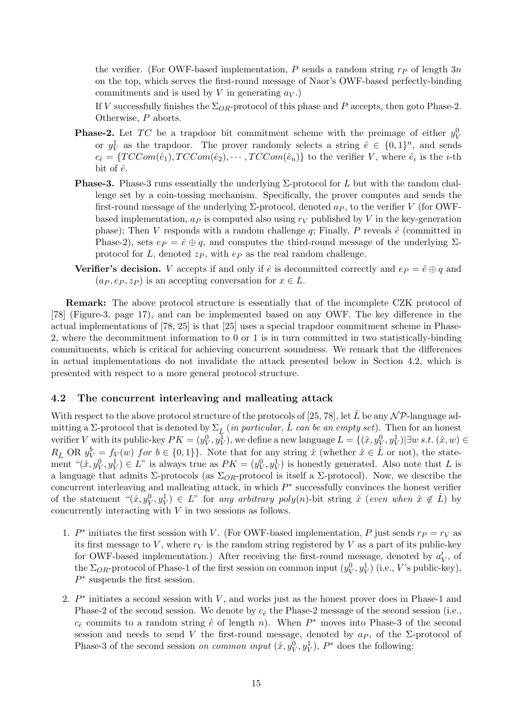the verifier. (For OWF-based implementation, P sends a random string  $r<sub>P</sub>$  of length 3n on the top, which serves the first-round message of Naor's OWF-based perfectly-binding commitments and is used by V in generating  $a_V$ .)

If V successfully finishes the  $\Sigma_{OR}$ -protocol of this phase and P accepts, then goto Phase-2. Otherwise, P aborts.

- **Phase-2.** Let TC be a trapdoor bit commitment scheme with the preimage of either  $y_V^0$ or  $y_V^1$  as the trapdoor. The prover randomly selects a string  $\hat{e} \in \{0,1\}^n$ , and sends  $c_{\hat{e}} = \{TCCom(\hat{e}_1), TCCom(\hat{e}_2), \cdots, TCCom(\hat{e}_n)\}\$ to the verifier V, where  $\hat{e}_i$  is the *i*-th bit of  $\hat{e}$ .
- **Phase-3.** Phase-3 runs essentially the underlying  $\Sigma$ -protocol for L but with the random challenge set by a coin-tossing mechanism. Specifically, the prover computes and sends the first-round message of the underlying  $\Sigma$ -protocol, denoted  $a_P$ , to the verifier V (for OWFbased implementation,  $a_P$  is computed also using  $r_V$  published by V in the key-generation phase); Then V responds with a random challenge  $q$ ; Finally, P reveals  $\hat{e}$  (committed in Phase-2), sets  $e_P = \hat{e} \oplus q$ , and computes the third-round message of the underlying  $\Sigma$ protocol for L, denoted  $z_P$ , with  $e_P$  as the real random challenge.
- Verifier's decision. V accepts if and only if  $\hat{e}$  is decommitted correctly and  $e_P = \hat{e} \oplus q$  and  $(a_P, e_P, z_P)$  is an accepting conversation for  $x \in L$ .

Remark: The above protocol structure is essentially that of the incomplete CZK protocol of [78] (Figure-3, page 17), and can be implemented based on any OWF. The key difference in the actual implementations of [78, 25] is that [25] uses a special trapdoor commitment scheme in Phase-2, where the decommitment information to 0 or 1 is in turn committed in two statistically-binding commitments, which is critical for achieving concurrent soundness. We remark that the differences in actual implementations do not invalidate the attack presented below in Section 4.2, which is presented with respect to a more general protocol structure.

### 4.2 The concurrent interleaving and malleating attack

With respect to the above protocol structure of the protocols of [25, 78], let  $\tilde{L}$  be any  $N \mathcal{P}$ -language admitting a Σ-protocol that is denoted by  $\Sigma_{\hat{L}}$  (in particular,  $\hat{L}$  can be an empty set). Then for an honest verifier V with its public-key  $PK = (y_V^0, y_V^1)$ , we define a new language  $L = \{(\hat{x}, y_V^0, y_V^1) | \exists w \ s.t. \ (\hat{x}, w) \in$  $R_{\hat{L}}$  OR  $y_V^b = f_V(w)$  for  $b \in \{0,1\}$ . Note that for any string  $\hat{x}$  (whether  $\hat{x} \in \hat{L}$  or not), the statement " $(\hat{x}, y_V^0, y_V^1) \in L$ " is always true as  $PK = (y_V^0, y_V^1)$  is honestly generated. Also note that L is a language that admits  $\Sigma$ -protocols (as  $\Sigma_{OR}$ -protocol is itself a  $\Sigma$ -protocol). Now, we describe the concurrent interleaving and malleating attack, in which  $P^*$  successfully convinces the honest verifier of the statement  $\phi(x, y^0_V, y^1_V) \in L^{\infty}$  for any arbitrary poly(n)-bit string  $\hat{x}$  (even when  $\hat{x} \notin \hat{L}$ ) by concurrently interacting with  $V$  in two sessions as follows.

- 1.  $P^*$  initiates the first session with V. (For OWF-based implementation, P just sends  $r_P = r_V$  as its first message to V, where  $r_V$  is the random string registered by V as a part of its public-key for OWF-based implementation.) After receiving the first-round message, denoted by  $a'_V$ , of the  $\Sigma_{OR}$ -protocol of Phase-1 of the first session on common input  $(y_V^0, y_V^1)$  (i.e., V's public-key),  $P^*$  suspends the first session.
- 2.  $P^*$  initiates a second session with V, and works just as the honest prover does in Phase-1 and Phase-2 of the second session. We denote by  $c_{\hat{e}}$  the Phase-2 message of the second session (i.e.,  $c_{\hat{e}}$  commits to a random string  $\hat{e}$  of length n). When  $P^*$  moves into Phase-3 of the second session and needs to send V the first-round message, denoted by  $a<sub>P</sub>$ , of the Σ-protocol of Phase-3 of the second session *on common input*  $(\hat{x}, y_V^0, y_V^1)$ ,  $P^*$  does the following: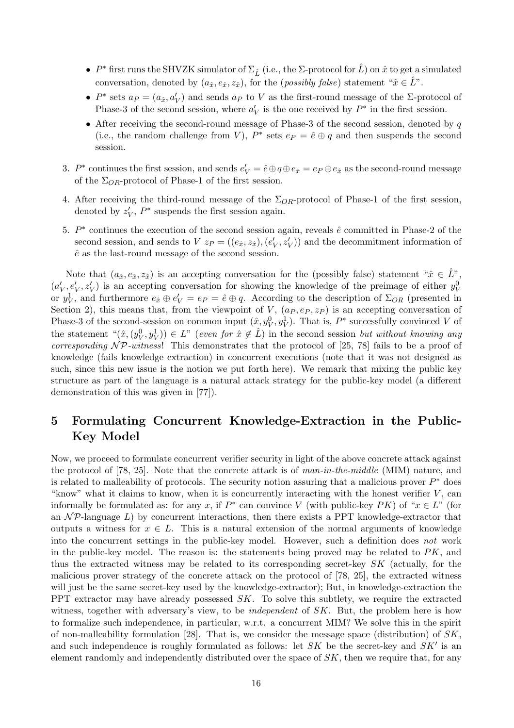- $P^*$  first runs the SHVZK simulator of  $\Sigma_{\hat{L}}$  (i.e., the  $\Sigma$ -protocol for  $\hat{L}$ ) on  $\hat{x}$  to get a simulated conversation, denoted by  $(a_{\hat{x}}, e_{\hat{x}}, z_{\hat{x}})$ , for the (*possibly false*) statement " $\hat{x} \in \hat{L}$ ".
- $P^*$  sets  $a_P = (a_{\hat{x}}, a'_V)$  and sends  $a_P$  to V as the first-round message of the  $\Sigma$ -protocol of Phase-3 of the second session, where  $a_V'$  is the one received by  $P^*$  in the first session.
- After receiving the second-round message of Phase-3 of the second session, denoted by  $q$ (i.e., the random challenge from V),  $P^*$  sets  $e_P = \hat{e} \oplus q$  and then suspends the second session.
- 3.  $P^*$  continues the first session, and sends  $e'_V = \hat{e} \oplus q \oplus e_{\hat{x}} = e_P \oplus e_{\hat{x}}$  as the second-round message of the  $\Sigma_{OR}$ -protocol of Phase-1 of the first session.
- 4. After receiving the third-round message of the  $\Sigma_{OR}$ -protocol of Phase-1 of the first session, denoted by  $z_V'$ ,  $P^*$  suspends the first session again.
- 5.  $P^*$  continues the execution of the second session again, reveals  $\hat{e}$  committed in Phase-2 of the second session, and sends to  $V z_P = ((e_{\hat{x}}, z_{\hat{x}}), (e'_V, z'_V))$  and the decommitment information of  $\hat{e}$  as the last-round message of the second session.

Note that  $(a_{\hat{x}}, e_{\hat{x}}, z_{\hat{x}})$  is an accepting conversation for the (possibly false) statement " $\hat{x} \in \hat{L}$ ",  $(a'_V, e'_V, z'_V)$  is an accepting conversation for showing the knowledge of the preimage of either  $y_V^0$ or  $y_V^1$ , and furthermore  $e_{\hat{x}} \oplus e'_V = e_P = \hat{e} \oplus q$ . According to the description of  $\Sigma_{OR}$  (presented in Section 2), this means that, from the viewpoint of  $V$ ,  $(a_P, e_P, z_P)$  is an accepting conversation of Phase-3 of the second-session on common input  $(\hat{x}, y_V^0, y_V^1)$ . That is,  $P^*$  successfully convinced V of the statement " $(\hat{x}, (y_V^0, y_V^1)) \in L$ " (even for  $\hat{x} \notin \hat{L}$ ) in the second session but without knowing any corresponding  $\mathcal{NP}\text{-}witness!$  This demonstrates that the protocol of [25, 78] fails to be a proof of knowledge (fails knowledge extraction) in concurrent executions (note that it was not designed as such, since this new issue is the notion we put forth here). We remark that mixing the public key structure as part of the language is a natural attack strategy for the public-key model (a different demonstration of this was given in [77]).

# 5 Formulating Concurrent Knowledge-Extraction in the Public-Key Model

Now, we proceed to formulate concurrent verifier security in light of the above concrete attack against the protocol of [78, 25]. Note that the concrete attack is of  $man-in-the-middle$  (MIM) nature, and is related to malleability of protocols. The security notion assuring that a malicious prover  $P^*$  does "know" what it claims to know, when it is concurrently interacting with the honest verifier  $V$ , can informally be formulated as: for any x, if  $P^*$  can convince V (with public-key PK) of " $x \in L$ " (for an  $\mathcal{NP}$ -language L) by concurrent interactions, then there exists a PPT knowledge-extractor that outputs a witness for  $x \in L$ . This is a natural extension of the normal arguments of knowledge into the concurrent settings in the public-key model. However, such a definition does not work in the public-key model. The reason is: the statements being proved may be related to  $PK$ , and thus the extracted witness may be related to its corresponding secret-key  $SK$  (actually, for the malicious prover strategy of the concrete attack on the protocol of [78, 25], the extracted witness will just be the same secret-key used by the knowledge-extractor); But, in knowledge-extraction the PPT extractor may have already possessed  $SK$ . To solve this subtlety, we require the extracted witness, together with adversary's view, to be *independent* of  $SK$ . But, the problem here is how to formalize such independence, in particular, w.r.t. a concurrent MIM? We solve this in the spirit of non-malleability formulation [28]. That is, we consider the message space (distribution) of  $SK$ , and such independence is roughly formulated as follows: let  $SK$  be the secret-key and  $SK'$  is an element randomly and independently distributed over the space of  $SK$ , then we require that, for any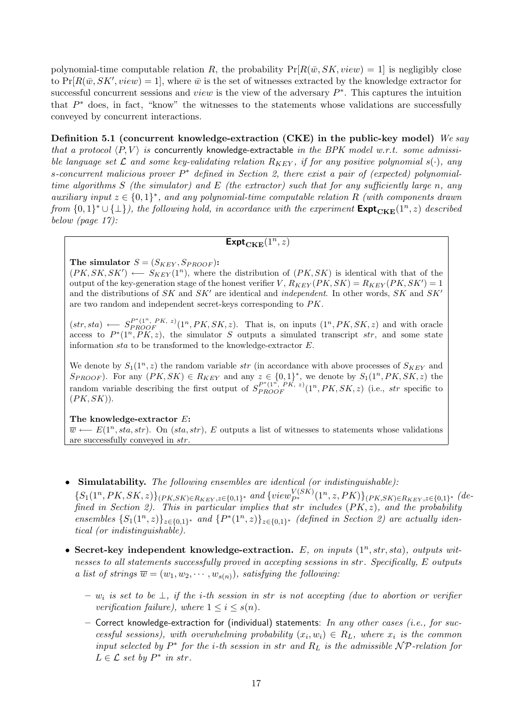polynomial-time computable relation R, the probability  $Pr[R(\bar{w}, SK, view) = 1]$  is negligibly close to  $Pr[R(\bar{w}, SK', view) = 1]$ , where  $\bar{w}$  is the set of witnesses extracted by the knowledge extractor for successful concurrent sessions and *view* is the view of the adversary  $P^*$ . This captures the intuition that  $P^*$  does, in fact, "know" the witnesses to the statements whose validations are successfully conveyed by concurrent interactions.

Definition 5.1 (concurrent knowledge-extraction (CKE) in the public-key model) We say that a protocol  $\langle P, V \rangle$  is concurrently knowledge-extractable in the BPK model w.r.t. some admissible language set  $\mathcal L$  and some key-validating relation  $R_{KEY}$ , if for any positive polynomial s( $\cdot$ ), any s-concurrent malicious prover  $P^*$  defined in Section 2, there exist a pair of (expected) polynomialtime algorithms  $S$  (the simulator) and  $E$  (the extractor) such that for any sufficiently large n, any auxiliary input  $z \in \{0,1\}^*$ , and any polynomial-time computable relation R (with components drawn from  $\{0,1\}^* \cup \{\perp\}$ , the following hold, in accordance with the experiment  $\text{Expt}_{\text{CKE}}(1^n, z)$  described below (page 17):

## $\mathsf{Expt}_{\mathbf{CKE}}(1^n,z)$

The simulator  $S = (S_{KEY}, S_{PROOF})$ :

 $(PK, SK, SK') \longleftarrow S_{KEY}(1^n)$ , where the distribution of  $(PK, SK)$  is identical with that of the output of the key-generation stage of the honest verifier  $V$ ,  $R_{KEY}(PK, SK) = R_{KEY}(PK, SK') = 1$ and the distributions of  $SK$  and  $SK'$  are identical and *independent*. In other words,  $SK$  and  $SK'$ are two random and independent secret-keys corresponding to PK.

 $(str, sta) \longleftarrow S_{PROOF}^{P^*(1^n, PK, z)}(1^n, PK, SK, z)$ . That is, on inputs  $(1^n, PK, SK, z)$  and with oracle access to  $P^*(1^n, PK, z)$ , the simulator S outputs a simulated transcript str, and some state information  $sta$  to be transformed to the knowledge-extractor  $E$ .

We denote by  $S_1(1^n, z)$  the random variable str (in accordance with above processes of  $S_{KEY}$  and  $S_{PROOF}$ ). For any  $(PK, SK) \in R_{KEY}$  and any  $z \in \{0,1\}^*$ , we denote by  $S_1(1^n, PK, SK, z)$  the random variable describing the first output of  $S_{PROOF}^{P^*(1^n, PK, z)}(1^n, PK, SK, z)$  (i.e., str specific to  $(PK, SK)$ ).

The knowledge-extractor E:

 $\overline{w} \leftarrow E(1^n, sta, str)$ . On (sta, str), E outputs a list of witnesses to statements whose validations are successfully conveyed in str.

### Simulatability. The following ensembles are identical (or indistinguishable):

 ${S_1(1^n, PK, SK, z)}_{(PK, SK) \in R_{KEY}, z \in \{0,1\}^*}$  and  ${view_{P^*}^{V(SK)}(1^n, z, PK)}_{(PK, SK) \in R_{KEY}, z \in \{0,1\}^*}$  (defined in Section 2). This in particular implies that str includes  $(PK, z)$ , and the probability ensembles  $\{S_1(1^n, z)\}_{z \in \{0,1\}^*}$  and  $\{P^*(1^n, z)\}_{z \in \{0,1\}^*}$  (defined in Section 2) are actually identical (or indistinguishable).

- Secret-key independent knowledge-extraction. E, on inputs  $(1^n, str, sta)$ , outputs witnesses to all statements successfully proved in accepting sessions in str. Specifically, E outputs a list of strings  $\overline{w} = (w_1, w_2, \cdots, w_{s(n)})$ , satisfying the following:
	- $w_i$  is set to be ⊥, if the i-th session in str is not accepting (due to abortion or verifier verification failure), where  $1 \leq i \leq s(n)$ .
	- Correct knowledge-extraction for (individual) statements: In any other cases (i.e., for successful sessions), with overwhelming probability  $(x_i, w_i) \in R_L$ , where  $x_i$  is the common input selected by  $P^*$  for the *i*-th session in str and  $R_L$  is the admissible  $\mathcal{NP}$ -relation for  $L \in \mathcal{L}$  set by  $P^*$  in str.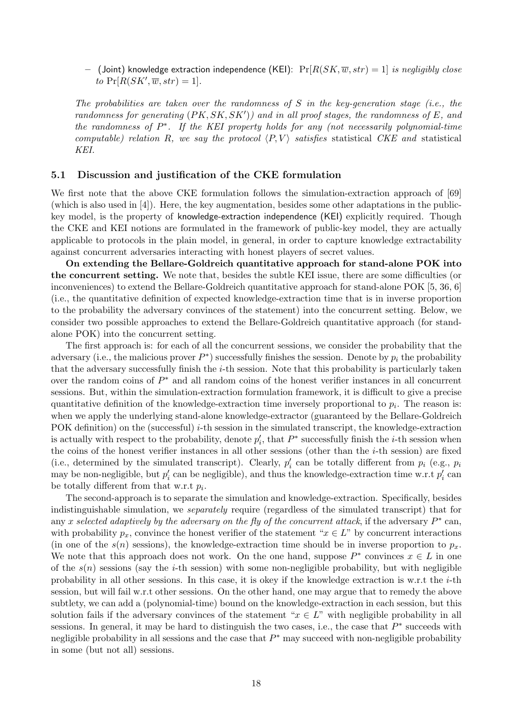– (Joint) knowledge extraction independence (KEI):  $Pr[R(SK, \overline{w}, str) = 1]$  is negligibly close to  $Pr[R(SK', \overline{w}, str) = 1].$ 

The probabilities are taken over the randomness of S in the key-generation stage (i.e., the randomness for generating  $(PK, SK, SK')$  and in all proof stages, the randomness of E, and the randomness of  $P^*$ . If the KEI property holds for any (not necessarily polynomial-time computable) relation R, we say the protocol  $\langle P, V \rangle$  satisfies statistical CKE and statistical KEI.

### 5.1 Discussion and justification of the CKE formulation

We first note that the above CKE formulation follows the simulation-extraction approach of [69] (which is also used in [4]). Here, the key augmentation, besides some other adaptations in the publickey model, is the property of knowledge-extraction independence (KEI) explicitly required. Though the CKE and KEI notions are formulated in the framework of public-key model, they are actually applicable to protocols in the plain model, in general, in order to capture knowledge extractability against concurrent adversaries interacting with honest players of secret values.

On extending the Bellare-Goldreich quantitative approach for stand-alone POK into the concurrent setting. We note that, besides the subtle KEI issue, there are some difficulties (or inconveniences) to extend the Bellare-Goldreich quantitative approach for stand-alone POK [5, 36, 6] (i.e., the quantitative definition of expected knowledge-extraction time that is in inverse proportion to the probability the adversary convinces of the statement) into the concurrent setting. Below, we consider two possible approaches to extend the Bellare-Goldreich quantitative approach (for standalone POK) into the concurrent setting.

The first approach is: for each of all the concurrent sessions, we consider the probability that the adversary (i.e., the malicious prover  $P^*$ ) successfully finishes the session. Denote by  $p_i$  the probability that the adversary successfully finish the  $i$ -th session. Note that this probability is particularly taken over the random coins of  $P^*$  and all random coins of the honest verifier instances in all concurrent sessions. But, within the simulation-extraction formulation framework, it is difficult to give a precise quantitative definition of the knowledge-extraction time inversely proportional to  $p_i$ . The reason is: when we apply the underlying stand-alone knowledge-extractor (guaranteed by the Bellare-Goldreich POK definition) on the (successful)  $i$ -th session in the simulated transcript, the knowledge-extraction is actually with respect to the probability, denote  $p'_i$ , that  $P^*$  successfully finish the *i*-th session when the coins of the honest verifier instances in all other sessions (other than the  $i$ -th session) are fixed (i.e., determined by the simulated transcript). Clearly,  $p'_i$  can be totally different from  $p_i$  (e.g.,  $p_i$ ) may be non-negligible, but  $p'_i$  can be negligible), and thus the knowledge-extraction time w.r.t  $p'_i$  can be totally different from that w.r.t  $p_i$ .

The second-approach is to separate the simulation and knowledge-extraction. Specifically, besides indistinguishable simulation, we separately require (regardless of the simulated transcript) that for any x selected adaptively by the adversary on the fly of the concurrent attack, if the adversary  $P^*$  can, with probability  $p_x$ , convince the honest verifier of the statement " $x \in L$ " by concurrent interactions (in one of the  $s(n)$  sessions), the knowledge-extraction time should be in inverse proportion to  $p_x$ . We note that this approach does not work. On the one hand, suppose  $P^*$  convinces  $x \in L$  in one of the  $s(n)$  sessions (say the *i*-th session) with some non-negligible probability, but with negligible probability in all other sessions. In this case, it is okey if the knowledge extraction is w.r.t the  $i$ -th session, but will fail w.r.t other sessions. On the other hand, one may argue that to remedy the above subtlety, we can add a (polynomial-time) bound on the knowledge-extraction in each session, but this solution fails if the adversary convinces of the statement " $x \in L$ " with negligible probability in all sessions. In general, it may be hard to distinguish the two cases, i.e., the case that  $P^*$  succeeds with negligible probability in all sessions and the case that  $P^*$  may succeed with non-negligible probability in some (but not all) sessions.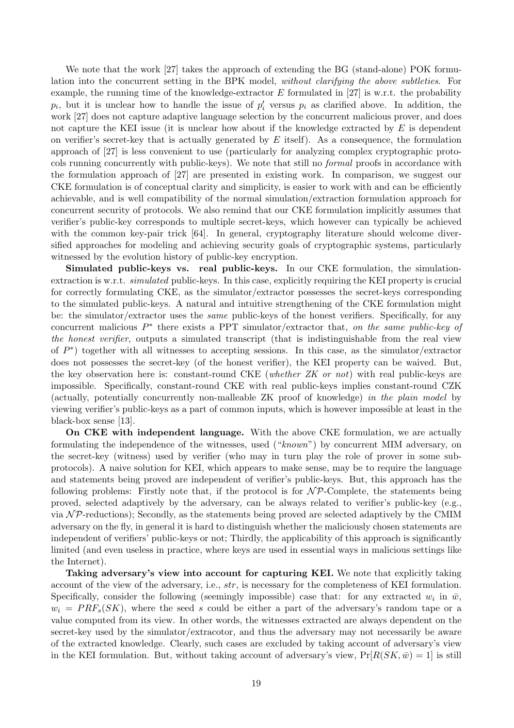We note that the work [27] takes the approach of extending the BG (stand-alone) POK formulation into the concurrent setting in the BPK model, without clarifying the above subtleties. For example, the running time of the knowledge-extractor  $E$  formulated in [27] is w.r.t. the probability  $p_i$ , but it is unclear how to handle the issue of  $p'_i$  versus  $p_i$  as clarified above. In addition, the work [27] does not capture adaptive language selection by the concurrent malicious prover, and does not capture the KEI issue (it is unclear how about if the knowledge extracted by  $E$  is dependent on verifier's secret-key that is actually generated by  $E$  itself). As a consequence, the formulation approach of [27] is less convenient to use (particularly for analyzing complex cryptographic protocols running concurrently with public-keys). We note that still no *formal* proofs in accordance with the formulation approach of [27] are presented in existing work. In comparison, we suggest our CKE formulation is of conceptual clarity and simplicity, is easier to work with and can be efficiently achievable, and is well compatibility of the normal simulation/extraction formulation approach for concurrent security of protocols. We also remind that our CKE formulation implicitly assumes that verifier's public-key corresponds to multiple secret-keys, which however can typically be achieved with the common key-pair trick [64]. In general, cryptography literature should welcome diversified approaches for modeling and achieving security goals of cryptographic systems, particularly witnessed by the evolution history of public-key encryption.

Simulated public-keys vs. real public-keys. In our CKE formulation, the simulationextraction is w.r.t. *simulated* public-keys. In this case, explicitly requiring the KEI property is crucial for correctly formulating CKE, as the simulator/extractor possesses the secret-keys corresponding to the simulated public-keys. A natural and intuitive strengthening of the CKE formulation might be: the simulator/extractor uses the *same* public-keys of the honest verifiers. Specifically, for any concurrent malicious  $P^*$  there exists a PPT simulator/extractor that, on the same public-key of the honest verifier, outputs a simulated transcript (that is indistinguishable from the real view of  $P^*$ ) together with all witnesses to accepting sessions. In this case, as the simulator/extractor does not possesses the secret-key (of the honest verifier), the KEI property can be waived. But, the key observation here is: constant-round CKE (whether  $ZK$  or not) with real public-keys are impossible. Specifically, constant-round CKE with real public-keys implies constant-round CZK (actually, potentially concurrently non-malleable ZK proof of knowledge) in the plain model by viewing verifier's public-keys as a part of common inputs, which is however impossible at least in the black-box sense [13].

On CKE with independent language. With the above CKE formulation, we are actually formulating the independence of the witnesses, used ("known") by concurrent MIM adversary, on the secret-key (witness) used by verifier (who may in turn play the role of prover in some subprotocols). A naive solution for KEI, which appears to make sense, may be to require the language and statements being proved are independent of verifier's public-keys. But, this approach has the following problems: Firstly note that, if the protocol is for  $N\mathcal{P}$ -Complete, the statements being proved, selected adaptively by the adversary, can be always related to verifier's public-key (e.g., via  $N \mathcal{P}$ -reductions); Secondly, as the statements being proved are selected adaptively by the CMIM adversary on the fly, in general it is hard to distinguish whether the maliciously chosen statements are independent of verifiers' public-keys or not; Thirdly, the applicability of this approach is significantly limited (and even useless in practice, where keys are used in essential ways in malicious settings like the Internet).

Taking adversary's view into account for capturing KEI. We note that explicitly taking account of the view of the adversary, i.e., str, is necessary for the completeness of KEI formulation. Specifically, consider the following (seemingly impossible) case that: for any extracted  $w_i$  in  $\bar{w}$ ,  $w_i = PRF_s(SK)$ , where the seed s could be either a part of the adversary's random tape or a value computed from its view. In other words, the witnesses extracted are always dependent on the secret-key used by the simulator/extracotor, and thus the adversary may not necessarily be aware of the extracted knowledge. Clearly, such cases are excluded by taking account of adversary's view in the KEI formulation. But, without taking account of adversary's view,  $Pr[R(SK, \bar{w}) = 1]$  is still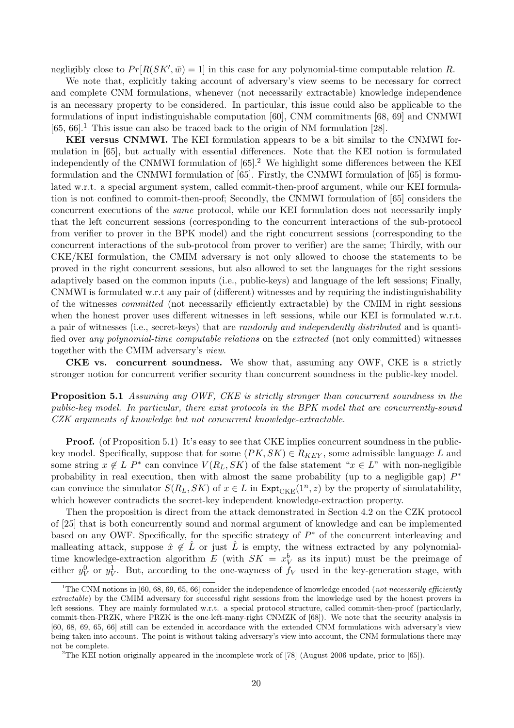negligibly close to  $Pr[R(SK', \bar{w}) = 1]$  in this case for any polynomial-time computable relation R.

We note that, explicitly taking account of adversary's view seems to be necessary for correct and complete CNM formulations, whenever (not necessarily extractable) knowledge independence is an necessary property to be considered. In particular, this issue could also be applicable to the formulations of input indistinguishable computation [60], CNM commitments [68, 69] and CNMWI  $[65, 66]$ <sup>1</sup>. This issue can also be traced back to the origin of NM formulation [28].

KEI versus CNMWI. The KEI formulation appears to be a bit similar to the CNMWI formulation in [65], but actually with essential differences. Note that the KEI notion is formulated independently of the CNMWI formulation of  $[65]$ .<sup>2</sup> We highlight some differences between the KEI formulation and the CNMWI formulation of [65]. Firstly, the CNMWI formulation of [65] is formulated w.r.t. a special argument system, called commit-then-proof argument, while our KEI formulation is not confined to commit-then-proof; Secondly, the CNMWI formulation of [65] considers the concurrent executions of the same protocol, while our KEI formulation does not necessarily imply that the left concurrent sessions (corresponding to the concurrent interactions of the sub-protocol from verifier to prover in the BPK model) and the right concurrent sessions (corresponding to the concurrent interactions of the sub-protocol from prover to verifier) are the same; Thirdly, with our CKE/KEI formulation, the CMIM adversary is not only allowed to choose the statements to be proved in the right concurrent sessions, but also allowed to set the languages for the right sessions adaptively based on the common inputs (i.e., public-keys) and language of the left sessions; Finally, CNMWI is formulated w.r.t any pair of (different) witnesses and by requiring the indistinguishability of the witnesses committed (not necessarily efficiently extractable) by the CMIM in right sessions when the honest prover uses different witnesses in left sessions, while our KEI is formulated w.r.t. a pair of witnesses (i.e., secret-keys) that are randomly and independently distributed and is quantified over any polynomial-time computable relations on the extracted (not only committed) witnesses together with the CMIM adversary's view.

CKE vs. concurrent soundness. We show that, assuming any OWF, CKE is a strictly stronger notion for concurrent verifier security than concurrent soundness in the public-key model.

Proposition 5.1 Assuming any OWF, CKE is strictly stronger than concurrent soundness in the public-key model. In particular, there exist protocols in the BPK model that are concurrently-sound CZK arguments of knowledge but not concurrent knowledge-extractable.

**Proof.** (of Proposition 5.1) It's easy to see that CKE implies concurrent soundness in the publickey model. Specifically, suppose that for some  $(PK, SK) \in R_{KEY}$ , some admissible language L and some string  $x \notin L$  P<sup>\*</sup> can convince  $V(R_L, SK)$  of the false statement " $x \in L$ " with non-negligible probability in real execution, then with almost the same probability (up to a negligible gap)  $P^*$ can convince the simulator  $S(R_L, SK)$  of  $x \in L$  in  $\text{Expt}_{CKE}(1^n, z)$  by the property of simulatability, which however contradicts the secret-key independent knowledge-extraction property.

Then the proposition is direct from the attack demonstrated in Section 4.2 on the CZK protocol of [25] that is both concurrently sound and normal argument of knowledge and can be implemented based on any OWF. Specifically, for the specific strategy of  $P^*$  of the concurrent interleaving and malleating attack, suppose  $\hat{x} \notin \hat{L}$  or just  $\hat{L}$  is empty, the witness extracted by any polynomialtime knowledge-extraction algorithm  $E$  (with  $SK = x_V^b$  as its input) must be the preimage of either  $y_V^0$  or  $y_V^1$ . But, according to the one-wayness of  $f_V$  used in the key-generation stage, with

<sup>&</sup>lt;sup>1</sup>The CNM notions in [60, 68, 69, 65, 66] consider the independence of knowledge encoded (not necessarily efficiently extractable) by the CMIM adversary for successful right sessions from the knowledge used by the honest provers in left sessions. They are mainly formulated w.r.t. a special protocol structure, called commit-then-proof (particularly, commit-then-PRZK, where PRZK is the one-left-many-right CNMZK of [68]). We note that the security analysis in [60, 68, 69, 65, 66] still can be extended in accordance with the extended CNM formulations with adversary's view being taken into account. The point is without taking adversary's view into account, the CNM formulations there may not be complete.

<sup>2</sup>The KEI notion originally appeared in the incomplete work of [78] (August 2006 update, prior to [65]).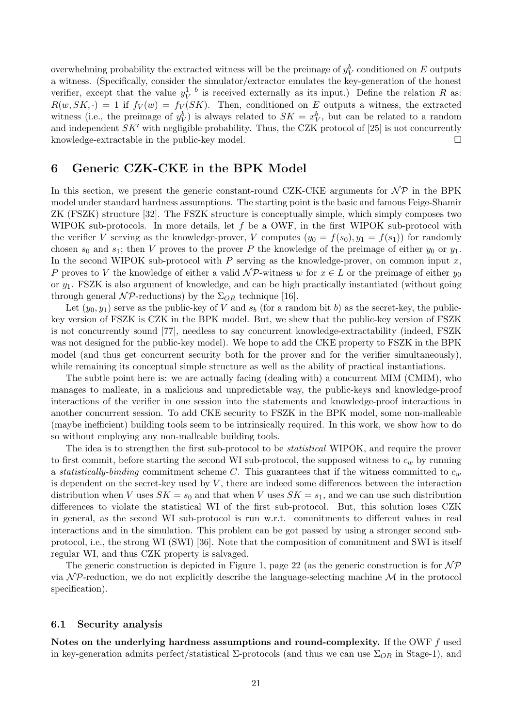overwhelming probability the extracted witness will be the preimage of  $y_V^b$  conditioned on E outputs a witness. (Specifically, consider the simulator/extractor emulates the key-generation of the honest verifier, except that the value  $y_V^{1-b}$  $V_V^{1-b}$  is received externally as its input.) Define the relation R as:  $R(w, SK, \cdot) = 1$  if  $f_V(w) = f_V(SK)$ . Then, conditioned on E outputs a witness, the extracted witness (i.e., the preimage of  $y_V^b$ ) is always related to  $SK = x_V^b$ , but can be related to a random and independent  $SK'$  with negligible probability. Thus, the CZK protocol of [25] is not concurrently knowledge-extractable in the public-key model.  $\Box$ 

### 6 Generic CZK-CKE in the BPK Model

In this section, we present the generic constant-round CZK-CKE arguments for  $\mathcal{NP}$  in the BPK model under standard hardness assumptions. The starting point is the basic and famous Feige-Shamir ZK (FSZK) structure [32]. The FSZK structure is conceptually simple, which simply composes two WIPOK sub-protocols. In more details, let f be a OWF, in the first WIPOK sub-protocol with the verifier V serving as the knowledge-prover, V computes  $(y_0 = f(s_0), y_1 = f(s_1))$  for randomly chosen  $s_0$  and  $s_1$ ; then V proves to the prover P the knowledge of the preimage of either  $y_0$  or  $y_1$ . In the second WIPOK sub-protocol with  $P$  serving as the knowledge-prover, on common input  $x$ , P proves to V the knowledge of either a valid  $\mathcal{NP}\text{-witness }w$  for  $x \in L$  or the preimage of either  $y_0$ or  $y_1$ . FSZK is also argument of knowledge, and can be high practically instantiated (without going through general  $\mathcal{NP}\text{-reductions}$  by the  $\Sigma_{OR}$  technique [16].

Let  $(y_0, y_1)$  serve as the public-key of V and  $s_b$  (for a random bit b) as the secret-key, the publickey version of FSZK is CZK in the BPK model. But, we shew that the public-key version of FSZK is not concurrently sound [77], needless to say concurrent knowledge-extractability (indeed, FSZK was not designed for the public-key model). We hope to add the CKE property to FSZK in the BPK model (and thus get concurrent security both for the prover and for the verifier simultaneously), while remaining its conceptual simple structure as well as the ability of practical instantiations.

The subtle point here is: we are actually facing (dealing with) a concurrent MIM (CMIM), who manages to malleate, in a malicious and unpredictable way, the public-keys and knowledge-proof interactions of the verifier in one session into the statements and knowledge-proof interactions in another concurrent session. To add CKE security to FSZK in the BPK model, some non-malleable (maybe inefficient) building tools seem to be intrinsically required. In this work, we show how to do so without employing any non-malleable building tools.

The idea is to strengthen the first sub-protocol to be statistical WIPOK, and require the prover to first commit, before starting the second WI sub-protocol, the supposed witness to  $c_w$  by running a statistically-binding commitment scheme C. This guarantees that if the witness committed to  $c_w$ is dependent on the secret-key used by  $V$ , there are indeed some differences between the interaction distribution when V uses  $SK = s_0$  and that when V uses  $SK = s_1$ , and we can use such distribution differences to violate the statistical WI of the first sub-protocol. But, this solution loses CZK in general, as the second WI sub-protocol is run w.r.t. commitments to different values in real interactions and in the simulation. This problem can be got passed by using a stronger second subprotocol, i.e., the strong WI (SWI) [36]. Note that the composition of commitment and SWI is itself regular WI, and thus CZK property is salvaged.

The generic construction is depicted in Figure 1, page 22 (as the generic construction is for  $N\mathcal{P}$ via  $\mathcal{NP}$ -reduction, we do not explicitly describe the language-selecting machine M in the protocol specification).

### 6.1 Security analysis

Notes on the underlying hardness assumptions and round-complexity. If the OWF f used in key-generation admits perfect/statistical  $\Sigma$ -protocols (and thus we can use  $\Sigma_{OR}$  in Stage-1), and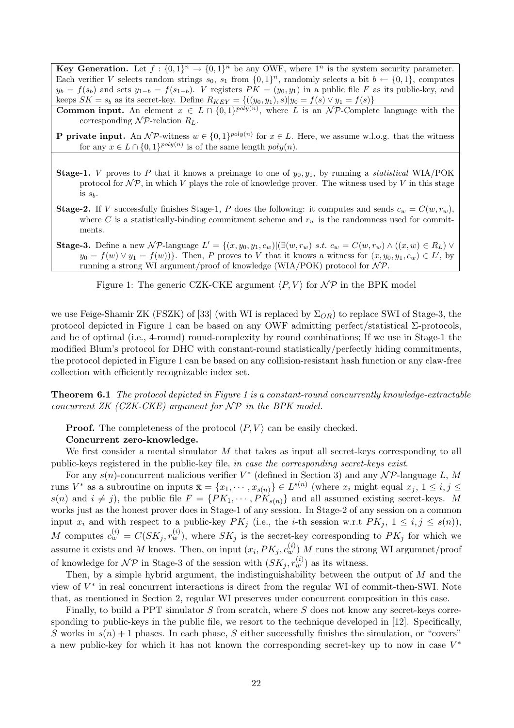**Key Generation.** Let  $f: \{0,1\}^n \to \{0,1\}^n$  be any OWF, where  $1^n$  is the system security parameter. Each verifier V selects random strings  $s_0$ ,  $s_1$  from  $\{0,1\}^n$ , randomly selects a bit  $b \leftarrow \{0,1\}$ , computes  $y_b = f(s_b)$  and sets  $y_{1-b} = f(s_{1-b})$ . V registers  $PK = (y_0, y_1)$  in a public file F as its public-key, and keeps  $SK = s_b$  as its secret-key. Define  $R_{KEY} = \{((y_0, y_1), s)|y_0 = f(s) \vee y_1 = f(s)\}\$ 

**Common input.** An element  $x \in L \cap \{0,1\}^{poly(n)}$ , where L is an NP-Complete language with the corresponding  $\mathcal{NP}$ -relation  $R_L$ .

**P** private input. An NP-witness  $w \in \{0,1\}^{poly(n)}$  for  $x \in L$ . Here, we assume w.l.o.g. that the witness for any  $x \in L \cap \{0,1\}^{poly(n)}$  is of the same length  $poly(n)$ .

- **Stage-1.** V proves to P that it knows a preimage to one of  $y_0, y_1$ , by running a *statistical* WIA/POK protocol for  $\mathcal{NP}$ , in which V plays the role of knowledge prover. The witness used by V in this stage is  $s_b$ .
- **Stage-2.** If V successfully finishes Stage-1, P does the following: it computes and sends  $c_w = C(w, r_w)$ , where C is a statistically-binding commitment scheme and  $r_w$  is the randomness used for commitments.
- Stage-3. Define a new NP-language  $L' = \{(x, y_0, y_1, c_w) | (\exists (w, r_w) \ s.t. \ c_w = C(w, r_w) \land ((x, w) \in R_L) \lor$  $y_0 = f(w) \vee y_1 = f(w)$ . Then, P proves to V that it knows a witness for  $(x, y_0, y_1, c_w) \in L'$ , by running a strong WI argument/proof of knowledge (WIA/POK) protocol for  $N \mathcal{P}$ .

Figure 1: The generic CZK-CKE argument  $\langle P, V \rangle$  for  $\mathcal{NP}$  in the BPK model

we use Feige-Shamir ZK (FSZK) of [33] (with WI is replaced by  $\Sigma_{OR}$ ) to replace SWI of Stage-3, the protocol depicted in Figure 1 can be based on any OWF admitting perfect/statistical  $\Sigma$ -protocols, and be of optimal (i.e., 4-round) round-complexity by round combinations; If we use in Stage-1 the modified Blum's protocol for DHC with constant-round statistically/perfectly hiding commitments, the protocol depicted in Figure 1 can be based on any collision-resistant hash function or any claw-free collection with efficiently recognizable index set.

**Theorem 6.1** The protocol depicted in Figure 1 is a constant-round concurrently knowledge-extractable concurrent  $ZK$  (CZK-CKE) argument for  $\mathcal{NP}$  in the BPK model.

**Proof.** The completeness of the protocol  $\langle P, V \rangle$  can be easily checked.

### Concurrent zero-knowledge.

We first consider a mental simulator M that takes as input all secret-keys corresponding to all public-keys registered in the public-key file, in case the corresponding secret-keys exist.

For any  $s(n)$ -concurrent malicious verifier  $V^*$  (defined in Section 3) and any  $\mathcal{NP}$ -language L, M runs  $V^*$  as a subroutine on inputs  $\bar{\mathbf{x}} = \{x_1, \dots, x_{s(n)}\} \in L^{s(n)}$  (where  $x_i$  might equal  $x_j, 1 \leq i, j \leq j$  $s(n)$  and  $i \neq j$ , the public file  $F = \{PK_1, \dots, PK_{s(n)}\}$  and all assumed existing secret-keys. M works just as the honest prover does in Stage-1 of any session. In Stage-2 of any session on a common input  $x_i$  and with respect to a public-key  $PK_j$  (i.e., the *i*-th session w.r.t  $PK_j$ ,  $1 \leq i, j \leq s(n)$ ), M computes  $c_w^{(i)} = C(SK_j, r_w^{(i)})$ , where  $SK_j$  is the secret-key corresponding to  $PK_j$  for which we assume it exists and M knows. Then, on input  $(x_i, PK_j, c_w^{(i)})$  M runs the strong WI argumnet/proof of knowledge for  $\mathcal{NP}$  in Stage-3 of the session with  $(SK_j, r_w^{(i)})$  as its witness.

Then, by a simple hybrid argument, the indistinguishability between the output of M and the view of  $V^*$  in real concurrent interactions is direct from the regular WI of commit-then-SWI. Note that, as mentioned in Section 2, regular WI preserves under concurrent composition in this case.

Finally, to build a PPT simulator  $S$  from scratch, where  $S$  does not know any secret-keys corresponding to public-keys in the public file, we resort to the technique developed in [12]. Specifically, S works in  $s(n) + 1$  phases. In each phase, S either successfully finishes the simulation, or "covers" a new public-key for which it has not known the corresponding secret-key up to now in case  $V^*$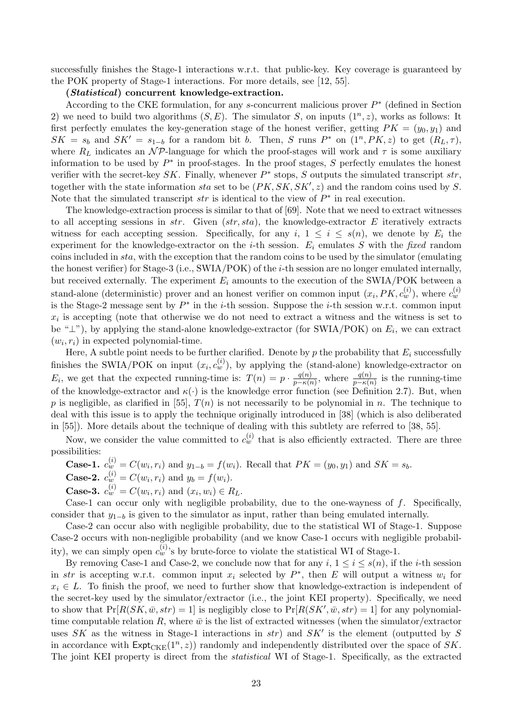successfully finishes the Stage-1 interactions w.r.t. that public-key. Key coverage is guaranteed by the POK property of Stage-1 interactions. For more details, see [12, 55].

#### (Statistical) concurrent knowledge-extraction.

According to the CKE formulation, for any  $s$ -concurrent malicious prover  $P^*$  (defined in Section 2) we need to build two algorithms  $(S, E)$ . The simulator S, on inputs  $(1^n, z)$ , works as follows: It first perfectly emulates the key-generation stage of the honest verifier, getting  $PK = (y_0, y_1)$  and  $SK = s_b$  and  $SK' = s_{1-b}$  for a random bit b. Then, S runs P<sup>\*</sup> on  $(1^n, PK, z)$  to get  $(R_L, \tau)$ , where  $R_L$  indicates an  $N \mathcal{P}$ -language for which the proof-stages will work and  $\tau$  is some auxiliary information to be used by  $P^*$  in proof-stages. In the proof stages, S perfectly emulates the honest verifier with the secret-key  $SK$ . Finally, whenever  $P^*$  stops, S outputs the simulated transcript  $str$ , together with the state information sta set to be  $(PK, SK, SK', z)$  and the random coins used by S. Note that the simulated transcript  $str$  is identical to the view of  $P^*$  in real execution.

The knowledge-extraction process is similar to that of [69]. Note that we need to extract witnesses to all accepting sessions in  $str.$  Given  $(str, sta)$ , the knowledge-extractor E iteratively extracts witness for each accepting session. Specifically, for any i,  $1 \leq i \leq s(n)$ , we denote by  $E_i$  the experiment for the knowledge-extractor on the *i*-th session.  $E_i$  emulates S with the fixed random coins included in sta, with the exception that the random coins to be used by the simulator (emulating the honest verifier) for Stage-3 (i.e., SWIA/POK) of the *i*-th session are no longer emulated internally, but received externally. The experiment  $E_i$  amounts to the execution of the SWIA/POK between a stand-alone (deterministic) prover and an honest verifier on common input  $(x_i, PK, c_w^{(i)})$ , where  $c_w^{(i)}$ is the Stage-2 message sent by  $P^*$  in the *i*-th session. Suppose the *i*-th session w.r.t. common input  $x_i$  is accepting (note that otherwise we do not need to extract a witness and the witness is set to be " $\perp$ "), by applying the stand-alone knowledge-extractor (for SWIA/POK) on  $E_i$ , we can extract  $(w_i, r_i)$  in expected polynomial-time.

Here, A subtle point needs to be further clarified. Denote by  $p$  the probability that  $E_i$  successfully finishes the SWIA/POK on input  $(x_i, c_w^{(i)})$ , by applying the (stand-alone) knowledge-extractor on  $E_i$ , we get that the expected running-time is:  $T(n) = p \cdot \frac{q(n)}{n-k}$  $\frac{q(n)}{p-\kappa(n)}$ , where  $\frac{q(n)}{p-\kappa(n)}$  is the running-time of the knowledge-extractor and  $\kappa(\cdot)$  is the knowledge error function (see Definition 2.7). But, when p is negligible, as clarified in [55],  $T(n)$  is not necessarily to be polynomial in n. The technique to deal with this issue is to apply the technique originally introduced in [38] (which is also deliberated in [55]). More details about the technique of dealing with this subtlety are referred to [38, 55].

Now, we consider the value committed to  $c_w^{(i)}$  that is also efficiently extracted. There are three possibilities:

Case-1. 
$$
c_w^{(i)} = C(w_i, r_i)
$$
 and  $y_{1-b} = f(w_i)$ . Recall that  $PK = (y_0, y_1)$  and  $SK = s_b$ . Case-2.  $c_w^{(i)} = C(w_i, r_i)$  and  $y_b = f(w_i)$ .

**Case-3.**  $c_w^{(i)} = C(w_i, r_i)$  and  $(x_i, w_i) \in R_L$ .

Case-1 can occur only with negligible probability, due to the one-wayness of  $f$ . Specifically, consider that  $y_{1-b}$  is given to the simulator as input, rather than being emulated internally.

Case-2 can occur also with negligible probability, due to the statistical WI of Stage-1. Suppose Case-2 occurs with non-negligible probability (and we know Case-1 occurs with negligible probability), we can simply open  $c_w^{(i)}$ 's by brute-force to violate the statistical WI of Stage-1.

By removing Case-1 and Case-2, we conclude now that for any  $i, 1 \le i \le s(n)$ , if the *i*-th session in str is accepting w.r.t. common input  $x_i$  selected by  $P^*$ , then E will output a witness  $w_i$  for  $x_i \in L$ . To finish the proof, we need to further show that knowledge-extraction is independent of the secret-key used by the simulator/extractor (i.e., the joint KEI property). Specifically, we need to show that  $Pr[R(SK, \bar{w}, str) = 1]$  is negligibly close to  $Pr[R(SK', \bar{w}, str) = 1]$  for any polynomialtime computable relation  $R$ , where  $\bar{w}$  is the list of extracted witnesses (when the simulator/extractor uses SK as the witness in Stage-1 interactions in  $str$ ) and  $SK'$  is the element (outputted by S in accordance with  $\text{Expt}_{\text{CKE}}(1^n, z)$  randomly and independently distributed over the space of SK. The joint KEI property is direct from the statistical WI of Stage-1. Specifically, as the extracted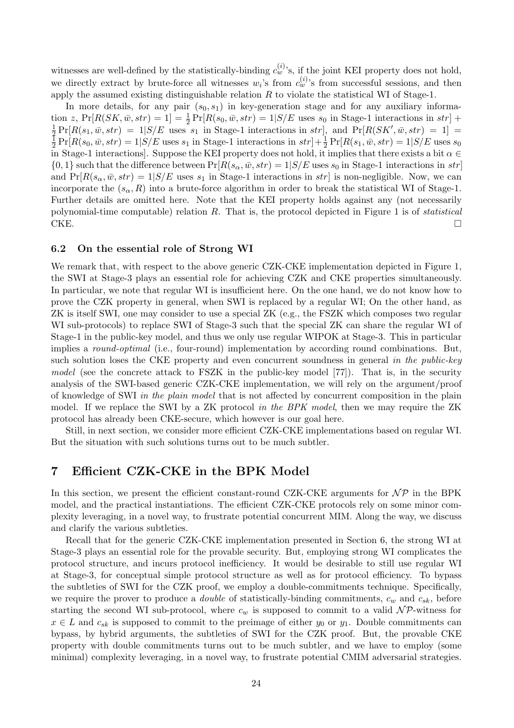witnesses are well-defined by the statistically-binding  $c_w^{(i)}$ 's, if the joint KEI property does not hold, we directly extract by brute-force all witnesses  $w_i$ 's from  $c_w^{(i)}$ 's from successful sessions, and then apply the assumed existing distinguishable relation  $R$  to violate the statistical WI of Stage-1.

In more details, for any pair  $(s_0, s_1)$  in key-generation stage and for any auxiliary information z,  $Pr[R(SK, \bar{w}, str) = 1] = \frac{1}{2} Pr[R(s_0, \bar{w}, str) = 1 | S/E$  uses  $s_0$  in Stage-1 interactions in str] +  $\frac{1}{2} Pr[R(s_0, \bar{w}, str) = 1 | S/E$  uses  $s_0$  in Stage-1 interactions in str] +  $\frac{1}{2} \Pr[R(s_1, \bar{w}, str) = 1 | S/E$  uses  $s_1$  in Stage-1 interactions in  $str$ , and  $\Pr[R(SK', \bar{w}, str) = 1]$ 1  $\frac{1}{2} \Pr[R(s_0, \bar{w}, str) = 1 | S/E \text{ uses } s_1 \text{ in Stage-1 interactions in } str] + \frac{1}{2} \Pr[R(s_1, \bar{w}, str) = 1 | S/E \text{ uses } s_0$ in Stage-1 interactions]. Suppose the KEI property does not hold, it implies that there exists a bit  $\alpha \in$  $\{0,1\}$  such that the difference between  $Pr[R(s_{\alpha}, \bar{w}, str) = 1 | S/E \text{ uses } s_0 \text{ in } Stage-1 \text{ interactions in } str]$ and  $Pr[R(s_{\alpha}, \bar{w}, str) = 1 | S/E$  uses  $s_1$  in Stage-1 interactions in  $str$  is non-negligible. Now, we can incorporate the  $(s_{\alpha}, R)$  into a brute-force algorithm in order to break the statistical WI of Stage-1. Further details are omitted here. Note that the KEI property holds against any (not necessarily polynomial-time computable) relation  $R$ . That is, the protocol depicted in Figure 1 is of *statistical* CKE.

### 6.2 On the essential role of Strong WI

We remark that, with respect to the above generic CZK-CKE implementation depicted in Figure 1, the SWI at Stage-3 plays an essential role for achieving CZK and CKE properties simultaneously. In particular, we note that regular WI is insufficient here. On the one hand, we do not know how to prove the CZK property in general, when SWI is replaced by a regular WI; On the other hand, as ZK is itself SWI, one may consider to use a special ZK (e.g., the FSZK which composes two regular WI sub-protocols) to replace SWI of Stage-3 such that the special ZK can share the regular WI of Stage-1 in the public-key model, and thus we only use regular WIPOK at Stage-3. This in particular implies a *round-optimal* (i.e., four-round) implementation by according round combinations. But, such solution loses the CKE property and even concurrent soundness in general in the public-key model (see the concrete attack to FSZK in the public-key model [77]). That is, in the security analysis of the SWI-based generic CZK-CKE implementation, we will rely on the argument/proof of knowledge of SWI in the plain model that is not affected by concurrent composition in the plain model. If we replace the SWI by a ZK protocol in the BPK model, then we may require the ZK protocol has already been CKE-secure, which however is our goal here.

Still, in next section, we consider more efficient CZK-CKE implementations based on regular WI. But the situation with such solutions turns out to be much subtler.

### 7 Efficient CZK-CKE in the BPK Model

In this section, we present the efficient constant-round CZK-CKE arguments for  $\mathcal{NP}$  in the BPK model, and the practical instantiations. The efficient CZK-CKE protocols rely on some minor complexity leveraging, in a novel way, to frustrate potential concurrent MIM. Along the way, we discuss and clarify the various subtleties.

Recall that for the generic CZK-CKE implementation presented in Section 6, the strong WI at Stage-3 plays an essential role for the provable security. But, employing strong WI complicates the protocol structure, and incurs protocol inefficiency. It would be desirable to still use regular WI at Stage-3, for conceptual simple protocol structure as well as for protocol efficiency. To bypass the subtleties of SWI for the CZK proof, we employ a double-commitments technique. Specifically, we require the prover to produce a *double* of statistically-binding commitments,  $c_w$  and  $c_{sk}$ , before starting the second WI sub-protocol, where  $c_w$  is supposed to commit to a valid  $\mathcal{NP}\text{-witness}$  for  $x \in L$  and  $c_{sk}$  is supposed to commit to the preimage of either  $y_0$  or  $y_1$ . Double commitments can bypass, by hybrid arguments, the subtleties of SWI for the CZK proof. But, the provable CKE property with double commitments turns out to be much subtler, and we have to employ (some minimal) complexity leveraging, in a novel way, to frustrate potential CMIM adversarial strategies.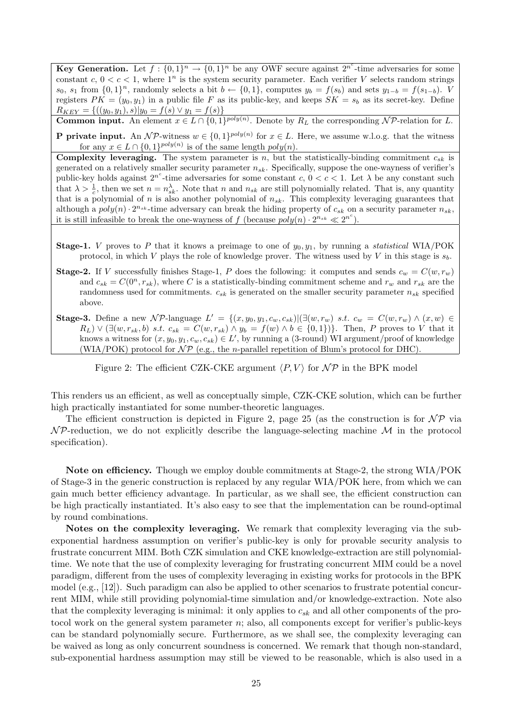**Key Generation.** Let  $f: \{0,1\}^n \to \{0,1\}^n$  be any OWF secure against  $2^{n^c}$ -time adversaries for some constant c,  $0 < c < 1$ , where  $1^n$  is the system security parameter. Each verifier V selects random strings  $s_0, s_1$  from  $\{0, 1\}^n$ , randomly selects a bit  $b \leftarrow \{0, 1\}$ , computes  $y_b = f(s_b)$  and sets  $y_{1-b} = f(s_{1-b})$ . V registers  $PK = (y_0, y_1)$  in a public file F as its public-key, and keeps  $SK = s_b$  as its secret-key. Define  $R_{KEY} = \{((y_0, y_1), s)|y_0 = f(s) \vee y_1 = f(s)\}\$ 

**Common input.** An element  $x \in L \cap \{0,1\}^{poly(n)}$ . Denote by  $R_L$  the corresponding NP-relation for L.

**P** private input. An NP-witness  $w \in \{0,1\}^{poly(n)}$  for  $x \in L$ . Here, we assume w.l.o.g. that the witness for any  $x \in L \cap \{0,1\}^{poly(n)}$  is of the same length  $poly(n)$ .

**Complexity leveraging.** The system parameter is n, but the statistically-binding commitment  $c_{sk}$  is generated on a relatively smaller security parameter  $n_{sk}$ . Specifically, suppose the one-wayness of verifier's public-key holds against  $2^{n^c}$ -time adversaries for some constant c,  $0 < c < 1$ . Let  $\lambda$  be any constant such that  $\lambda > \frac{1}{c}$ , then we set  $n = n_{sk}^{\lambda}$ . Note that n and  $n_{sk}$  are still polynomially related. That is, any quantity that is a polynomial of n is also another polynomial of  $n_{sk}$ . This complexity leveraging guarantees that although a  $poly(n) \cdot 2^{n_{sk}}$ -time adversary can break the hiding property of  $c_{sk}$  on a security parameter  $n_{sk}$ , it is still infeasible to break the one-wayness of f (because  $poly(n) \cdot 2^{n_{sk}} \ll 2^{n^c}$ ).

**Stage-1.** V proves to P that it knows a preimage to one of  $y_0, y_1$ , by running a *statistical* WIA/POK protocol, in which V plays the role of knowledge prover. The witness used by V in this stage is  $s<sub>b</sub>$ .

**Stage-2.** If V successfully finishes Stage-1, P does the following: it computes and sends  $c_w = C(w, r_w)$ and  $c_{sk} = C(0^n, r_{sk})$ , where C is a statistically-binding commitment scheme and  $r_w$  and  $r_{sk}$  are the randomness used for commitments.  $c_{sk}$  is generated on the smaller security parameter  $n_{sk}$  specified above.

Stage-3. Define a new NP-language  $L' = \{(x, y_0, y_1, c_w, c_{sk}) | (\exists (w, r_w) \ s.t. \ c_w = C(w, r_w) \land (x, w) \in$  $R_L$ )  $\vee$  ( $\exists (w, r_{sk}, b)$  s.t.  $c_{sk} = C(w, r_{sk}) \wedge y_b = f(w) \wedge b \in \{0, 1\}$ ). Then, P proves to V that it knows a witness for  $(x, y_0, y_1, c_w, c_{sk}) \in L'$ , by running a (3-round) WI argument/proof of knowledge (WIA/POK) protocol for  $\mathcal{NP}$  (e.g., the *n*-parallel repetition of Blum's protocol for DHC).

Figure 2: The efficient CZK-CKE argument  $\langle P, V \rangle$  for  $\mathcal{NP}$  in the BPK model

This renders us an efficient, as well as conceptually simple, CZK-CKE solution, which can be further high practically instantiated for some number-theoretic languages.

The efficient construction is depicted in Figure 2, page 25 (as the construction is for  $\mathcal{NP}$  via  $\mathcal N$ P-reduction, we do not explicitly describe the language-selecting machine  $\mathcal M$  in the protocol specification).

Note on efficiency. Though we employ double commitments at Stage-2, the strong WIA/POK of Stage-3 in the generic construction is replaced by any regular WIA/POK here, from which we can gain much better efficiency advantage. In particular, as we shall see, the efficient construction can be high practically instantiated. It's also easy to see that the implementation can be round-optimal by round combinations.

Notes on the complexity leveraging. We remark that complexity leveraging via the subexponential hardness assumption on verifier's public-key is only for provable security analysis to frustrate concurrent MIM. Both CZK simulation and CKE knowledge-extraction are still polynomialtime. We note that the use of complexity leveraging for frustrating concurrent MIM could be a novel paradigm, different from the uses of complexity leveraging in existing works for protocols in the BPK model (e.g., [12]). Such paradigm can also be applied to other scenarios to frustrate potential concurrent MIM, while still providing polynomial-time simulation and/or knowledge-extraction. Note also that the complexity leveraging is minimal: it only applies to  $c_{sk}$  and all other components of the protocol work on the general system parameter n; also, all components except for verifier's public-keys can be standard polynomially secure. Furthermore, as we shall see, the complexity leveraging can be waived as long as only concurrent soundness is concerned. We remark that though non-standard, sub-exponential hardness assumption may still be viewed to be reasonable, which is also used in a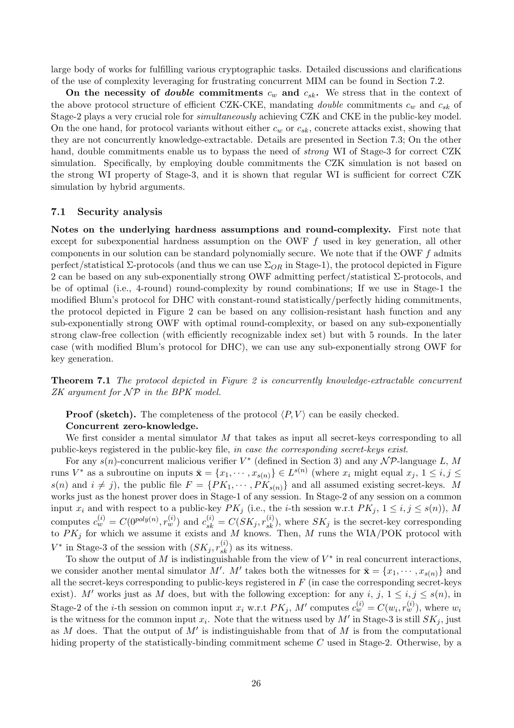large body of works for fulfilling various cryptographic tasks. Detailed discussions and clarifications of the use of complexity leveraging for frustrating concurrent MIM can be found in Section 7.2.

On the necessity of *double* commitments  $c_w$  and  $c_{sk}$ . We stress that in the context of the above protocol structure of efficient CZK-CKE, mandating *double* commitments  $c_w$  and  $c_{sk}$  of Stage-2 plays a very crucial role for simultaneously achieving CZK and CKE in the public-key model. On the one hand, for protocol variants without either  $c_w$  or  $c_{sk}$ , concrete attacks exist, showing that they are not concurrently knowledge-extractable. Details are presented in Section 7.3; On the other hand, double commitments enable us to bypass the need of *strong* WI of Stage-3 for correct CZK simulation. Specifically, by employing double commitments the CZK simulation is not based on the strong WI property of Stage-3, and it is shown that regular WI is sufficient for correct CZK simulation by hybrid arguments.

### 7.1 Security analysis

Notes on the underlying hardness assumptions and round-complexity. First note that except for subexponential hardness assumption on the OWF  $f$  used in key generation, all other components in our solution can be standard polynomially secure. We note that if the OWF  $f$  admits perfect/statistical  $\Sigma$ -protocols (and thus we can use  $\Sigma_{OR}$  in Stage-1), the protocol depicted in Figure 2 can be based on any sub-exponentially strong OWF admitting perfect/statistical  $\Sigma$ -protocols, and be of optimal (i.e., 4-round) round-complexity by round combinations; If we use in Stage-1 the modified Blum's protocol for DHC with constant-round statistically/perfectly hiding commitments, the protocol depicted in Figure 2 can be based on any collision-resistant hash function and any sub-exponentially strong OWF with optimal round-complexity, or based on any sub-exponentially strong claw-free collection (with efficiently recognizable index set) but with 5 rounds. In the later case (with modified Blum's protocol for DHC), we can use any sub-exponentially strong OWF for key generation.

Theorem 7.1 The protocol depicted in Figure 2 is concurrently knowledge-extractable concurrent  $ZK$  argument for  $\mathcal{NP}$  in the BPK model.

**Proof (sketch).** The completeness of the protocol  $\langle P, V \rangle$  can be easily checked.

### Concurrent zero-knowledge.

We first consider a mental simulator M that takes as input all secret-keys corresponding to all public-keys registered in the public-key file, in case the corresponding secret-keys exist.

For any  $s(n)$ -concurrent malicious verifier  $V^*$  (defined in Section 3) and any  $N \mathcal{P}$ -language L, M runs  $V^*$  as a subroutine on inputs  $\bar{\mathbf{x}} = \{x_1, \dots, x_{s(n)}\} \in L^{s(n)}$  (where  $x_i$  might equal  $x_j, 1 \le i, j \le n$ )  $s(n)$  and  $i \neq j$ , the public file  $F = \{PK_1, \dots, PK_{s(n)}\}$  and all assumed existing secret-keys. M works just as the honest prover does in Stage-1 of any session. In Stage-2 of any session on a common input  $x_i$  and with respect to a public-key  $PK_j$  (i.e., the *i*-th session w.r.t  $PK_j$ ,  $1 \le i, j \le s(n)$ ), M computes  $c_w^{(i)} = C(0^{poly(n)}, r_w^{(i)})$  and  $c_{sk}^{(i)} = C(SK_j, r_{sk}^{(i)})$ , where  $SK_j$  is the secret-key corresponding to  $PK_j$  for which we assume it exists and M knows. Then, M runs the WIA/POK protocol with  $V^*$  in Stage-3 of the session with  $(SK_j, r_{sk}^{(i)})$  as its witness.

To show the output of M is indistinguishable from the view of  $V^*$  in real concurrent interactions, we consider another mental simulator M'. M' takes both the witnesses for  $\bar{\mathbf{x}} = \{x_1, \dots, x_{s(n)}\}$  and all the secret-keys corresponding to public-keys registered in  $F$  (in case the corresponding secret-keys exist). M' works just as M does, but with the following exception: for any i, j,  $1 \le i, j \le s(n)$ , in Stage-2 of the *i*-th session on common input  $x_i$  w.r.t  $PK_j$ , M' computes  $c_w^{(i)} = C(w_i, r_w^{(i)})$ , where  $w_i$ is the witness for the common input  $x_i$ . Note that the witness used by  $M'$  in Stage-3 is still  $SK_j$ , just as M does. That the output of  $M'$  is indistinguishable from that of M is from the computational hiding property of the statistically-binding commitment scheme C used in Stage-2. Otherwise, by a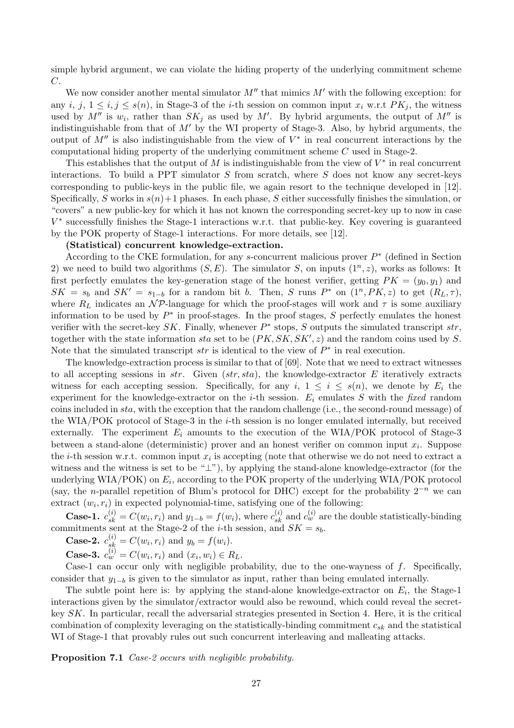simple hybrid argument, we can violate the hiding property of the underlying commitment scheme C.

We now consider another mental simulator  $M''$  that mimics  $M'$  with the following exception: for any i, j,  $1 \le i, j \le s(n)$ , in Stage-3 of the i-th session on common input  $x_i$  w.r.t  $PK_i$ , the witness used by  $M''$  is  $w_i$ , rather than  $SK_j$  as used by M'. By hybrid arguments, the output of M'' is indistinguishable from that of  $M'$  by the WI property of Stage-3. Also, by hybrid arguments, the output of  $M''$  is also indistinguishable from the view of  $V^*$  in real concurrent interactions by the computational hiding property of the underlying commitment scheme C used in Stage-2.

This establishes that the output of M is indistinguishable from the view of  $V^*$  in real concurrent interactions. To build a PPT simulator  $S$  from scratch, where  $S$  does not know any secret-keys corresponding to public-keys in the public file, we again resort to the technique developed in [12]. Specifically, S works in  $s(n)+1$  phases. In each phase, S either successfully finishes the simulation, or "covers" a new public-key for which it has not known the corresponding secret-key up to now in case V ∗ successfully finishes the Stage-1 interactions w.r.t. that public-key. Key covering is guaranteed by the POK property of Stage-1 interactions. For more details, see [12].

#### (Statistical) concurrent knowledge-extraction.

According to the CKE formulation, for any  $s$ -concurrent malicious prover  $P^*$  (defined in Section 2) we need to build two algorithms  $(S, E)$ . The simulator S, on inputs  $(1^n, z)$ , works as follows: It first perfectly emulates the key-generation stage of the honest verifier, getting  $PK = (y_0, y_1)$  and  $SK = s_b$  and  $SK' = s_{1-b}$  for a random bit b. Then, S runs P<sup>\*</sup> on  $(1^n, PK, z)$  to get  $(R_L, \tau)$ , where  $R_L$  indicates an  $N \mathcal{P}$ -language for which the proof-stages will work and  $\tau$  is some auxiliary information to be used by  $P^*$  in proof-stages. In the proof stages, S perfectly emulates the honest verifier with the secret-key  $SK$ . Finally, whenever  $P^*$  stops, S outputs the simulated transcript  $str$ , together with the state information sta set to be  $(PK, SK, SK', z)$  and the random coins used by S. Note that the simulated transcript  $str$  is identical to the view of  $P^*$  in real execution.

The knowledge-extraction process is similar to that of [69]. Note that we need to extract witnesses to all accepting sessions in  $str.$  Given  $(str, sta)$ , the knowledge-extractor E iteratively extracts witness for each accepting session. Specifically, for any  $i, 1 \le i \le s(n)$ , we denote by  $E_i$  the experiment for the knowledge-extractor on the *i*-th session.  $E_i$  emulates S with the fixed random coins included in sta, with the exception that the random challenge (i.e., the second-round message) of the WIA/POK protocol of Stage-3 in the  $i$ -th session is no longer emulated internally, but received externally. The experiment  $E_i$  amounts to the execution of the WIA/POK protocol of Stage-3 between a stand-alone (deterministic) prover and an honest verifier on common input  $x_i$ . Suppose the *i*-th session w.r.t. common input  $x_i$  is accepting (note that otherwise we do not need to extract a witness and the witness is set to be "⊥"), by applying the stand-alone knowledge-extractor (for the underlying WIA/POK) on  $E_i$ , according to the POK property of the underlying WIA/POK protocol (say, the n-parallel repetition of Blum's protocol for DHC) except for the probability  $2^{-n}$  we can extract  $(w_i, r_i)$  in expected polynomial-time, satisfying one of the following:

**Case-1.**  $c_{sk}^{(i)} = C(w_i, r_i)$  and  $y_{1-b} = f(w_i)$ , where  $c_{sk}^{(i)}$  and  $c_w^{(i)}$  are the double statistically-binding commitments sent at the Stage-2 of the *i*-th session, and  $SK = s_b$ .

**Case-2.**  $c_{sk}^{(i)} = C(w_i, r_i)$  and  $y_b = f(w_i)$ .

**Case-3.**  $c_w^{(i)} = C(w_i, r_i)$  and  $(x_i, w_i) \in R_L$ .

Case-1 can occur only with negligible probability, due to the one-wayness of  $f$ . Specifically, consider that  $y_{1-b}$  is given to the simulator as input, rather than being emulated internally.

The subtle point here is: by applying the stand-alone knowledge-extractor on  $E_i$ , the Stage-1 interactions given by the simulator/extractor would also be rewound, which could reveal the secretkey SK. In particular, recall the adversarial strategies presented in Section 4. Here, it is the critical combination of complexity leveraging on the statistically-binding commitment  $c_{sk}$  and the statistical WI of Stage-1 that provably rules out such concurrent interleaving and malleating attacks.

Proposition 7.1 Case-2 occurs with negligible probability.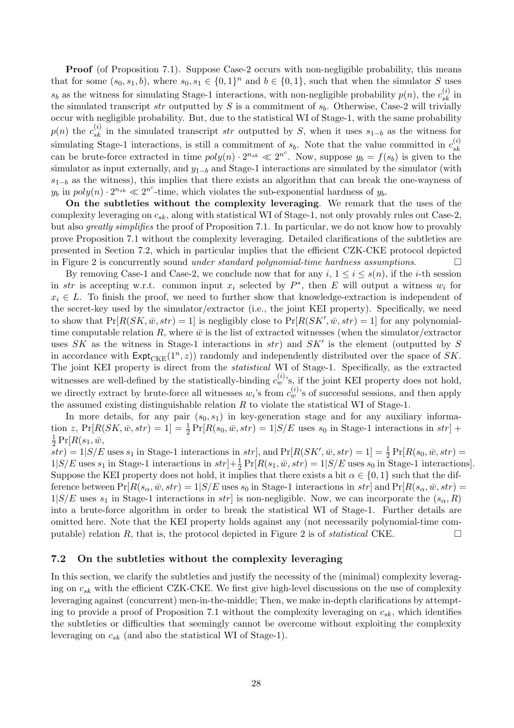**Proof** (of Proposition 7.1). Suppose Case-2 occurs with non-negligible probability, this means that for some  $(s_0, s_1, b)$ , where  $s_0, s_1 \in \{0, 1\}^n$  and  $b \in \{0, 1\}$ , such that when the simulator S uses  $s_b$  as the witness for simulating Stage-1 interactions, with non-negligible probability  $p(n)$ , the  $c_{sk}^{(i)}$  in the simulated transcript str outputted by S is a commitment of  $s_b$ . Otherwise, Case-2 will trivially occur with negligible probability. But, due to the statistical WI of Stage-1, with the same probability  $p(n)$  the  $c_{sk}^{(i)}$  in the simulated transcript str outputted by S, when it uses  $s_{1-b}$  as the witness for simulating Stage-1 interactions, is still a commitment of  $s_b$ . Note that the value committed in  $c_{sk}^{(i)}$ simulating stage-1 interactions, is still a commitment of  $s_b$ . Note that the value committed in  $c_{sk}$ <br>can be brute-force extracted in time  $poly(n) \cdot 2^{n_{sk}} \ll 2^{n^c}$ . Now, suppose  $y_b = f(s_b)$  is given to the simulator as input externally, and  $y_{1-b}$  and Stage-1 interactions are simulated by the simulator (with  $s_{1-b}$  as the witness), this implies that there exists an algorithm that can break the one-wayness of  $y_b$  in  $poly(n) \cdot 2^{n_{sk}} \ll 2^{n^c}$ -time, which violates the sub-exponential hardness of  $y_b$ .

On the subtleties without the complexity leveraging. We remark that the uses of the complexity leveraging on  $c_{sk}$ , along with statistical WI of Stage-1, not only provably rules out Case-2, but also greatly simplifies the proof of Proposition 7.1. In particular, we do not know how to provably prove Proposition 7.1 without the complexity leveraging. Detailed clarifications of the subtleties are presented in Section 7.2, which in particular implies that the efficient CZK-CKE protocol depicted in Figure 2 is concurrently sound *under standard polynomial-time hardness assumptions*.

By removing Case-1 and Case-2, we conclude now that for any  $i, 1 \le i \le s(n)$ , if the *i*-th session in str is accepting w.r.t. common input  $x_i$  selected by  $P^*$ , then E will output a witness  $w_i$  for  $x_i \in L$ . To finish the proof, we need to further show that knowledge-extraction is independent of the secret-key used by the simulator/extractor (i.e., the joint KEI property). Specifically, we need to show that  $Pr[R(SK, \bar{w}, str) = 1]$  is negligibly close to  $Pr[R(SK', \bar{w}, str) = 1]$  for any polynomialtime computable relation R, where  $\bar{w}$  is the list of extracted witnesses (when the simulator/extractor uses SK as the witness in Stage-1 interactions in  $str$ ) and  $SK'$  is the element (outputted by S in accordance with  $\text{Expt}_{\text{CKE}}(1^n, z)$  randomly and independently distributed over the space of SK. The joint KEI property is direct from the statistical WI of Stage-1. Specifically, as the extracted witnesses are well-defined by the statistically-binding  $c_w^{(i)}$ 's, if the joint KEI property does not hold, we directly extract by brute-force all witnesses  $w_i$ 's from  $c_w^{(i)}$ 's of successful sessions, and then apply the assumed existing distinguishable relation  $R$  to violate the statistical WI of Stage-1.

In more details, for any pair  $(s_0, s_1)$  in key-generation stage and for any auxiliary information z,  $Pr[R(SK, \bar{w}, str) = 1] = \frac{1}{2} Pr[R(s_0, \bar{w}, str) = 1 | S/E$  uses  $s_0$  in Stage-1 interactions in  $str] +$ 1  $\frac{1}{2} \Pr[R(s_1, \bar{w},$ 

 $s(\bar{s}(s,t)) = 1 | S/E$  uses  $s_1$  in Stage-1 interactions in  $str$ , and  $Pr[R(SK', \bar{w}, str) = 1] = \frac{1}{2} Pr[R(s_0, \bar{w}, str) = 1]$  $1|S/E$  uses  $s_1$  in Stage-1 interactions in  $str$ ] $+ \frac{1}{2} Pr[R(s_1, \bar{w}, str) = 1|S/E$  uses  $s_0$  in Stage-1 interactions]. Suppose the KEI property does not hold, it implies that there exists a bit  $\alpha \in \{0,1\}$  such that the difference between  $Pr[R(s_\alpha, \bar{w}, str) = 1 | S/E$  uses  $s_0$  in Stage-1 interactions in  $str$  and  $Pr[R(s_\alpha, \bar{w}, str) =$  $1|S/E$  uses  $s_1$  in Stage-1 interactions in str is non-negligible. Now, we can incorporate the  $(s_{\alpha}, R)$ into a brute-force algorithm in order to break the statistical WI of Stage-1. Further details are omitted here. Note that the KEI property holds against any (not necessarily polynomial-time computable) relation R, that is, the protocol depicted in Figure 2 is of *statistical* CKE.  $\Box$ 

### 7.2 On the subtleties without the complexity leveraging

In this section, we clarify the subtleties and justify the necessity of the (minimal) complexity leveraging on  $c_{sk}$  with the efficient CZK-CKE. We first give high-level discussions on the use of complexity leveraging against (concurrent) men-in-the-middle; Then, we make in-depth clarifications by attempting to provide a proof of Proposition 7.1 without the complexity leveraging on  $c_{sk}$ , which identifies the subtleties or difficulties that seemingly cannot be overcome without exploiting the complexity leveraging on  $c_{sk}$  (and also the statistical WI of Stage-1).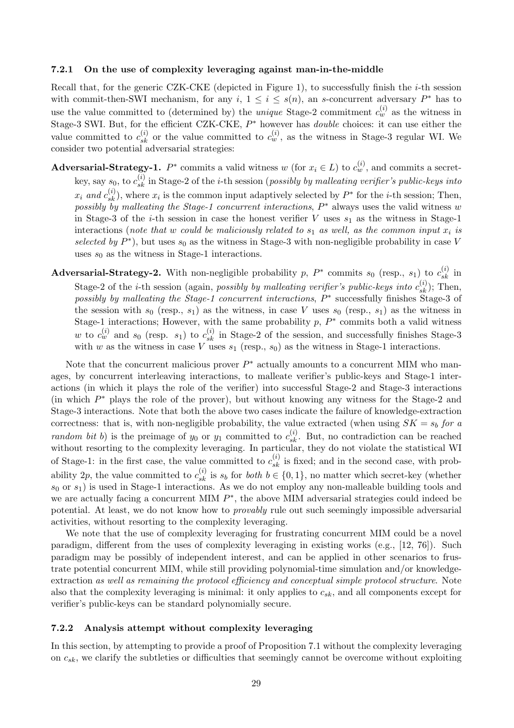#### 7.2.1 On the use of complexity leveraging against man-in-the-middle

Recall that, for the generic CZK-CKE (depicted in Figure 1), to successfully finish the  $i$ -th session with commit-then-SWI mechanism, for any  $i, 1 \le i \le s(n)$ , an s-concurrent adversary  $P^*$  has to use the value committed to (determined by) the *unique* Stage-2 commitment  $c_w^{(i)}$  as the witness in Stage-3 SWI. But, for the efficient CZK-CKE,  $P^*$  however has *double* choices: it can use either the value committed to  $c_{sk}^{(i)}$  or the value committed to  $c_w^{(i)}$ , as the witness in Stage-3 regular WI. We consider two potential adversarial strategies:

Adversarial-Strategy-1.  $P^*$  commits a valid witness w (for  $x_i \in L$ ) to  $c_w^{(i)}$ , and commits a secretkey, say  $s_0$ , to  $c_{sk}^{(i)}$  in Stage-2 of the *i*-th session (*possibly by malleating verifier's public-keys into*  $x_i$  and  $c_{sk}^{(i)}$ ), where  $x_i$  is the common input adaptively selected by  $P^*$  for the *i*-th session; Then, possibly by malleating the Stage-1 concurrent interactions,  $P^*$  always uses the valid witness w in Stage-3 of the *i*-th session in case the honest verifier  $V$  uses  $s_1$  as the witness in Stage-1 interactions (note that w could be maliciously related to  $s_1$  as well, as the common input  $x_i$  is selected by  $P^*$ ), but uses  $s_0$  as the witness in Stage-3 with non-negligible probability in case V uses  $s_0$  as the witness in Stage-1 interactions.

Adversarial-Strategy-2. With non-negligible probability p,  $P^*$  commits  $s_0$  (resp.,  $s_1$ ) to  $c_{sk}^{(i)}$  in Stage-2 of the *i*-th session (again, *possibly by malleating verifier's public-keys into*  $c_{sk}^{(i)}$ *)*; Then, possibly by malleating the Stage-1 concurrent interactions,  $P^*$  successfully finishes Stage-3 of the session with  $s_0$  (resp.,  $s_1$ ) as the witness, in case V uses  $s_0$  (resp.,  $s_1$ ) as the witness in Stage-1 interactions; However, with the same probability  $p$ ,  $P^*$  commits both a valid witness w to  $c_w^{(i)}$  and  $s_0$  (resp.  $s_1$ ) to  $c_{sk}^{(i)}$  in Stage-2 of the session, and successfully finishes Stage-3 with w as the witness in case V uses  $s_1$  (resp.,  $s_0$ ) as the witness in Stage-1 interactions.

Note that the concurrent malicious prover  $P^*$  actually amounts to a concurrent MIM who manages, by concurrent interleaving interactions, to malleate verifier's public-keys and Stage-1 interactions (in which it plays the role of the verifier) into successful Stage-2 and Stage-3 interactions (in which  $P^*$  plays the role of the prover), but without knowing any witness for the Stage-2 and Stage-3 interactions. Note that both the above two cases indicate the failure of knowledge-extraction correctness: that is, with non-negligible probability, the value extracted (when using  $SK = s_b$  for a random bit b) is the preimage of  $y_0$  or  $y_1$  committed to  $c_{sk}^{(i)}$ . But, no contradiction can be reached without resorting to the complexity leveraging. In particular, they do not violate the statistical WI of Stage-1: in the first case, the value committed to  $c_{sk}^{(i)}$  is fixed; and in the second case, with probability 2p, the value committed to  $c_{sk}^{(i)}$  is  $s_b$  for *both*  $b \in \{0,1\}$ , no matter which secret-key (whether  $s_0$  or  $s_1$ ) is used in Stage-1 interactions. As we do not employ any non-malleable building tools and we are actually facing a concurrent MIM  $P^*$ , the above MIM adversarial strategies could indeed be potential. At least, we do not know how to provably rule out such seemingly impossible adversarial activities, without resorting to the complexity leveraging.

We note that the use of complexity leveraging for frustrating concurrent MIM could be a novel paradigm, different from the uses of complexity leveraging in existing works (e.g., [12, 76]). Such paradigm may be possibly of independent interest, and can be applied in other scenarios to frustrate potential concurrent MIM, while still providing polynomial-time simulation and/or knowledgeextraction as well as remaining the protocol efficiency and conceptual simple protocol structure. Note also that the complexity leveraging is minimal: it only applies to  $c_{sk}$ , and all components except for verifier's public-keys can be standard polynomially secure.

### 7.2.2 Analysis attempt without complexity leveraging

In this section, by attempting to provide a proof of Proposition 7.1 without the complexity leveraging on  $c_{sk}$ , we clarify the subtleties or difficulties that seemingly cannot be overcome without exploiting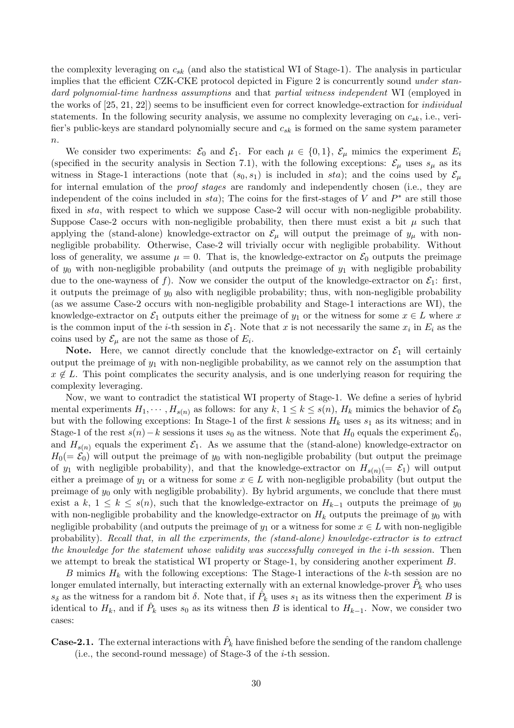the complexity leveraging on  $c_{sk}$  (and also the statistical WI of Stage-1). The analysis in particular implies that the efficient CZK-CKE protocol depicted in Figure 2 is concurrently sound under standard polynomial-time hardness assumptions and that partial witness independent WI (employed in the works of  $[25, 21, 22]$  seems to be insufficient even for correct knowledge-extraction for *individual* statements. In the following security analysis, we assume no complexity leveraging on  $c_{sk}$ , i.e., verifier's public-keys are standard polynomially secure and  $c_{sk}$  is formed on the same system parameter  $\overline{n}$ .

We consider two experiments:  $\mathcal{E}_0$  and  $\mathcal{E}_1$ . For each  $\mu \in \{0,1\}$ ,  $\mathcal{E}_\mu$  mimics the experiment  $E_i$ (specified in the security analysis in Section 7.1), with the following exceptions:  $\mathcal{E}_{\mu}$  uses  $s_{\mu}$  as its witness in Stage-1 interactions (note that  $(s_0, s_1)$  is included in sta); and the coins used by  $\mathcal{E}_{\mu}$ for internal emulation of the *proof stages* are randomly and independently chosen (i.e., they are independent of the coins included in  $sta$ ); The coins for the first-stages of V and  $P^*$  are still those fixed in sta, with respect to which we suppose Case-2 will occur with non-negligible probability. Suppose Case-2 occurs with non-negligible probability, then there must exist a bit  $\mu$  such that applying the (stand-alone) knowledge-extractor on  $\mathcal{E}_{\mu}$  will output the preimage of  $y_{\mu}$  with nonnegligible probability. Otherwise, Case-2 will trivially occur with negligible probability. Without loss of generality, we assume  $\mu = 0$ . That is, the knowledge-extractor on  $\mathcal{E}_0$  outputs the preimage of  $y_0$  with non-negligible probability (and outputs the preimage of  $y_1$  with negligible probability due to the one-wayness of f). Now we consider the output of the knowledge-extractor on  $\mathcal{E}_1$ : first, it outputs the preimage of  $y_0$  also with negligible probability; thus, with non-negligible probability (as we assume Case-2 occurs with non-negligible probability and Stage-1 interactions are WI), the knowledge-extractor on  $\mathcal{E}_1$  outputs either the preimage of  $y_1$  or the witness for some  $x \in L$  where x is the common input of the *i*-th session in  $\mathcal{E}_1$ . Note that x is not necessarily the same  $x_i$  in  $E_i$  as the coins used by  $\mathcal{E}_{\mu}$  are not the same as those of  $E_i$ .

Note. Here, we cannot directly conclude that the knowledge-extractor on  $\mathcal{E}_1$  will certainly output the preimage of  $y_1$  with non-negligible probability, as we cannot rely on the assumption that  $x \notin L$ . This point complicates the security analysis, and is one underlying reason for requiring the complexity leveraging.

Now, we want to contradict the statistical WI property of Stage-1. We define a series of hybrid mental experiments  $H_1, \dots, H_{s(n)}$  as follows: for any  $k, 1 \leq k \leq s(n)$ ,  $H_k$  mimics the behavior of  $\mathcal{E}_0$ but with the following exceptions: In Stage-1 of the first k sessions  $H_k$  uses  $s_1$  as its witness; and in Stage-1 of the rest  $s(n)-k$  sessions it uses  $s_0$  as the witness. Note that  $H_0$  equals the experiment  $\mathcal{E}_0$ , and  $H_{s(n)}$  equals the experiment  $\mathcal{E}_1$ . As we assume that the (stand-alone) knowledge-extractor on  $H_0(=\mathcal{E}_0)$  will output the preimage of  $y_0$  with non-negligible probability (but output the preimage of  $y_1$  with negligible probability), and that the knowledge-extractor on  $H_{s(n)}(=\mathcal{E}_1)$  will output either a preimage of  $y_1$  or a witness for some  $x \in L$  with non-negligible probability (but output the preimage of  $y_0$  only with negligible probability). By hybrid arguments, we conclude that there must exist a k,  $1 \leq k \leq s(n)$ , such that the knowledge-extractor on  $H_{k-1}$  outputs the preimage of  $y_0$ with non-negligible probability and the knowledge-extractor on  $H_k$  outputs the preimage of  $y_0$  with negligible probability (and outputs the preimage of  $y_1$  or a witness for some  $x \in L$  with non-negligible probability). Recall that, in all the experiments, the (stand-alone) knowledge-extractor is to extract the knowledge for the statement whose validity was successfully conveyed in the i-th session. Then we attempt to break the statistical WI property or Stage-1, by considering another experiment B.

B mimics  $H_k$  with the following exceptions: The Stage-1 interactions of the k-th session are no longer emulated internally, but interacting externally with an external knowledge-prover  $\hat{P}_k$  who uses  $s_{\delta}$  as the witness for a random bit  $\delta$ . Note that, if  $\hat{P}_k$  uses  $s_1$  as its witness then the experiment B is identical to  $H_k$ , and if  $\hat{P}_k$  uses  $s_0$  as its witness then B is identical to  $H_{k-1}$ . Now, we consider two cases:

**Case-2.1.** The external interactions with  $\hat{P}_k$  have finished before the sending of the random challenge (i.e., the second-round message) of Stage-3 of the  $i$ -th session.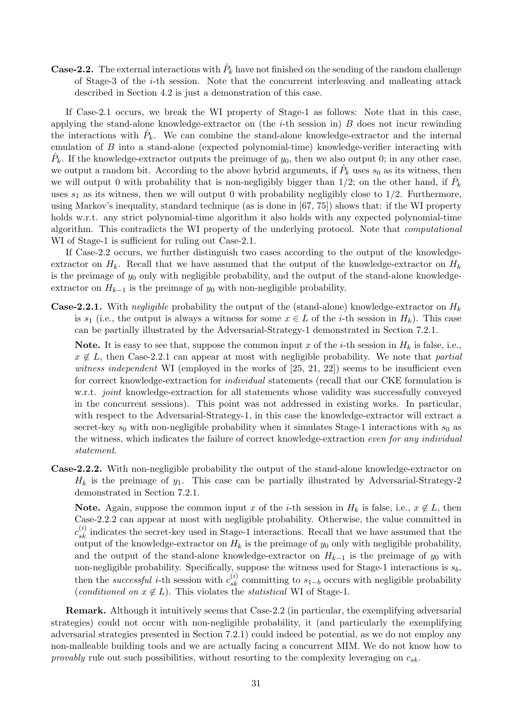**Case-2.2.** The external interactions with  $\hat{P}_k$  have not finished on the sending of the random challenge of Stage-3 of the i-th session. Note that the concurrent interleaving and malleating attack described in Section 4.2 is just a demonstration of this case.

If Case-2.1 occurs, we break the WI property of Stage-1 as follows: Note that in this case, applying the stand-alone knowledge-extractor on (the  $i$ -th session in)  $B$  does not incur rewinding the interactions with  $\hat{P}_k$ . We can combine the stand-alone knowledge-extractor and the internal emulation of B into a stand-alone (expected polynomial-time) knowledge-verifier interacting with  $\hat{P}_k$ . If the knowledge-extractor outputs the preimage of  $y_0$ , then we also output 0; in any other case, we output a random bit. According to the above hybrid arguments, if  $\hat{P}_k$  uses  $s_0$  as its witness, then we will output 0 with probability that is non-negligibly bigger than  $1/2$ ; on the other hand, if  $\hat{P}_k$ uses  $s_1$  as its witness, then we will output 0 with probability negligibly close to  $1/2$ . Furthermore, using Markov's inequality, standard technique (as is done in [67, 75]) shows that: if the WI property holds w.r.t. any strict polynomial-time algorithm it also holds with any expected polynomial-time algorithm. This contradicts the WI property of the underlying protocol. Note that computational WI of Stage-1 is sufficient for ruling out Case-2.1.

If Case-2.2 occurs, we further distinguish two cases according to the output of the knowledgeextractor on  $H_k$ . Recall that we have assumed that the output of the knowledge-extractor on  $H_k$ is the preimage of  $y_0$  only with negligible probability, and the output of the stand-alone knowledgeextractor on  $H_{k-1}$  is the preimage of  $y_0$  with non-negligible probability.

**Case-2.2.1.** With negligible probability the output of the (stand-alone) knowledge-extractor on  $H_k$ is  $s_1$  (i.e., the output is always a witness for some  $x \in L$  of the *i*-th session in  $H_k$ ). This case can be partially illustrated by the Adversarial-Strategy-1 demonstrated in Section 7.2.1.

Note. It is easy to see that, suppose the common input x of the i-th session in  $H_k$  is false, i.e.,  $x \notin L$ , then Case-2.2.1 can appear at most with negligible probability. We note that partial witness independent WI (employed in the works of  $[25, 21, 22]$ ) seems to be insufficient even for correct knowledge-extraction for individual statements (recall that our CKE formulation is w.r.t. *joint* knowledge-extraction for all statements whose validity was successfully conveyed in the concurrent sessions). This point was not addressed in existing works. In particular, with respect to the Adversarial-Strategy-1, in this case the knowledge-extractor will extract a secret-key  $s_0$  with non-negligible probability when it simulates Stage-1 interactions with  $s_0$  as the witness, which indicates the failure of correct knowledge-extraction even for any individual statement.

Case-2.2.2. With non-negligible probability the output of the stand-alone knowledge-extractor on  $H_k$  is the preimage of  $y_1$ . This case can be partially illustrated by Adversarial-Strategy-2 demonstrated in Section 7.2.1.

Note. Again, suppose the common input x of the i-th session in  $H_k$  is false, i.e.,  $x \notin L$ , then Case-2.2.2 can appear at most with negligible probability. Otherwise, the value committed in  $c_{sk}^{(i)}$  indicates the secret-key used in Stage-1 interactions. Recall that we have assumed that the output of the knowledge-extractor on  $H_k$  is the preimage of  $y_0$  only with negligible probability, and the output of the stand-alone knowledge-extractor on  $H_{k-1}$  is the preimage of  $y_0$  with non-negligible probability. Specifically, suppose the witness used for Stage-1 interactions is  $s_b$ , then the *successful i*-th session with  $c_{sk}^{(i)}$  committing to  $s_{1-b}$  occurs with negligible probability (conditioned on  $x \notin L$ ). This violates the *statistical* WI of Stage-1.

Remark. Although it intuitively seems that Case-2.2 (in particular, the exemplifying adversarial strategies) could not occur with non-negligible probability, it (and particularly the exemplifying adversarial strategies presented in Section 7.2.1) could indeed be potential, as we do not employ any non-malleable building tools and we are actually facing a concurrent MIM. We do not know how to provably rule out such possibilities, without resorting to the complexity leveraging on  $c_{sk}$ .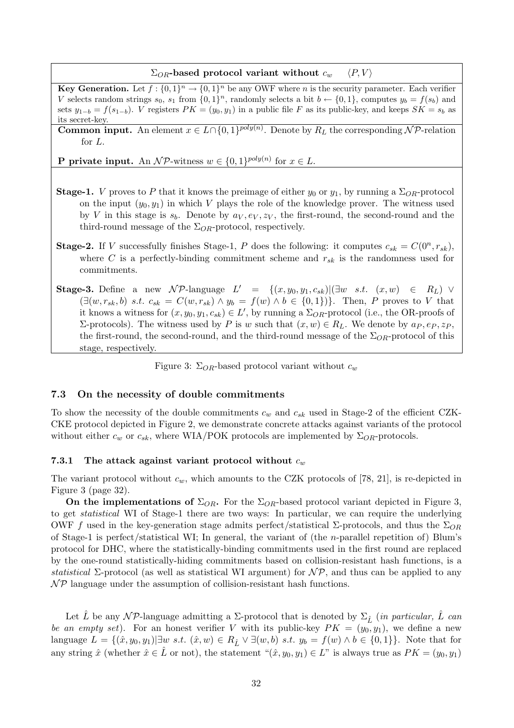$\Sigma_{OR}$ -based protocol variant without  $c_w$   $\langle P, V \rangle$ 

**Key Generation.** Let  $f: \{0,1\}^n \to \{0,1\}^n$  be any OWF where *n* is the security parameter. Each verifier V selects random strings  $s_0$ ,  $s_1$  from  $\{0,1\}^n$ , randomly selects a bit  $b \leftarrow \{0,1\}$ , computes  $y_b = f(s_b)$  and sets  $y_{1-b} = f(s_{1-b})$ . V registers  $PK = (y_0, y_1)$  in a public file F as its public-key, and keeps  $SK = s_b$  as its secret-key.

**Common input.** An element  $x \in L \cap \{0, 1\}^{poly(n)}$ . Denote by  $R_L$  the corresponding NP-relation for L.

**P** private input. An  $\mathcal{NP}$ -witness  $w \in \{0, 1\}^{poly(n)}$  for  $x \in L$ .

- **Stage-1.** V proves to P that it knows the preimage of either  $y_0$  or  $y_1$ , by running a  $\Sigma_{OR}$ -protocol on the input  $(y_0, y_1)$  in which V plays the role of the knowledge prover. The witness used by V in this stage is  $s_b$ . Denote by  $a_V, e_V, z_V$ , the first-round, the second-round and the third-round message of the  $\Sigma_{OR}$ -protocol, respectively.
- **Stage-2.** If V successfully finishes Stage-1, P does the following: it computes  $c_{sk} = C(0^n, r_{sk})$ , where C is a perfectly-binding commitment scheme and  $r_{sk}$  is the randomness used for commitments.
- Stage-3. Define a new NP-language  $L' = \{(x, y_0, y_1, c_{sk}) | (\exists w \ s.t. \ (x, w) \in R_L) \lor$  $(\exists (w, r_{sk}, b) \ s.t. \ c_{sk} = C(w, r_{sk}) \wedge y_b = f(w) \wedge b \in \{0, 1\})\}.$  Then, P proves to V that it knows a witness for  $(x, y_0, y_1, c_{sk}) \in L'$ , by running a  $\Sigma_{OR}$ -protocol (i.e., the OR-proofs of Σ-protocols). The witness used by P is w such that  $(x, w) ∈ R_L$ . We denote by  $a_P, e_P, z_P$ , the first-round, the second-round, and the third-round message of the  $\Sigma_{OR}$ -protocol of this stage, respectively.

Figure 3:  $\Sigma_{OR}$ -based protocol variant without  $c_w$ 

#### 7.3 On the necessity of double commitments

To show the necessity of the double commitments  $c_w$  and  $c_{sk}$  used in Stage-2 of the efficient CZK-CKE protocol depicted in Figure 2, we demonstrate concrete attacks against variants of the protocol without either  $c_w$  or  $c_{sk}$ , where WIA/POK protocols are implemented by  $\Sigma_{OR}$ -protocols.

#### 7.3.1 The attack against variant protocol without  $c_w$

The variant protocol without  $c_w$ , which amounts to the CZK protocols of [78, 21], is re-depicted in Figure 3 (page 32).

On the implementations of  $\Sigma_{OR}$ . For the  $\Sigma_{OR}$ -based protocol variant depicted in Figure 3, to get statistical WI of Stage-1 there are two ways: In particular, we can require the underlying OWF f used in the key-generation stage admits perfect/statistical Σ-protocols, and thus the  $\Sigma_{OR}$ of Stage-1 is perfect/statistical WI; In general, the variant of (the n-parallel repetition of) Blum's protocol for DHC, where the statistically-binding commitments used in the first round are replaced by the one-round statistically-hiding commitments based on collision-resistant hash functions, is a statistical  $\Sigma$ -protocol (as well as statistical WI argument) for  $N\mathcal{P}$ , and thus can be applied to any  $\mathcal{NP}$  language under the assumption of collision-resistant hash functions.

Let L<sup> $\dot{L}$ </sup> be any NP-language admitting a  $\Sigma$ -protocol that is denoted by  $\Sigma_{\hat{L}}$  (in particular, L<sup> $\dot{L}$ </sup> can be an empty set). For an honest verifier V with its public-key  $PK = (y_0, y_1)$ , we define a new language  $L = \{(\hat{x}, y_0, y_1) | \exists w \ s.t. \ (\hat{x}, w) \in R_{\hat{L}} \vee \exists (w, b) \ s.t. \ y_b = f(w) \wedge b \in \{0, 1\}\}\.$  Note that for any string  $\hat{x}$  (whether  $\hat{x} \in \hat{L}$  or not), the statement " $(\hat{x}, y_0, y_1) \in L$ " is always true as  $PK = (y_0, y_1)$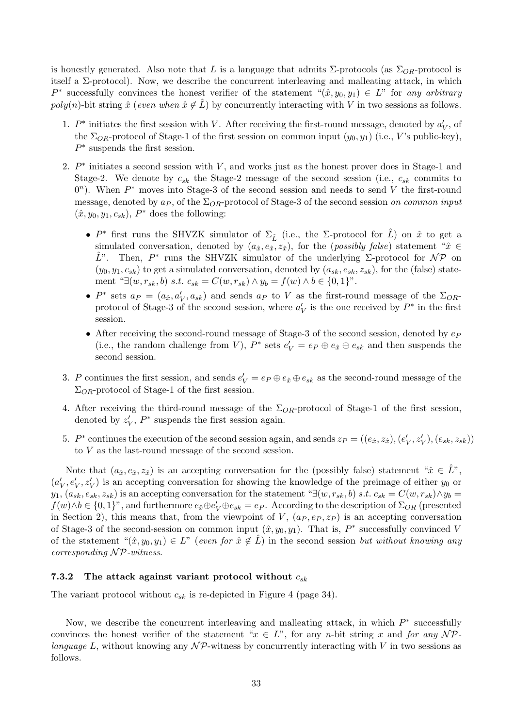is honestly generated. Also note that L is a language that admits  $\Sigma$ -protocols (as  $\Sigma_{OR}$ -protocol is itself a  $\Sigma$ -protocol). Now, we describe the concurrent interleaving and malleating attack, in which P<sup>\*</sup> successfully convinces the honest verifier of the statement " $(\hat{x}, y_0, y_1) \in L$ " for any arbitrary poly(n)-bit string  $\hat{x}$  (even when  $\hat{x} \notin \hat{L}$ ) by concurrently interacting with V in two sessions as follows.

- 1.  $P^*$  initiates the first session with V. After receiving the first-round message, denoted by  $a_V'$ , of the  $\Sigma_{OR}$ -protocol of Stage-1 of the first session on common input  $(y_0, y_1)$  (i.e., V's public-key),  $P^*$  suspends the first session.
- 2.  $P^*$  initiates a second session with V, and works just as the honest prover does in Stage-1 and Stage-2. We denote by  $c_{sk}$  the Stage-2 message of the second session (i.e.,  $c_{sk}$  commits to  $0<sup>n</sup>$ ). When  $P^*$  moves into Stage-3 of the second session and needs to send V the first-round message, denoted by  $a_P$ , of the  $\Sigma_{OR}$ -protocol of Stage-3 of the second session on common input  $(\hat{x}, y_0, y_1, c_{sk}), P^*$  does the following:
	- $P^*$  first runs the SHVZK simulator of  $\Sigma_{\hat{L}}$  (i.e., the  $\Sigma$ -protocol for  $\hat{L}$ ) on  $\hat{x}$  to get a simulated conversation, denoted by  $(a_{\hat{x}}, e_{\hat{x}}, z_{\hat{x}})$ , for the (*possibly false*) statement " $\hat{x} \in$  $\hat{L}$ ". Then, P<sup>\*</sup> runs the SHVZK simulator of the underlying Σ-protocol for NP on  $(y_0, y_1, c_{sk})$  to get a simulated conversation, denoted by  $(a_{sk}, e_{sk}, z_{sk})$ , for the (false) statement "∃(w,  $r_{sk}$ , b) s.t.  $c_{sk} = C(w, r_{sk}) \wedge y_b = f(w) \wedge b \in \{0, 1\}$ ".
	- $P^*$  sets  $a_P = (a_{\hat{x}}, a_V', a_{sk})$  and sends  $a_P$  to V as the first-round message of the  $\Sigma_{OR}$ protocol of Stage-3 of the second session, where  $a_V'$  is the one received by  $P^*$  in the first session.
	- After receiving the second-round message of Stage-3 of the second session, denoted by  $e<sub>P</sub>$ (i.e., the random challenge from V),  $P^*$  sets  $e'_V = e_P \oplus e_{\hat{x}} \oplus e_{sk}$  and then suspends the second session.
- 3. P continues the first session, and sends  $e'_V = e_P \oplus e_{\hat{x}} \oplus e_{sk}$  as the second-round message of the  $\Sigma_{OR}$ -protocol of Stage-1 of the first session.
- 4. After receiving the third-round message of the  $\Sigma_{OR}$ -protocol of Stage-1 of the first session, denoted by  $z_V'$ ,  $P^*$  suspends the first session again.
- 5.  $P^*$  continues the execution of the second session again, and sends  $z_P = ((e_{\hat{x}}, z_{\hat{x}}), (e_V', z_V'), (e_{sk}, z_{sk}))$ to V as the last-round message of the second session.

Note that  $(a_{\hat{x}}, e_{\hat{x}}, z_{\hat{x}})$  is an accepting conversation for the (possibly false) statement " $\hat{x} \in \hat{L}$ ",  $(a'_V, e'_V, z'_V)$  is an accepting conversation for showing the knowledge of the preimage of either  $y_0$  or  $y_1, (a_{sk}, e_{sk}, z_{sk})$  is an accepting conversation for the statement " $\exists (w, r_{sk}, b) \ s.t. \ c_{sk} = C(w, r_{sk}) \wedge y_b =$  $f(w) \wedge b \in \{0,1\}^n$ , and furthermore  $e_{\hat{x}} \oplus e'_{V} \oplus e_{sk} = e_{P}$ . According to the description of  $\Sigma_{OR}$  (presented in Section 2), this means that, from the viewpoint of V,  $(a_P, e_P, z_P)$  is an accepting conversation of Stage-3 of the second-session on common input  $(\hat{x}, y_0, y_1)$ . That is,  $P^*$  successfully convinced V of the statement " $(\hat{x}, y_0, y_1) \in L$ " (even for  $\hat{x} \notin L$ ) in the second session but without knowing any corresponding  $\mathcal{NP}\text{-}witness.$ 

### 7.3.2 The attack against variant protocol without  $c_{sk}$

The variant protocol without  $c_{sk}$  is re-depicted in Figure 4 (page 34).

Now, we describe the concurrent interleaving and malleating attack, in which  $P^*$  successfully convinces the honest verifier of the statement " $x \in L$ ", for any n-bit string x and for any NPlanguage L, without knowing any  $\mathcal{NP}$ -witness by concurrently interacting with V in two sessions as follows.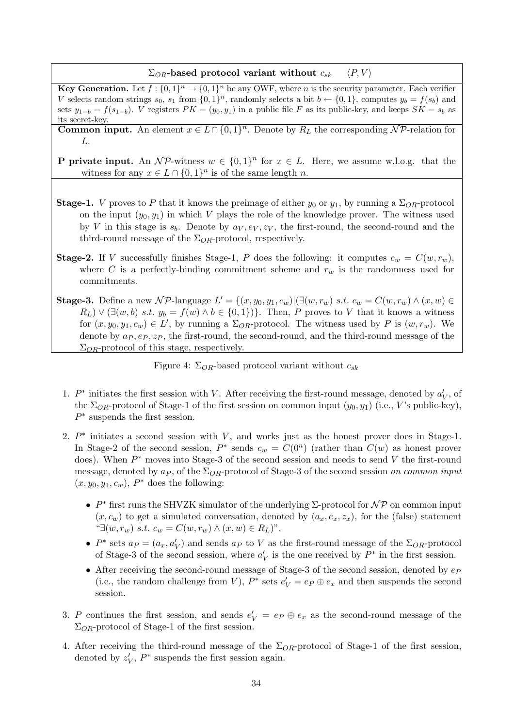#### $\Sigma_{OR}$ -based protocol variant without  $c_{sk}$   $\langle P, V \rangle$

**Key Generation.** Let  $f: \{0,1\}^n \to \{0,1\}^n$  be any OWF, where *n* is the security parameter. Each verifier V selects random strings  $s_0$ ,  $s_1$  from  $\{0,1\}^n$ , randomly selects a bit  $b \leftarrow \{0,1\}$ , computes  $y_b = f(s_b)$  and sets  $y_{1-b} = f(s_{1-b})$ . *V* registers  $PK = (y_0, y_1)$  in a public file F as its public-key, and keeps  $SK = s_b$  as its secret-key.

**Common input.** An element  $x \in L \cap \{0,1\}^n$ . Denote by  $R_L$  the corresponding NP-relation for L.

**P** private input. An  $\mathcal{NP}\text{-witness } w \in \{0,1\}^n$  for  $x \in L$ . Here, we assume w.l.o.g. that the witness for any  $x \in L \cap \{0,1\}^n$  is of the same length n.

- **Stage-1.** V proves to P that it knows the preimage of either  $y_0$  or  $y_1$ , by running a  $\Sigma_{OR}$ -protocol on the input  $(y_0, y_1)$  in which V plays the role of the knowledge prover. The witness used by V in this stage is  $s_b$ . Denote by  $a_V, e_V, z_V$ , the first-round, the second-round and the third-round message of the  $\Sigma_{OR}$ -protocol, respectively.
- **Stage-2.** If V successfully finishes Stage-1, P does the following: it computes  $c_w = C(w, r_w)$ , where C is a perfectly-binding commitment scheme and  $r_w$  is the randomness used for commitments.

Stage-3. Define a new NP-language  $L' = \{(x, y_0, y_1, c_w)|(\exists (w, r_w) \ s.t. \ c_w = C(w, r_w) \land (x, w) \in$  $R_L$ )  $\vee$  ( $\exists (w, b)$  s.t.  $y_b = f(w) \land b \in \{0, 1\}$ ). Then, P proves to V that it knows a witness for  $(x, y_0, y_1, c_w) \in L'$ , by running a  $\Sigma_{OR}$ -protocol. The witness used by P is  $(w, r_w)$ . We denote by  $a_P, e_P, z_P$ , the first-round, the second-round, and the third-round message of the  $\Sigma_{OR}$ -protocol of this stage, respectively.

Figure 4:  $\Sigma_{OR}$ -based protocol variant without  $c_{sk}$ 

- 1.  $P^*$  initiates the first session with V. After receiving the first-round message, denoted by  $a_V'$ , of the  $\Sigma_{OR}$ -protocol of Stage-1 of the first session on common input  $(y_0, y_1)$  (i.e., V's public-key),  $P^*$  suspends the first session.
- 2.  $P^*$  initiates a second session with V, and works just as the honest prover does in Stage-1. In Stage-2 of the second session,  $P^*$  sends  $c_w = C(0^n)$  (rather than  $C(w)$  as honest prover does). When  $P^*$  moves into Stage-3 of the second session and needs to send V the first-round message, denoted by  $a_P$ , of the  $\Sigma_{OR}$ -protocol of Stage-3 of the second session on common input  $(x, y_0, y_1, c_w)$ ,  $P^*$  does the following:
	- $P^*$  first runs the SHVZK simulator of the underlying  $\Sigma$ -protocol for  $\mathcal{NP}$  on common input  $(x, c_w)$  to get a simulated conversation, denoted by  $(a_x, e_x, z_x)$ , for the (false) statement "∃ $(w, r_w)$  s.t.  $c_w = C(w, r_w) \wedge (x, w) \in R_L$ )".
	- $P^*$  sets  $a_P = (a_x, a'_V)$  and sends  $a_P$  to V as the first-round message of the  $\Sigma_{OR}$ -protocol of Stage-3 of the second session, where  $a_V'$  is the one received by  $P^*$  in the first session.
	- After receiving the second-round message of Stage-3 of the second session, denoted by  $ep$ (i.e., the random challenge from V),  $P^*$  sets  $e'_V = e_P \oplus e_x$  and then suspends the second session.
- 3. P continues the first session, and sends  $e'_V = e_P \oplus e_x$  as the second-round message of the  $\Sigma_{OR}$ -protocol of Stage-1 of the first session.
- 4. After receiving the third-round message of the  $\Sigma_{OR}$ -protocol of Stage-1 of the first session, denoted by  $z_V'$ ,  $P^*$  suspends the first session again.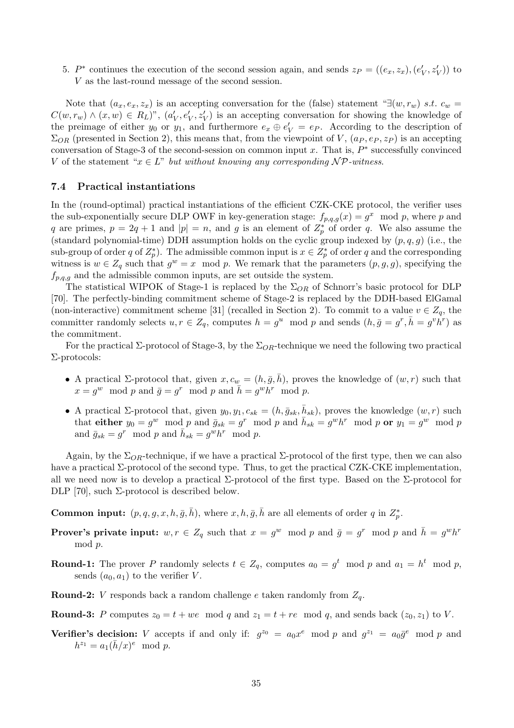5. P<sup>\*</sup> continues the execution of the second session again, and sends  $z_P = ((e_x, z_x), (e'_V, z'_V))$  to V as the last-round message of the second session.

Note that  $(a_x, e_x, z_x)$  is an accepting conversation for the (false) statement "∃ $(w, r_w)$  s.t.  $c_w$  =  $C(w,r_w) \wedge (x,w) \in R_L$ )",  $(a'_V, e'_V, z'_V)$  is an accepting conversation for showing the knowledge of the preimage of either  $y_0$  or  $y_1$ , and furthermore  $e_x \oplus e'_V = e_P$ . According to the description of  $\Sigma_{OR}$  (presented in Section 2), this means that, from the viewpoint of V,  $(a_P, e_P, z_P)$  is an accepting conversation of Stage-3 of the second-session on common input x. That is,  $P^*$  successfully convinced V of the statement " $x \in L$ " but without knowing any corresponding  $\mathcal{NP}$ -witness.

### 7.4 Practical instantiations

In the (round-optimal) practical instantiations of the efficient CZK-CKE protocol, the verifier uses the sub-exponentially secure DLP OWF in key-generation stage:  $f_{p,q,g}(x) = g^x \mod p$ , where p and q are primes,  $p = 2q + 1$  and  $|p| = n$ , and g is an element of  $Z_p^*$  of order q. We also assume the (standard polynomial-time) DDH assumption holds on the cyclic group indexed by  $(p, q, g)$  (i.e., the sub-group of order q of  $Z_p^*$ ). The admissible common input is  $x \in Z_p^*$  of order q and the corresponding witness is  $w \in Z_q$  such that  $g^w = x \mod p$ . We remark that the parameters  $(p, g, g)$ , specifying the  $f_{p,q,g}$  and the admissible common inputs, are set outside the system.

The statistical WIPOK of Stage-1 is replaced by the  $\Sigma_{OR}$  of Schnorr's basic protocol for DLP [70]. The perfectly-binding commitment scheme of Stage-2 is replaced by the DDH-based ElGamal (non-interactive) commitment scheme [31] (recalled in Section 2). To commit to a value  $v \in Z_q$ , the committer randomly selects  $u, r \in Z_q$ , computes  $h = g^u \mod p$  and sends  $(h, \bar{g} = g^r, \bar{h} = g^v \bar{h}^r)$  as the commitment.

For the practical  $\Sigma$ -protocol of Stage-3, by the  $\Sigma_{OR}$ -technique we need the following two practical Σ-protocols:

- A practical  $\Sigma$ -protocol that, given  $x, c_w = (h, \bar{g}, \bar{h})$ , proves the knowledge of  $(w, r)$  such that  $x = g^w \mod p$  and  $\bar{g} = g^r \mod p$  and  $\bar{h} = g^w h^r \mod p$ .
- A practical  $\Sigma$ -protocol that, given  $y_0, y_1, c_{sk} = (h, \bar{g}_{sk}, \bar{h}_{sk})$ , proves the knowledge  $(w, r)$  such that either  $y_0 = g^w \mod p$  and  $\bar{g}_{sk} = g^r \mod p$  and  $\bar{h}_{sk} = g^w h^r \mod p$  or  $y_1 = g^w \mod p$ and  $\bar{g}_{sk} = g^r \mod p$  and  $\bar{h}_{sk} = g^w h^r \mod p$ .

Again, by the  $\Sigma_{OR}$ -technique, if we have a practical  $\Sigma$ -protocol of the first type, then we can also have a practical Σ-protocol of the second type. Thus, to get the practical CZK-CKE implementation, all we need now is to develop a practical  $\Sigma$ -protocol of the first type. Based on the  $\Sigma$ -protocol for DLP [70], such Σ-protocol is described below.

**Common input:**  $(p, q, g, x, h, \overline{g}, \overline{h})$ , where  $x, h, \overline{g}, \overline{h}$  are all elements of order q in  $Z_p^*$ .

- **Prover's private input:**  $w, r \in Z_q$  such that  $x = g^w \mod p$  and  $\bar{g} = g^r \mod p$  and  $\bar{h} = g^w h^r$ mod p.
- **Round-1:** The prover P randomly selects  $t \in Z_q$ , computes  $a_0 = g^t \mod p$  and  $a_1 = h^t \mod p$ , sends  $(a_0, a_1)$  to the verifier V.
- **Round-2:** *V* responds back a random challenge *e* taken randomly from  $Z_q$ .
- **Round-3:** P computes  $z_0 = t + we \mod q$  and  $z_1 = t + re \mod q$ , and sends back  $(z_0, z_1)$  to V.
- Verifier's decision: V accepts if and only if:  $g^{z_0} = a_0 x^e \mod p$  and  $g^{z_1} = a_0 \bar{g}^e \mod p$  and  $h^{z_1} = a_1 (\bar{h}/x)^e \mod p.$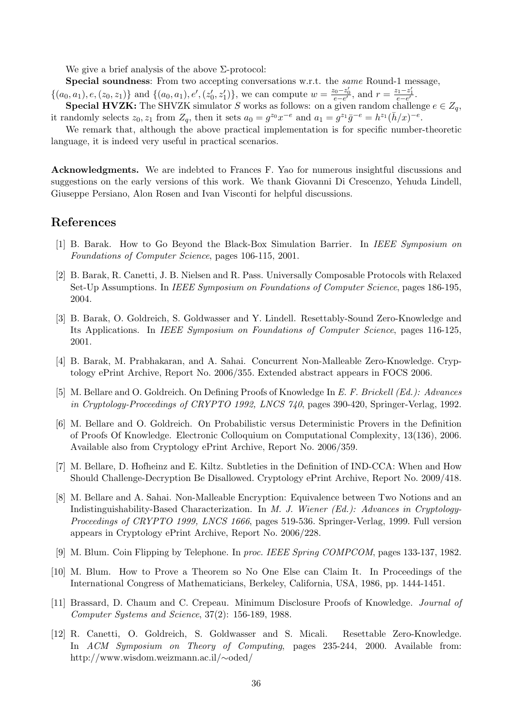We give a brief analysis of the above  $\Sigma$ -protocol:

Special soundness: From two accepting conversations w.r.t. the same Round-1 message,

 $\{(a_0, a_1), e, (z_0, z_1)\}\$ and  $\{(a_0, a_1), e', (z'_0, z'_1)\}\$ , we can compute  $w = \frac{z_0 - z'_0}{e - e'}$ , and  $r = \frac{z_1 - z'_1}{e - e'}$ .

**Special HVZK:** The SHVZK simulator S works as follows: on a given random challenge  $e \in Z_q$ , it randomly selects  $z_0, z_1$  from  $Z_q$ , then it sets  $a_0 = g^{z_0} x^{-e}$  and  $a_1 = g^{z_1} \overline{g}^{-e} = h^{z_1} (\overline{h}/x)^{-e}$ .

We remark that, although the above practical implementation is for specific number-theoretic language, it is indeed very useful in practical scenarios.

Acknowledgments. We are indebted to Frances F. Yao for numerous insightful discussions and suggestions on the early versions of this work. We thank Giovanni Di Crescenzo, Yehuda Lindell, Giuseppe Persiano, Alon Rosen and Ivan Visconti for helpful discussions.

### References

- [1] B. Barak. How to Go Beyond the Black-Box Simulation Barrier. In IEEE Symposium on Foundations of Computer Science, pages 106-115, 2001.
- [2] B. Barak, R. Canetti, J. B. Nielsen and R. Pass. Universally Composable Protocols with Relaxed Set-Up Assumptions. In IEEE Symposium on Foundations of Computer Science, pages 186-195, 2004.
- [3] B. Barak, O. Goldreich, S. Goldwasser and Y. Lindell. Resettably-Sound Zero-Knowledge and Its Applications. In IEEE Symposium on Foundations of Computer Science, pages 116-125, 2001.
- [4] B. Barak, M. Prabhakaran, and A. Sahai. Concurrent Non-Malleable Zero-Knowledge. Cryptology ePrint Archive, Report No. 2006/355. Extended abstract appears in FOCS 2006.
- [5] M. Bellare and O. Goldreich. On Defining Proofs of Knowledge In E. F. Brickell (Ed.): Advances in Cryptology-Proceedings of CRYPTO 1992, LNCS 740, pages 390-420, Springer-Verlag, 1992.
- [6] M. Bellare and O. Goldreich. On Probabilistic versus Deterministic Provers in the Definition of Proofs Of Knowledge. Electronic Colloquium on Computational Complexity, 13(136), 2006. Available also from Cryptology ePrint Archive, Report No. 2006/359.
- [7] M. Bellare, D. Hofheinz and E. Kiltz. Subtleties in the Definition of IND-CCA: When and How Should Challenge-Decryption Be Disallowed. Cryptology ePrint Archive, Report No. 2009/418.
- [8] M. Bellare and A. Sahai. Non-Malleable Encryption: Equivalence between Two Notions and an Indistinguishability-Based Characterization. In M. J. Wiener (Ed.): Advances in Cryptology-Proceedings of CRYPTO 1999, LNCS 1666, pages 519-536. Springer-Verlag, 1999. Full version appears in Cryptology ePrint Archive, Report No. 2006/228.
- [9] M. Blum. Coin Flipping by Telephone. In proc. IEEE Spring COMPCOM, pages 133-137, 1982.
- [10] M. Blum. How to Prove a Theorem so No One Else can Claim It. In Proceedings of the International Congress of Mathematicians, Berkeley, California, USA, 1986, pp. 1444-1451.
- [11] Brassard, D. Chaum and C. Crepeau. Minimum Disclosure Proofs of Knowledge. Journal of Computer Systems and Science, 37(2): 156-189, 1988.
- [12] R. Canetti, O. Goldreich, S. Goldwasser and S. Micali. Resettable Zero-Knowledge. In ACM Symposium on Theory of Computing, pages 235-244, 2000. Available from: http://www.wisdom.weizmann.ac.il/∼oded/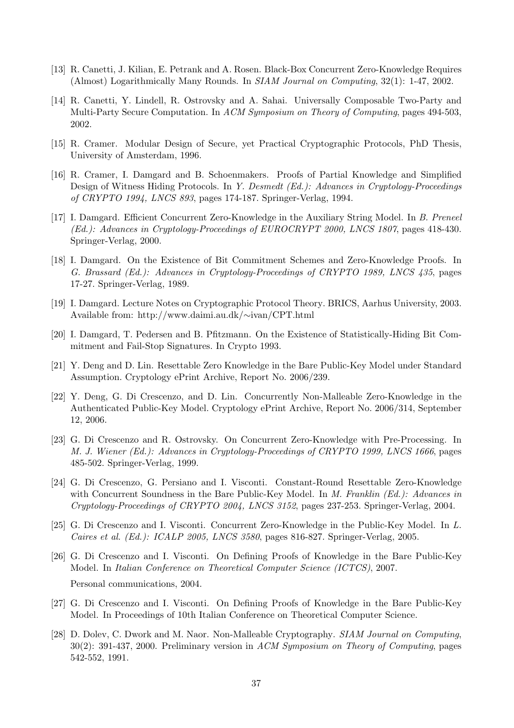- [13] R. Canetti, J. Kilian, E. Petrank and A. Rosen. Black-Box Concurrent Zero-Knowledge Requires (Almost) Logarithmically Many Rounds. In SIAM Journal on Computing, 32(1): 1-47, 2002.
- [14] R. Canetti, Y. Lindell, R. Ostrovsky and A. Sahai. Universally Composable Two-Party and Multi-Party Secure Computation. In ACM Symposium on Theory of Computing, pages 494-503, 2002.
- [15] R. Cramer. Modular Design of Secure, yet Practical Cryptographic Protocols, PhD Thesis, University of Amsterdam, 1996.
- [16] R. Cramer, I. Damgard and B. Schoenmakers. Proofs of Partial Knowledge and Simplified Design of Witness Hiding Protocols. In Y. Desmedt (Ed.): Advances in Cryptology-Proceedings of CRYPTO 1994, LNCS 893, pages 174-187. Springer-Verlag, 1994.
- [17] I. Damgard. Efficient Concurrent Zero-Knowledge in the Auxiliary String Model. In B. Preneel (Ed.): Advances in Cryptology-Proceedings of EUROCRYPT 2000, LNCS 1807, pages 418-430. Springer-Verlag, 2000.
- [18] I. Damgard. On the Existence of Bit Commitment Schemes and Zero-Knowledge Proofs. In G. Brassard (Ed.): Advances in Cryptology-Proceedings of CRYPTO 1989, LNCS 435, pages 17-27. Springer-Verlag, 1989.
- [19] I. Damgard. Lecture Notes on Cryptographic Protocol Theory. BRICS, Aarhus University, 2003. Available from: http://www.daimi.au.dk/∼ivan/CPT.html
- [20] I. Damgard, T. Pedersen and B. Pfitzmann. On the Existence of Statistically-Hiding Bit Commitment and Fail-Stop Signatures. In Crypto 1993.
- [21] Y. Deng and D. Lin. Resettable Zero Knowledge in the Bare Public-Key Model under Standard Assumption. Cryptology ePrint Archive, Report No. 2006/239.
- [22] Y. Deng, G. Di Crescenzo, and D. Lin. Concurrently Non-Malleable Zero-Knowledge in the Authenticated Public-Key Model. Cryptology ePrint Archive, Report No. 2006/314, September 12, 2006.
- [23] G. Di Crescenzo and R. Ostrovsky. On Concurrent Zero-Knowledge with Pre-Processing. In M. J. Wiener (Ed.): Advances in Cryptology-Proceedings of CRYPTO 1999, LNCS 1666, pages 485-502. Springer-Verlag, 1999.
- [24] G. Di Crescenzo, G. Persiano and I. Visconti. Constant-Round Resettable Zero-Knowledge with Concurrent Soundness in the Bare Public-Key Model. In M. Franklin (Ed.): Advances in Cryptology-Proceedings of CRYPTO 2004, LNCS 3152, pages 237-253. Springer-Verlag, 2004.
- [25] G. Di Crescenzo and I. Visconti. Concurrent Zero-Knowledge in the Public-Key Model. In L. Caires et al. (Ed.): ICALP 2005, LNCS 3580, pages 816-827. Springer-Verlag, 2005.
- [26] G. Di Crescenzo and I. Visconti. On Defining Proofs of Knowledge in the Bare Public-Key Model. In Italian Conference on Theoretical Computer Science (ICTCS), 2007. Personal communications, 2004.
- [27] G. Di Crescenzo and I. Visconti. On Defining Proofs of Knowledge in the Bare Public-Key Model. In Proceedings of 10th Italian Conference on Theoretical Computer Science.
- [28] D. Dolev, C. Dwork and M. Naor. Non-Malleable Cryptography. SIAM Journal on Computing, 30(2): 391-437, 2000. Preliminary version in ACM Symposium on Theory of Computing, pages 542-552, 1991.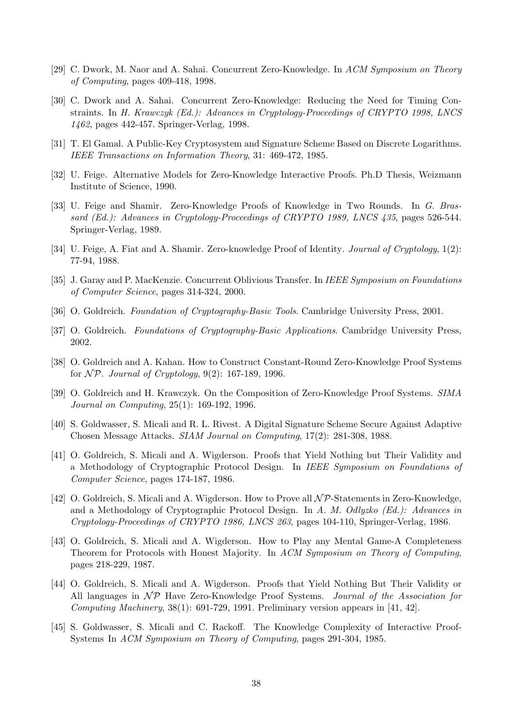- [29] C. Dwork, M. Naor and A. Sahai. Concurrent Zero-Knowledge. In ACM Symposium on Theory of Computing, pages 409-418, 1998.
- [30] C. Dwork and A. Sahai. Concurrent Zero-Knowledge: Reducing the Need for Timing Constraints. In H. Krawczyk (Ed.): Advances in Cryptology-Proceedings of CRYPTO 1998, LNCS 1462, pages 442-457. Springer-Verlag, 1998.
- [31] T. El Gamal. A Public-Key Cryptosystem and Signature Scheme Based on Discrete Logarithms. IEEE Transactions on Information Theory, 31: 469-472, 1985.
- [32] U. Feige. Alternative Models for Zero-Knowledge Interactive Proofs. Ph.D Thesis, Weizmann Institute of Science, 1990.
- [33] U. Feige and Shamir. Zero-Knowledge Proofs of Knowledge in Two Rounds. In G. Brassard (Ed.): Advances in Cryptology-Proceedings of CRYPTO 1989, LNCS 435, pages 526-544. Springer-Verlag, 1989.
- [34] U. Feige, A. Fiat and A. Shamir. Zero-knowledge Proof of Identity. *Journal of Cryptology*, 1(2): 77-94, 1988.
- [35] J. Garay and P. MacKenzie. Concurrent Oblivious Transfer. In IEEE Symposium on Foundations of Computer Science, pages 314-324, 2000.
- [36] O. Goldreich. Foundation of Cryptography-Basic Tools. Cambridge University Press, 2001.
- [37] O. Goldreich. Foundations of Cryptography-Basic Applications. Cambridge University Press, 2002.
- [38] O. Goldreich and A. Kahan. How to Construct Constant-Round Zero-Knowledge Proof Systems for  $\mathcal{NP}$ . Journal of Cryptology, 9(2): 167-189, 1996.
- [39] O. Goldreich and H. Krawczyk. On the Composition of Zero-Knowledge Proof Systems. SIMA Journal on Computing, 25(1): 169-192, 1996.
- [40] S. Goldwasser, S. Micali and R. L. Rivest. A Digital Signature Scheme Secure Against Adaptive Chosen Message Attacks. SIAM Journal on Computing, 17(2): 281-308, 1988.
- [41] O. Goldreich, S. Micali and A. Wigderson. Proofs that Yield Nothing but Their Validity and a Methodology of Cryptographic Protocol Design. In IEEE Symposium on Foundations of Computer Science, pages 174-187, 1986.
- [42] O. Goldreich, S. Micali and A. Wigderson. How to Prove all  $\mathcal{NP}\text{-}Statements$  in Zero-Knowledge, and a Methodology of Cryptographic Protocol Design. In A. M. Odlyzko (Ed.): Advances in Cryptology-Proceedings of CRYPTO 1986, LNCS 263, pages 104-110, Springer-Verlag, 1986.
- [43] O. Goldreich, S. Micali and A. Wigderson. How to Play any Mental Game-A Completeness Theorem for Protocols with Honest Majority. In ACM Symposium on Theory of Computing, pages 218-229, 1987.
- [44] O. Goldreich, S. Micali and A. Wigderson. Proofs that Yield Nothing But Their Validity or All languages in  $\mathcal{NP}$  Have Zero-Knowledge Proof Systems. Journal of the Association for Computing Machinery,  $38(1)$ : 691-729, 1991. Preliminary version appears in [41, 42].
- [45] S. Goldwasser, S. Micali and C. Rackoff. The Knowledge Complexity of Interactive Proof-Systems In ACM Symposium on Theory of Computing, pages 291-304, 1985.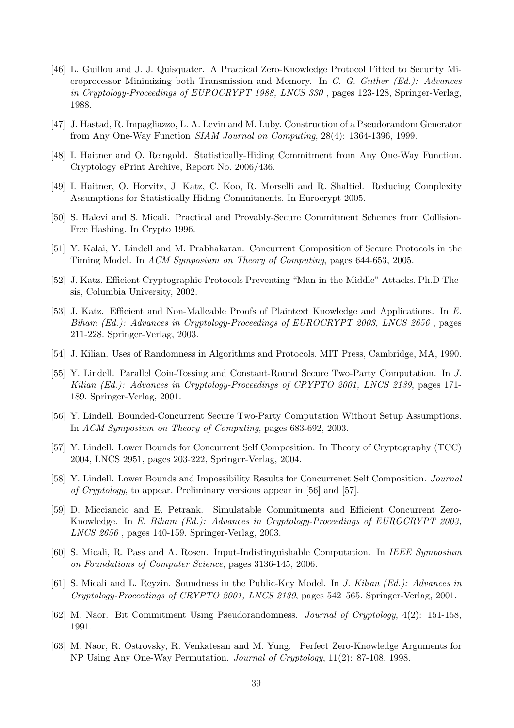- [46] L. Guillou and J. J. Quisquater. A Practical Zero-Knowledge Protocol Fitted to Security Microprocessor Minimizing both Transmission and Memory. In C. G. Gnther (Ed.): Advances in Cryptology-Proceedings of EUROCRYPT 1988, LNCS 330 , pages 123-128, Springer-Verlag, 1988.
- [47] J. Hastad, R. Impagliazzo, L. A. Levin and M. Luby. Construction of a Pseudorandom Generator from Any One-Way Function SIAM Journal on Computing, 28(4): 1364-1396, 1999.
- [48] I. Haitner and O. Reingold. Statistically-Hiding Commitment from Any One-Way Function. Cryptology ePrint Archive, Report No. 2006/436.
- [49] I. Haitner, O. Horvitz, J. Katz, C. Koo, R. Morselli and R. Shaltiel. Reducing Complexity Assumptions for Statistically-Hiding Commitments. In Eurocrypt 2005.
- [50] S. Halevi and S. Micali. Practical and Provably-Secure Commitment Schemes from Collision-Free Hashing. In Crypto 1996.
- [51] Y. Kalai, Y. Lindell and M. Prabhakaran. Concurrent Composition of Secure Protocols in the Timing Model. In ACM Symposium on Theory of Computing, pages 644-653, 2005.
- [52] J. Katz. Efficient Cryptographic Protocols Preventing "Man-in-the-Middle" Attacks. Ph.D Thesis, Columbia University, 2002.
- [53] J. Katz. Efficient and Non-Malleable Proofs of Plaintext Knowledge and Applications. In E. Biham (Ed.): Advances in Cryptology-Proceedings of EUROCRYPT 2003, LNCS 2656 , pages 211-228. Springer-Verlag, 2003.
- [54] J. Kilian. Uses of Randomness in Algorithms and Protocols. MIT Press, Cambridge, MA, 1990.
- [55] Y. Lindell. Parallel Coin-Tossing and Constant-Round Secure Two-Party Computation. In J. Kilian (Ed.): Advances in Cryptology-Proceedings of CRYPTO 2001, LNCS 2139, pages 171-189. Springer-Verlag, 2001.
- [56] Y. Lindell. Bounded-Concurrent Secure Two-Party Computation Without Setup Assumptions. In ACM Symposium on Theory of Computing, pages 683-692, 2003.
- [57] Y. Lindell. Lower Bounds for Concurrent Self Composition. In Theory of Cryptography (TCC) 2004, LNCS 2951, pages 203-222, Springer-Verlag, 2004.
- [58] Y. Lindell. Lower Bounds and Impossibility Results for Concurrenet Self Composition. Journal of Cryptology, to appear. Preliminary versions appear in [56] and [57].
- [59] D. Micciancio and E. Petrank. Simulatable Commitments and Efficient Concurrent Zero-Knowledge. In E. Biham (Ed.): Advances in Cryptology-Proceedings of EUROCRYPT 2003, LNCS 2656 , pages 140-159. Springer-Verlag, 2003.
- [60] S. Micali, R. Pass and A. Rosen. Input-Indistinguishable Computation. In IEEE Symposium on Foundations of Computer Science, pages 3136-145, 2006.
- [61] S. Micali and L. Reyzin. Soundness in the Public-Key Model. In J. Kilian (Ed.): Advances in Cryptology-Proceedings of CRYPTO 2001, LNCS 2139, pages 542–565. Springer-Verlag, 2001.
- [62] M. Naor. Bit Commitment Using Pseudorandomness. Journal of Cryptology, 4(2): 151-158, 1991.
- [63] M. Naor, R. Ostrovsky, R. Venkatesan and M. Yung. Perfect Zero-Knowledge Arguments for NP Using Any One-Way Permutation. Journal of Cryptology, 11(2): 87-108, 1998.